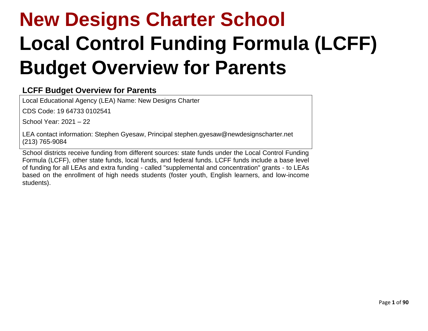# **New Designs Charter School Local Control Funding Formula (LCFF) Budget Overview for Parents**

## **LCFF Budget Overview for Parents**

Local Educational Agency (LEA) Name: New Designs Charter

CDS Code: 19 64733 0102541

School Year: 2021 – 22

LEA contact information: Stephen Gyesaw, Principal stephen.gyesaw@newdesignscharter.net (213) 765-9084

School districts receive funding from different sources: state funds under the Local Control Funding Formula (LCFF), other state funds, local funds, and federal funds. LCFF funds include a base level of funding for all LEAs and extra funding - called "supplemental and concentration" grants - to LEAs based on the enrollment of high needs students (foster youth, English learners, and low-income students).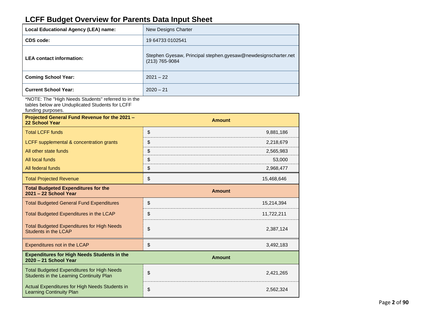# **LCFF Budget Overview for Parents Data Input Sheet**

| Local Educational Agency (LEA) name: | New Designs Charter                                                              |
|--------------------------------------|----------------------------------------------------------------------------------|
| CDS code:                            | 19 64733 0102541                                                                 |
| <b>LEA contact information:</b>      | Stephen Gyesaw, Principal stephen.gyesaw@newdesignscharter.net<br>(213) 765-9084 |
| <b>Coming School Year:</b>           | $2021 - 22$                                                                      |
| <b>Current School Year:</b>          | $2020 - 21$                                                                      |

\*NOTE: The "High Needs Students" referred to in the tables below are Unduplicated Students for LCFF

funding purposes.

| Projected General Fund Revenue for the 2021 -<br>22 School Year                               | <b>Amount</b>    |
|-----------------------------------------------------------------------------------------------|------------------|
| <b>Total LCFF funds</b>                                                                       | \$<br>9,881,186  |
| LCFF supplemental & concentration grants                                                      | \$<br>2,218,679  |
| All other state funds                                                                         | \$<br>2,565,983  |
| All local funds                                                                               | \$<br>53,000     |
| All federal funds                                                                             | \$<br>2,968,477  |
| <b>Total Projected Revenue</b>                                                                | \$<br>15,468,646 |
| <b>Total Budgeted Expenditures for the</b><br>2021 - 22 School Year                           | <b>Amount</b>    |
| <b>Total Budgeted General Fund Expenditures</b>                                               | \$<br>15,214,394 |
| Total Budgeted Expenditures in the LCAP                                                       | \$<br>11,722,211 |
| <b>Total Budgeted Expenditures for High Needs</b><br>Students in the LCAP                     | \$<br>2,387,124  |
| Expenditures not in the LCAP                                                                  | \$<br>3,492,183  |
| <b>Expenditures for High Needs Students in the</b><br>2020 - 21 School Year                   | <b>Amount</b>    |
| <b>Total Budgeted Expenditures for High Needs</b><br>Students in the Learning Continuity Plan | \$<br>2,421,265  |
| Actual Expenditures for High Needs Students in<br><b>Learning Continuity Plan</b>             | \$<br>2,562,324  |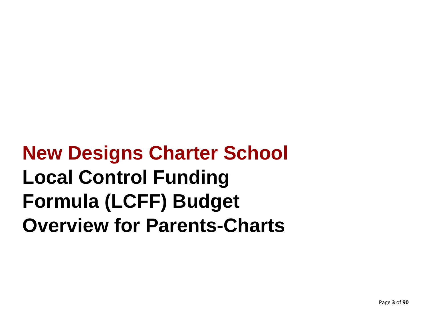**New Designs Charter School Local Control Funding Formula (LCFF) Budget Overview for Parents-Charts**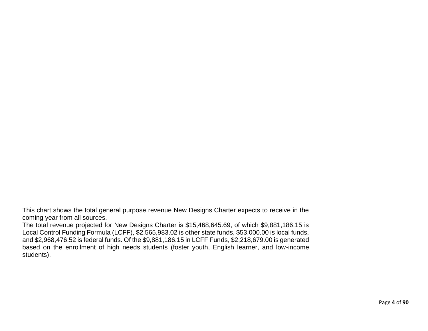This chart shows the total general purpose revenue New Designs Charter expects to receive in the coming year from all sources.

The total revenue projected for New Designs Charter is \$15,468,645.69, of which \$9,881,186.15 is Local Control Funding Formula (LCFF), \$2,565,983.02 is other state funds, \$53,000.00 is local funds, and \$2,968,476.52 is federal funds. Of the \$9,881,186.15 in LCFF Funds, \$2,218,679.00 is generated based on the enrollment of high needs students (foster youth, English learner, and low-income students).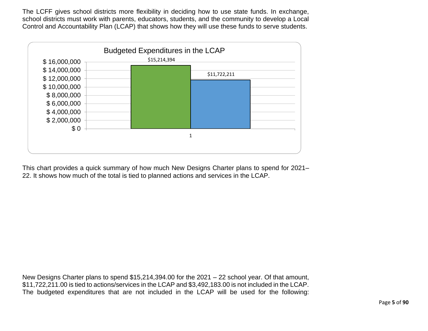The LCFF gives school districts more flexibility in deciding how to use state funds. In exchange, school districts must work with parents, educators, students, and the community to develop a Local Control and Accountability Plan (LCAP) that shows how they will use these funds to serve students.



This chart provides a quick summary of how much New Designs Charter plans to spend for 2021– 22. It shows how much of the total is tied to planned actions and services in the LCAP.

New Designs Charter plans to spend \$15,214,394.00 for the 2021 – 22 school year. Of that amount, \$11,722,211.00 is tied to actions/services in the LCAP and \$3,492,183.00 is not included in the LCAP. The budgeted expenditures that are not included in the LCAP will be used for the following: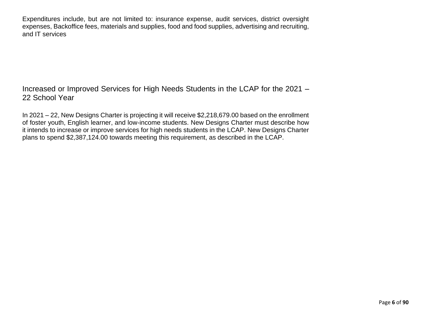Expenditures include, but are not limited to: insurance expense, audit services, district oversight expenses, Backoffice fees, materials and supplies, food and food supplies, advertising and recruiting, and IT services

Increased or Improved Services for High Needs Students in the LCAP for the 2021 – 22 School Year

In 2021 – 22, New Designs Charter is projecting it will receive \$2,218,679.00 based on the enrollment of foster youth, English learner, and low-income students. New Designs Charter must describe how it intends to increase or improve services for high needs students in the LCAP. New Designs Charter plans to spend \$2,387,124.00 towards meeting this requirement, as described in the LCAP.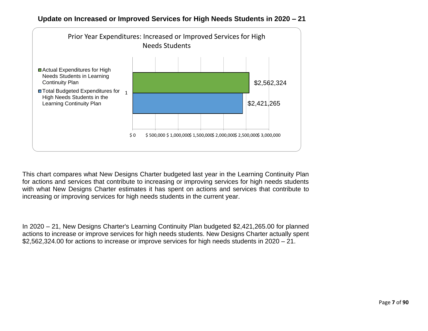



This chart compares what New Designs Charter budgeted last year in the Learning Continuity Plan for actions and services that contribute to increasing or improving services for high needs students with what New Designs Charter estimates it has spent on actions and services that contribute to increasing or improving services for high needs students in the current year.

In 2020 – 21, New Designs Charter's Learning Continuity Plan budgeted \$2,421,265.00 for planned actions to increase or improve services for high needs students. New Designs Charter actually spent \$2,562,324.00 for actions to increase or improve services for high needs students in 2020 – 21.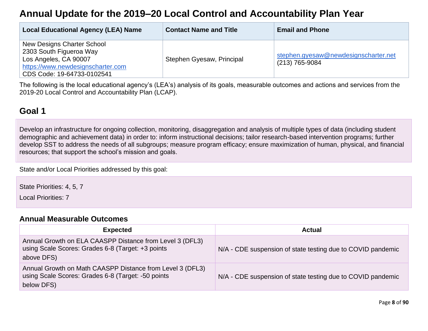# **Annual Update for the 2019–20 Local Control and Accountability Plan Year**

| <b>Local Educational Agency (LEA) Name</b>                                                                                                        | <b>Contact Name and Title</b> | <b>Email and Phone</b>                                 |
|---------------------------------------------------------------------------------------------------------------------------------------------------|-------------------------------|--------------------------------------------------------|
| New Designs Charter School<br>2303 South Figueroa Way<br>Los Angeles, CA 90007<br>https://www.newdesignscharter.com<br>CDS Code: 19-64733-0102541 | Stephen Gyesaw, Principal     | stephen.gyesaw@newdesignscharter.net<br>(213) 765-9084 |

The following is the local educational agency's (LEA's) analysis of its goals, measurable outcomes and actions and services from the 2019-20 Local Control and Accountability Plan (LCAP).

# **Goal 1**

Develop an infrastructure for ongoing collection, monitoring, disaggregation and analysis of multiple types of data (including student demographic and achievement data) in order to: inform instructional decisions; tailor research-based intervention programs; further develop SST to address the needs of all subgroups; measure program efficacy; ensure maximization of human, physical, and financial resources; that support the school's mission and goals.

State and/or Local Priorities addressed by this goal:

State Priorities: 4, 5, 7

Local Priorities: 7

#### **[Annual Measurable Outcomes](#page-33-0)**

| <b>Expected</b>                                                                                                               | Actual                                                      |
|-------------------------------------------------------------------------------------------------------------------------------|-------------------------------------------------------------|
| Annual Growth on ELA CAASPP Distance from Level 3 (DFL3)<br>using Scale Scores: Grades 6-8 (Target: +3 points<br>above DFS)   | N/A - CDE suspension of state testing due to COVID pandemic |
| Annual Growth on Math CAASPP Distance from Level 3 (DFL3)<br>using Scale Scores: Grades 6-8 (Target: -50 points<br>below DFS) | N/A - CDE suspension of state testing due to COVID pandemic |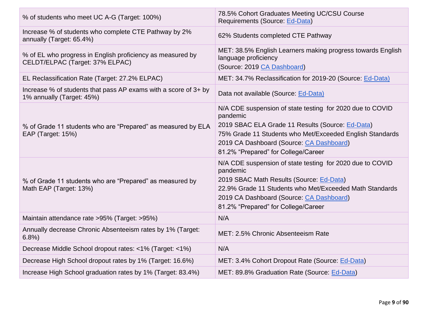| % of students who meet UC A-G (Target: 100%)                                                  | 78.5% Cohort Graduates Meeting UC/CSU Course<br>Requirements (Source: Ed-Data)                                                                                                                                                                                           |
|-----------------------------------------------------------------------------------------------|--------------------------------------------------------------------------------------------------------------------------------------------------------------------------------------------------------------------------------------------------------------------------|
| Increase % of students who complete CTE Pathway by 2%<br>annually (Target: 65.4%)             | 62% Students completed CTE Pathway                                                                                                                                                                                                                                       |
| % of EL who progress in English proficiency as measured by<br>CELDT/ELPAC (Target: 37% ELPAC) | MET: 38.5% English Learners making progress towards English<br>language proficiency<br>(Source: 2019 CA Dashboard)                                                                                                                                                       |
| EL Reclassification Rate (Target: 27.2% ELPAC)                                                | MET: 34.7% Reclassification for 2019-20 (Source: Ed-Data)                                                                                                                                                                                                                |
| Increase % of students that pass AP exams with a score of 3+ by<br>1% annually (Target: 45%)  | Data not available (Source: Ed-Data)                                                                                                                                                                                                                                     |
| % of Grade 11 students who are "Prepared" as measured by ELA<br>EAP (Target: 15%)             | N/A CDE suspension of state testing for 2020 due to COVID<br>pandemic<br>2019 SBAC ELA Grade 11 Results (Source: Ed-Data)<br>75% Grade 11 Students who Met/Exceeded English Standards<br>2019 CA Dashboard (Source: CA Dashboard)<br>81.2% "Prepared" for College/Career |
| % of Grade 11 students who are "Prepared" as measured by<br>Math EAP (Target: 13%)            | N/A CDE suspension of state testing for 2020 due to COVID<br>pandemic<br>2019 SBAC Math Results (Source: Ed-Data)<br>22.9% Grade 11 Students who Met/Exceeded Math Standards<br>2019 CA Dashboard (Source: CA Dashboard)<br>81.2% "Prepared" for College/Career          |
| Maintain attendance rate >95% (Target: >95%)                                                  | N/A                                                                                                                                                                                                                                                                      |
| Annually decrease Chronic Absenteeism rates by 1% (Target:<br>6.8%                            | MET: 2.5% Chronic Absenteeism Rate                                                                                                                                                                                                                                       |
| Decrease Middle School dropout rates: <1% (Target: <1%)                                       | N/A                                                                                                                                                                                                                                                                      |
| Decrease High School dropout rates by 1% (Target: 16.6%)                                      | MET: 3.4% Cohort Dropout Rate (Source: Ed-Data)                                                                                                                                                                                                                          |
| Increase High School graduation rates by 1% (Target: 83.4%)                                   | MET: 89.8% Graduation Rate (Source: Ed-Data)                                                                                                                                                                                                                             |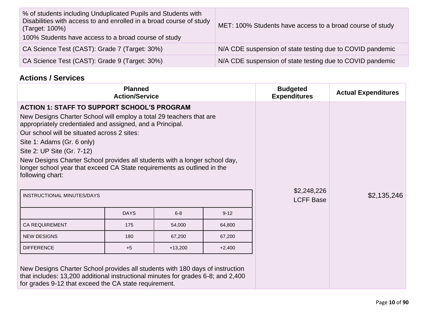| % of students including Unduplicated Pupils and Students with<br>Disabilities with access to and enrolled in a broad course of study<br>(Target: 100%)<br>100% Students have access to a broad course of study | MET: 100% Students have access to a broad course of study |  |  |
|----------------------------------------------------------------------------------------------------------------------------------------------------------------------------------------------------------------|-----------------------------------------------------------|--|--|
| CA Science Test (CAST): Grade 7 (Target: 30%)                                                                                                                                                                  | N/A CDE suspension of state testing due to COVID pandemic |  |  |
| CA Science Test (CAST): Grade 9 (Target: 30%)                                                                                                                                                                  | N/A CDE suspension of state testing due to COVID pandemic |  |  |

# **Actions / Services**

|                                                                                                                                                                                                                                                                                                                                                                                                                                                                                | <b>Planned</b><br><b>Action/Service</b> |             |                  | <b>Budgeted</b><br><b>Expenditures</b> | <b>Actual Expenditures</b> |
|--------------------------------------------------------------------------------------------------------------------------------------------------------------------------------------------------------------------------------------------------------------------------------------------------------------------------------------------------------------------------------------------------------------------------------------------------------------------------------|-----------------------------------------|-------------|------------------|----------------------------------------|----------------------------|
| <b>ACTION 1: STAFF TO SUPPORT SCHOOL'S PROGRAM</b><br>New Designs Charter School will employ a total 29 teachers that are<br>appropriately credentialed and assigned, and a Principal.<br>Our school will be situated across 2 sites:<br>Site 1: Adams (Gr. 6 only)<br>Site 2: UP Site (Gr. 7-12)<br>New Designs Charter School provides all students with a longer school day,<br>longer school year that exceed CA State requirements as outlined in the<br>following chart: |                                         | \$2,248,226 |                  |                                        |                            |
| INSTRUCTIONAL MINUTES/DAYS                                                                                                                                                                                                                                                                                                                                                                                                                                                     |                                         |             | <b>LCFF Base</b> | \$2,135,246                            |                            |
|                                                                                                                                                                                                                                                                                                                                                                                                                                                                                | <b>DAYS</b>                             | $6 - 8$     | $9 - 12$         |                                        |                            |
| <b>CA REQUIREMENT</b>                                                                                                                                                                                                                                                                                                                                                                                                                                                          | 175                                     | 54,000      | 64,800           |                                        |                            |
| <b>NEW DESIGNS</b>                                                                                                                                                                                                                                                                                                                                                                                                                                                             | 180                                     | 67,200      | 67,200           |                                        |                            |
| <b>DIFFERENCE</b>                                                                                                                                                                                                                                                                                                                                                                                                                                                              | $+5$                                    | $+13,200$   | $+2,400$         |                                        |                            |
| New Designs Charter School provides all students with 180 days of instruction<br>that includes: 13,200 additional instructional minutes for grades 6-8; and 2,400<br>for grades 9-12 that exceed the CA state requirement.                                                                                                                                                                                                                                                     |                                         |             |                  |                                        |                            |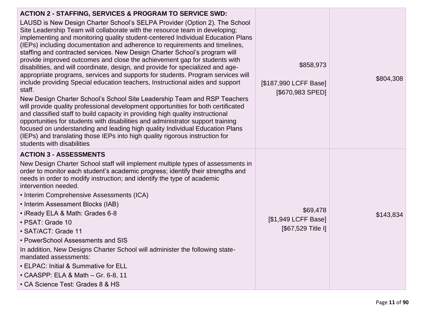| <b>ACTION 2 - STAFFING, SERVICES &amp; PROGRAM TO SERVICE SWD:</b><br>LAUSD is New Design Charter School's SELPA Provider (Option 2). The School<br>Site Leadership Team will collaborate with the resource team in developing;<br>implementing and monitoring quality student-centered Individual Education Plans<br>(IEPs) including documentation and adherence to requirements and timelines,<br>staffing and contracted services. New Design Charter School's program will<br>provide improved outcomes and close the achievement gap for students with<br>disabilities, and will coordinate, design, and provide for specialized and age-<br>appropriate programs, services and supports for students. Program services will<br>include providing Special education teachers, Instructional aides and support<br>staff.<br>New Design Charter School's School Site Leadership Team and RSP Teachers<br>will provide quality professional development opportunities for both certificated<br>and classified staff to build capacity in providing high quality instructional<br>opportunities for students with disabilities and administrator support training<br>focused on understanding and leading high quality Individual Education Plans<br>(IEPs) and translating those IEPs into high quality rigorous instruction for<br>students with disabilities | \$858,973<br>[\$187,990 LCFF Base]<br>[\$670,983 SPED] | \$804,308 |
|-------------------------------------------------------------------------------------------------------------------------------------------------------------------------------------------------------------------------------------------------------------------------------------------------------------------------------------------------------------------------------------------------------------------------------------------------------------------------------------------------------------------------------------------------------------------------------------------------------------------------------------------------------------------------------------------------------------------------------------------------------------------------------------------------------------------------------------------------------------------------------------------------------------------------------------------------------------------------------------------------------------------------------------------------------------------------------------------------------------------------------------------------------------------------------------------------------------------------------------------------------------------------------------------------------------------------------------------------------------------|--------------------------------------------------------|-----------|
| <b>ACTION 3 - ASSESSMENTS</b><br>New Design Charter School staff will implement multiple types of assessments in<br>order to monitor each student's academic progress; identify their strengths and<br>needs in order to modify instruction; and identify the type of academic<br>intervention needed.<br>• Interim Comprehensive Assessments (ICA)<br>• Interim Assessment Blocks (IAB)<br>• iReady ELA & Math: Grades 6-8<br>• PSAT: Grade 10<br>• SAT/ACT: Grade 11<br>• PowerSchool Assessments and SIS<br>In addition, New Designs Charter School will administer the following state-<br>mandated assessments:<br>• ELPAC: Initial & Summative for ELL<br>• CAASPP: ELA & Math - Gr. 6-8, 11<br>• CA Science Test: Grades 8 & HS                                                                                                                                                                                                                                                                                                                                                                                                                                                                                                                                                                                                                            | \$69,478<br>[\$1,949 LCFF Base]<br>[\$67,529 Title I]  | \$143,834 |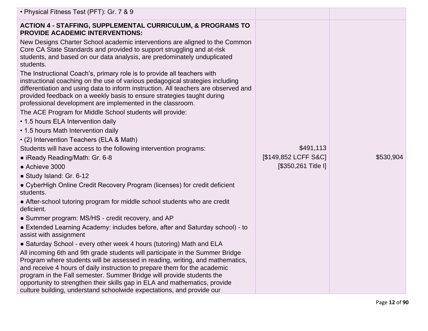| • Physical Fitness Test (PFT): Gr. 7 & 9                                                                                                                                                                                                                                                                                                                                                |                      |           |
|-----------------------------------------------------------------------------------------------------------------------------------------------------------------------------------------------------------------------------------------------------------------------------------------------------------------------------------------------------------------------------------------|----------------------|-----------|
| <b>ACTION 4 - STAFFING, SUPPLEMENTAL CURRICULUM, &amp; PROGRAMS TO</b><br><b>PROVIDE ACADEMIC INTERVENTIONS:</b>                                                                                                                                                                                                                                                                        |                      |           |
| New Designs Charter School academic interventions are aligned to the Common<br>Core CA State Standards and provided to support struggling and at-risk<br>students, and based on our data analysis, are predominately unduplicated<br>students.                                                                                                                                          |                      |           |
| The Instructional Coach's, primary role is to provide all teachers with<br>instructional coaching on the use of various pedagogical strategies including<br>differentiation and using data to inform instruction. All teachers are observed and<br>provided feedback on a weekly basis to ensure strategies taught during<br>professional development are implemented in the classroom. |                      |           |
| The ACE Program for Middle School students will provide:                                                                                                                                                                                                                                                                                                                                |                      |           |
| • 1.5 hours ELA Intervention daily                                                                                                                                                                                                                                                                                                                                                      |                      |           |
| • 1.5 hours Math Intervention daily                                                                                                                                                                                                                                                                                                                                                     |                      |           |
| • (2) Intervention Teachers (ELA & Math)                                                                                                                                                                                                                                                                                                                                                |                      |           |
| Students will have access to the following intervention programs:                                                                                                                                                                                                                                                                                                                       | \$491,113            |           |
| • iReady Reading/Math: Gr. 6-8                                                                                                                                                                                                                                                                                                                                                          | [\$149,852 LCFF S&C] | \$530,904 |
| • Achieve 3000                                                                                                                                                                                                                                                                                                                                                                          | [\$350,261 Title I]  |           |
| • Study Island: Gr. 6-12                                                                                                                                                                                                                                                                                                                                                                |                      |           |
| • CyberHigh Online Credit Recovery Program (licenses) for credit deficient<br>students.                                                                                                                                                                                                                                                                                                 |                      |           |
| • After-school tutoring program for middle school students who are credit<br>deficient.                                                                                                                                                                                                                                                                                                 |                      |           |
| • Summer program: MS/HS - credit recovery, and AP                                                                                                                                                                                                                                                                                                                                       |                      |           |
| • Extended Learning Academy: includes before, after and Saturday school) - to<br>assist with assignment                                                                                                                                                                                                                                                                                 |                      |           |
| • Saturday School - every other week 4 hours (tutoring) Math and ELA                                                                                                                                                                                                                                                                                                                    |                      |           |
| All incoming 6th and 9th grade students will participate in the Summer Bridge<br>Program where students will be assessed in reading, writing, and mathematics,<br>and receive 4 hours of daily instruction to prepare them for the academic<br>program in the Fall semester. Summer Bridge will provide students the                                                                    |                      |           |
| opportunity to strengthen their skills gap in ELA and mathematics, provide<br>culture building, understand schoolwide expectations, and provide our                                                                                                                                                                                                                                     |                      |           |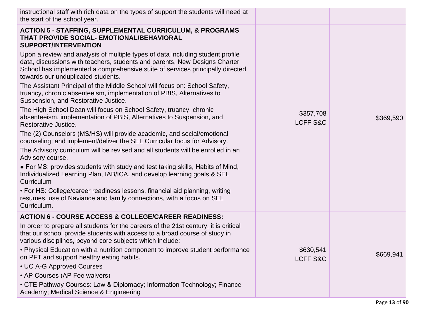| instructional staff with rich data on the types of support the students will need at<br>the start of the school year.                                                                                                                                                               |                                  |           |
|-------------------------------------------------------------------------------------------------------------------------------------------------------------------------------------------------------------------------------------------------------------------------------------|----------------------------------|-----------|
| <b>ACTION 5 - STAFFING, SUPPLEMENTAL CURRICULUM, &amp; PROGRAMS</b><br>THAT PROVIDE SOCIAL- EMOTIONAL/BEHAVIORAL<br><b>SUPPORT/INTERVENTION</b>                                                                                                                                     |                                  |           |
| Upon a review and analysis of multiple types of data including student profile<br>data, discussions with teachers, students and parents, New Designs Charter<br>School has implemented a comprehensive suite of services principally directed<br>towards our unduplicated students. |                                  |           |
| The Assistant Principal of the Middle School will focus on: School Safety,<br>truancy, chronic absenteeism, implementation of PBIS, Alternatives to<br>Suspension, and Restorative Justice.                                                                                         |                                  |           |
| The High School Dean will focus on School Safety, truancy, chronic<br>absenteeism, implementation of PBIS, Alternatives to Suspension, and<br>Restorative Justice.                                                                                                                  | \$357,708<br><b>LCFF S&amp;C</b> | \$369,590 |
| The (2) Counselors (MS/HS) will provide academic, and social/emotional<br>counseling; and implement/deliver the SEL Curricular focus for Advisory.                                                                                                                                  |                                  |           |
| The Advisory curriculum will be revised and all students will be enrolled in an<br>Advisory course.                                                                                                                                                                                 |                                  |           |
| • For MS: provides students with study and test taking skills, Habits of Mind,<br>Individualized Learning Plan, IAB/ICA, and develop learning goals & SEL<br>Curriculum                                                                                                             |                                  |           |
| • For HS: College/career readiness lessons, financial aid planning, writing<br>resumes, use of Naviance and family connections, with a focus on SEL<br>Curriculum.                                                                                                                  |                                  |           |
| <b>ACTION 6 - COURSE ACCESS &amp; COLLEGE/CAREER READINESS:</b>                                                                                                                                                                                                                     |                                  |           |
| In order to prepare all students for the careers of the 21st century, it is critical<br>that our school provide students with access to a broad course of study in<br>various disciplines, beyond core subjects which include:                                                      |                                  |           |
| • Physical Education with a nutrition component to improve student performance<br>on PFT and support healthy eating habits.                                                                                                                                                         | \$630,541<br><b>LCFF S&amp;C</b> | \$669,941 |
| • UC A-G Approved Courses<br>• AP Courses (AP Fee waivers)                                                                                                                                                                                                                          |                                  |           |
| • CTE Pathway Courses: Law & Diplomacy; Information Technology; Finance<br>Academy; Medical Science & Engineering                                                                                                                                                                   |                                  |           |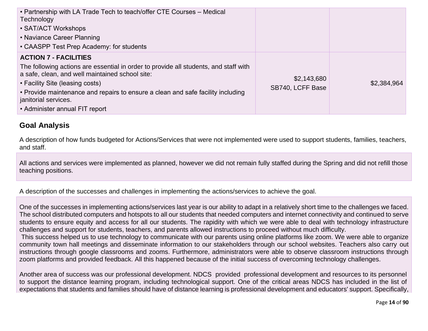| • Partnership with LA Trade Tech to teach/offer CTE Courses – Medical<br>Technology<br>• SAT/ACT Workshops<br>• Naviance Career Planning<br>• CAASPP Test Prep Academy: for students                                                                                                                                                                    |                                 |             |
|---------------------------------------------------------------------------------------------------------------------------------------------------------------------------------------------------------------------------------------------------------------------------------------------------------------------------------------------------------|---------------------------------|-------------|
| <b>ACTION 7 - FACILITIES</b><br>The following actions are essential in order to provide all students, and staff with<br>a safe, clean, and well maintained school site:<br>• Facility Site (leasing costs)<br>• Provide maintenance and repairs to ensure a clean and safe facility including<br>janitorial services.<br>• Administer annual FIT report | \$2,143,680<br>SB740, LCFF Base | \$2,384,964 |

#### **Goal Analysis**

A description of how funds budgeted for Actions/Services that were not implemented were used to support students, families, teachers, and staff.

All actions and services were implemented as planned, however we did not remain fully staffed during the Spring and did not refill those teaching positions.

A description of the successes and challenges in implementing the actions/services to achieve the goal.

One of the successes in implementing actions/services last year is our ability to adapt in a relatively short time to the challenges we faced. The school distributed computers and hotspots to all our students that needed computers and internet connectivity and continued to serve students to ensure equity and access for all our students. The rapidity with which we were able to deal with technology infrastructure challenges and support for students, teachers, and parents allowed instructions to proceed without much difficulty.

This success helped us to use technology to communicate with our parents using online platforms like zoom. We were able to organize community town hall meetings and disseminate information to our stakeholders through our school websites. Teachers also carry out instructions through google classrooms and zooms. Furthermore, administrators were able to observe classroom instructions through zoom platforms and provided feedback. All this happened because of the initial success of overcoming technology challenges.

Another area of success was our professional development. NDCS provided professional development and resources to its personnel to support the distance learning program, including technological support. One of the critical areas NDCS has included in the list of expectations that students and families should have of distance learning is professional development and educators' support. Specifically,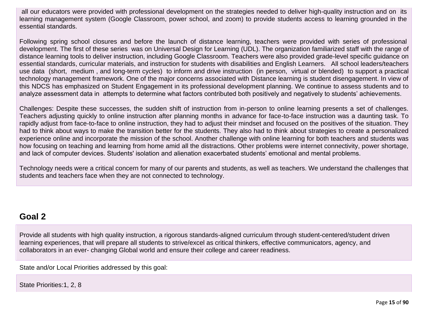all our educators were provided with professional development on the strategies needed to deliver high-quality instruction and on its learning management system (Google Classroom, power school, and zoom) to provide students access to learning grounded in the essential standards.

Following spring school closures and before the launch of distance learning, teachers were provided with series of professional development. The first of these series was on Universal Design for Learning (UDL). The organization familiarized staff with the range of distance learning tools to deliver instruction, including Google Classroom. Teachers were also provided grade-level specific guidance on essential standards, curricular materials, and instruction for students with disabilities and English Learners. All school leaders/teachers use data (short, medium , and long-term cycles) to inform and drive instruction (in person, virtual or blended) to support a practical technology management framework. One of the major concerns associated with Distance learning is student disengagement. In view of this NDCS has emphasized on Student Engagement in its professional development planning. We continue to assess students and to analyze assessment data in attempts to determine what factors contributed both positively and negatively to students' achievements.

Challenges: Despite these successes, the sudden shift of instruction from in-person to online learning presents a set of challenges. Teachers adjusting quickly to online instruction after planning months in advance for face-to-face instruction was a daunting task. To rapidly adjust from face-to-face to online instruction, they had to adjust their mindset and focused on the positives of the situation. They had to think about ways to make the transition better for the students. They also had to think about strategies to create a personalized experience online and incorporate the mission of the school. Another challenge with online learning for both teachers and students was how focusing on teaching and learning from home amid all the distractions. Other problems were internet connectivity, power shortage, and lack of computer devices. Students' isolation and alienation exacerbated students' emotional and mental problems.

Technology needs were a critical concern for many of our parents and students, as well as teachers. We understand the challenges that students and teachers face when they are not connected to technology.

### **Goal 2**

Provide all students with high quality instruction, a rigorous standards-aligned curriculum through student-centered/student driven learning experiences, that will prepare all students to strive/excel as critical thinkers, effective communicators, agency, and collaborators in an ever- changing Global world and ensure their college and career readiness.

State and/or Local Priorities addressed by this goal:

State Priorities:1, 2, 8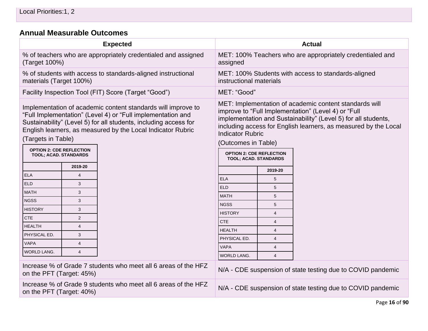# **[Annual Measurable Outcomes](#page-33-0)**

| <b>Expected</b>                                                                                                                                                                                                                                                                                                                                         |                | <b>Actual</b>                                                                                                                                                                                                                                                                                                                                                    |                         |                         |                                                             |
|---------------------------------------------------------------------------------------------------------------------------------------------------------------------------------------------------------------------------------------------------------------------------------------------------------------------------------------------------------|----------------|------------------------------------------------------------------------------------------------------------------------------------------------------------------------------------------------------------------------------------------------------------------------------------------------------------------------------------------------------------------|-------------------------|-------------------------|-------------------------------------------------------------|
| % of teachers who are appropriately credentialed and assigned<br>(Target 100%)                                                                                                                                                                                                                                                                          |                | MET: 100% Teachers who are appropriately credentialed and<br>assigned                                                                                                                                                                                                                                                                                            |                         |                         |                                                             |
| materials (Target 100%)                                                                                                                                                                                                                                                                                                                                 |                | % of students with access to standards-aligned instructional                                                                                                                                                                                                                                                                                                     | instructional materials |                         | MET: 100% Students with access to standards-aligned         |
|                                                                                                                                                                                                                                                                                                                                                         |                | Facility Inspection Tool (FIT) Score (Target "Good")                                                                                                                                                                                                                                                                                                             | MET: "Good"             |                         |                                                             |
| Implementation of academic content standards will improve to<br>"Full Implementation" (Level 4) or "Full implementation and<br>Sustainability" (Level 5) for all students, including access for<br>English learners, as measured by the Local Indicator Rubric<br>(Targets in Table)<br><b>OPTION 2: CDE REFLECTION</b><br><b>TOOL; ACAD. STANDARDS</b> |                | MET: Implementation of academic content standards will<br>improve to "Full Implementation" (Level 4) or "Full<br>implementation and Sustainability" (Level 5) for all students,<br>including access for English learners, as measured by the Local<br><b>Indicator Rubric</b><br>(Outcomes in Table)<br><b>OPTION 2: CDE REFLECTION</b><br>TOOL; ACAD. STANDARDS |                         |                         |                                                             |
|                                                                                                                                                                                                                                                                                                                                                         | 2019-20        |                                                                                                                                                                                                                                                                                                                                                                  |                         |                         |                                                             |
| <b>ELA</b>                                                                                                                                                                                                                                                                                                                                              | $\overline{4}$ |                                                                                                                                                                                                                                                                                                                                                                  | <b>ELA</b>              | 2019-20<br>5            |                                                             |
| <b>ELD</b>                                                                                                                                                                                                                                                                                                                                              | 3              |                                                                                                                                                                                                                                                                                                                                                                  | <b>ELD</b>              | 5                       |                                                             |
| <b>MATH</b>                                                                                                                                                                                                                                                                                                                                             | 3              |                                                                                                                                                                                                                                                                                                                                                                  | <b>MATH</b>             | 5                       |                                                             |
| <b>NGSS</b>                                                                                                                                                                                                                                                                                                                                             | 3              |                                                                                                                                                                                                                                                                                                                                                                  | <b>NGSS</b>             | 5                       |                                                             |
| <b>HISTORY</b>                                                                                                                                                                                                                                                                                                                                          | 3              |                                                                                                                                                                                                                                                                                                                                                                  | <b>HISTORY</b>          | $\overline{\mathbf{4}}$ |                                                             |
| <b>CTE</b>                                                                                                                                                                                                                                                                                                                                              | $\mathbf{2}$   |                                                                                                                                                                                                                                                                                                                                                                  | <b>CTE</b>              | $\overline{4}$          |                                                             |
| <b>HEALTH</b>                                                                                                                                                                                                                                                                                                                                           | $\overline{4}$ |                                                                                                                                                                                                                                                                                                                                                                  | <b>HEALTH</b>           | $\overline{4}$          |                                                             |
| PHYSICAL ED.                                                                                                                                                                                                                                                                                                                                            | 3              |                                                                                                                                                                                                                                                                                                                                                                  | PHYSICAL ED.            | $\overline{4}$          |                                                             |
| <b>VAPA</b>                                                                                                                                                                                                                                                                                                                                             | $\overline{4}$ |                                                                                                                                                                                                                                                                                                                                                                  | <b>VAPA</b>             | $\overline{4}$          |                                                             |
| WORLD LANG.                                                                                                                                                                                                                                                                                                                                             | 4              |                                                                                                                                                                                                                                                                                                                                                                  | WORLD LANG.             | $\overline{4}$          |                                                             |
| on the PFT (Target: 45%)                                                                                                                                                                                                                                                                                                                                |                | Increase % of Grade 7 students who meet all 6 areas of the HFZ                                                                                                                                                                                                                                                                                                   |                         |                         | N/A - CDE suspension of state testing due to COVID pandemic |
| on the PFT (Target: 40%)                                                                                                                                                                                                                                                                                                                                |                | Increase % of Grade 9 students who meet all 6 areas of the HFZ                                                                                                                                                                                                                                                                                                   |                         |                         | N/A - CDE suspension of state testing due to COVID pandemic |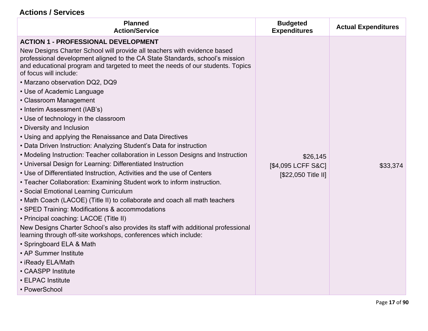## **Actions / Services**

| <b>Planned</b><br><b>Action/Service</b>                                                                                                                                                                                                                                                                                                                                                                                                                                                                                                                                                                                                                                                                                                                                                                                                                                                                                                                                                                                                                                                                                                                                                                                                                                                                                                                                                                                                                                       | <b>Budgeted</b><br><b>Expenditures</b>                | <b>Actual Expenditures</b> |
|-------------------------------------------------------------------------------------------------------------------------------------------------------------------------------------------------------------------------------------------------------------------------------------------------------------------------------------------------------------------------------------------------------------------------------------------------------------------------------------------------------------------------------------------------------------------------------------------------------------------------------------------------------------------------------------------------------------------------------------------------------------------------------------------------------------------------------------------------------------------------------------------------------------------------------------------------------------------------------------------------------------------------------------------------------------------------------------------------------------------------------------------------------------------------------------------------------------------------------------------------------------------------------------------------------------------------------------------------------------------------------------------------------------------------------------------------------------------------------|-------------------------------------------------------|----------------------------|
| <b>ACTION 1 - PROFESSIONAL DEVELOPMENT</b><br>New Designs Charter School will provide all teachers with evidence based<br>professional development aligned to the CA State Standards, school's mission<br>and educational program and targeted to meet the needs of our students. Topics<br>of focus will include:<br>. Marzano observation DQ2, DQ9<br>• Use of Academic Language<br>• Classroom Management<br>• Interim Assessment (IAB's)<br>• Use of technology in the classroom<br>• Diversity and Inclusion<br>• Using and applying the Renaissance and Data Directives<br>• Data Driven Instruction: Analyzing Student's Data for instruction<br>• Modeling Instruction: Teacher collaboration in Lesson Designs and Instruction<br>• Universal Design for Learning: Differentiated Instruction<br>• Use of Differentiated Instruction, Activities and the use of Centers<br>• Teacher Collaboration: Examining Student work to inform instruction.<br>• Social Emotional Learning Curriculum<br>• Math Coach (LACOE) (Title II) to collaborate and coach all math teachers<br>• SPED Training: Modifications & accommodations<br>• Principal coaching: LACOE (Title II)<br>New Designs Charter School's also provides its staff with additional professional<br>learning through off-site workshops, conferences which include:<br>• Springboard ELA & Math<br>• AP Summer Institute<br>• iReady ELA/Math<br>• CAASPP Institute<br>• ELPAC Institute<br>• PowerSchool | \$26,145<br>[\$4,095 LCFF S&C]<br>[\$22,050 Title II] | \$33,374                   |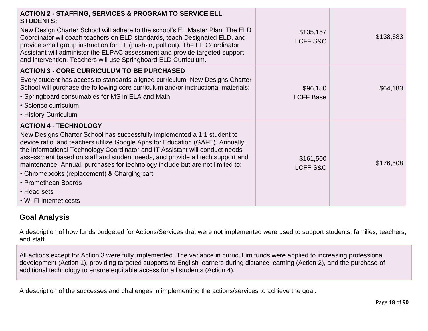| <b>ACTION 2 - STAFFING, SERVICES &amp; PROGRAM TO SERVICE ELL</b><br><b>STUDENTS:</b><br>New Design Charter School will adhere to the school's EL Master Plan. The ELD<br>Coordinator wil coach teachers on ELD standards, teach Designated ELD, and<br>provide small group instruction for EL (push-in, pull out). The EL Coordinator<br>Assistant will administer the ELPAC assessment and provide targeted support<br>and intervention. Teachers will use Springboard ELD Curriculum.                                                                    | \$135,157<br>LCFF S&C            | \$138,683 |
|-------------------------------------------------------------------------------------------------------------------------------------------------------------------------------------------------------------------------------------------------------------------------------------------------------------------------------------------------------------------------------------------------------------------------------------------------------------------------------------------------------------------------------------------------------------|----------------------------------|-----------|
| <b>ACTION 3 - CORE CURRICULUM TO BE PURCHASED</b><br>Every student has access to standards-aligned curriculum. New Designs Charter<br>School will purchase the following core curriculum and/or instructional materials:<br>• Springboard consumables for MS in ELA and Math<br>• Science curriculum<br>• History Curriculum                                                                                                                                                                                                                                | \$96,180<br><b>LCFF Base</b>     | \$64,183  |
| <b>ACTION 4 - TECHNOLOGY</b><br>New Designs Charter School has successfully implemented a 1:1 student to<br>device ratio, and teachers utilize Google Apps for Education (GAFE). Annually,<br>the Informational Technology Coordinator and IT Assistant will conduct needs<br>assessment based on staff and student needs, and provide all tech support and<br>maintenance. Annual, purchases for technology include but are not limited to:<br>• Chromebooks (replacement) & Charging cart<br>• Promethean Boards<br>• Head sets<br>• Wi-Fi Internet costs | \$161,500<br><b>LCFF S&amp;C</b> | \$176,508 |

#### **Goal Analysis**

A description of how funds budgeted for Actions/Services that were not implemented were used to support students, families, teachers, and staff.

All actions except for Action 3 were fully implemented. The variance in curriculum funds were applied to increasing professional development (Action 1), providing targeted supports to English learners during distance learning (Action 2), and the purchase of additional technology to ensure equitable access for all students (Action 4).

A description of the successes and challenges in implementing the actions/services to achieve the goal.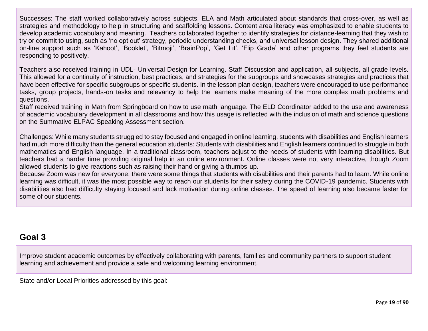Successes: The staff worked collaboratively across subjects. ELA and Math articulated about standards that cross-over, as well as strategies and methodology to help in structuring and scaffolding lessons. Content area literacy was emphasized to enable students to develop academic vocabulary and meaning. Teachers collaborated together to identify strategies for distance-learning that they wish to try or commit to using, such as 'no opt out' strategy, periodic understanding checks, and universal lesson design. They shared additional on-line support such as 'Kahoot', 'Booklet', 'Bitmoji', 'BrainPop', 'Get Lit', 'Flip Grade' and other programs they feel students are responding to positively.

Teachers also received training in UDL- Universal Design for Learning. Staff Discussion and application, all-subjects, all grade levels. This allowed for a continuity of instruction, best practices, and strategies for the subgroups and showcases strategies and practices that have been effective for specific subgroups or specific students. In the lesson plan design, teachers were encouraged to use performance tasks, group projects, hands-on tasks and relevancy to help the learners make meaning of the more complex math problems and questions.

Staff received training in Math from Springboard on how to use math language. The ELD Coordinator added to the use and awareness of academic vocabulary development in all classrooms and how this usage is reflected with the inclusion of math and science questions on the Summative ELPAC Speaking Assessment section.

Challenges: While many students struggled to stay focused and engaged in online learning, students with disabilities and English learners had much more difficulty than the general education students: Students with disabilities and English learners continued to struggle in both mathematics and English language. In a traditional classroom, teachers adjust to the needs of students with learning disabilities. But teachers had a harder time providing original help in an online environment. Online classes were not very interactive, though Zoom allowed students to give reactions such as raising their hand or giving a thumbs-up.

Because Zoom was new for everyone, there were some things that students with disabilities and their parents had to learn. While online learning was difficult, it was the most possible way to reach our students for their safety during the COVID-19 pandemic. Students with disabilities also had difficulty staying focused and lack motivation during online classes. The speed of learning also became faster for some of our students.

# **Goal 3**

Improve student academic outcomes by effectively collaborating with parents, families and community partners to support student learning and achievement and provide a safe and welcoming learning environment.

State and/or Local Priorities addressed by this goal: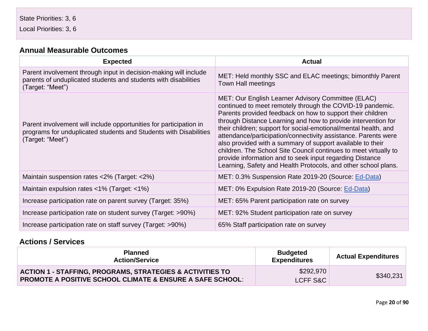Local Priorities: 3, 6

#### **[Annual Measurable Outcomes](#page-33-0)**

| <b>Expected</b>                                                                                                                                             | <b>Actual</b>                                                                                                                                                                                                                                                                                                                                                                                                                                                                                                                                                                                                                                       |
|-------------------------------------------------------------------------------------------------------------------------------------------------------------|-----------------------------------------------------------------------------------------------------------------------------------------------------------------------------------------------------------------------------------------------------------------------------------------------------------------------------------------------------------------------------------------------------------------------------------------------------------------------------------------------------------------------------------------------------------------------------------------------------------------------------------------------------|
| Parent involvement through input in decision-making will include<br>parents of unduplicated students and students with disabilities<br>(Target: "Meet")     | MET: Held monthly SSC and ELAC meetings; bimonthly Parent<br><b>Town Hall meetings</b>                                                                                                                                                                                                                                                                                                                                                                                                                                                                                                                                                              |
| Parent involvement will include opportunities for participation in<br>programs for unduplicated students and Students with Disabilities<br>(Target: "Meet") | MET: Our English Learner Advisory Committee (ELAC)<br>continued to meet remotely through the COVID-19 pandemic.<br>Parents provided feedback on how to support their children<br>through Distance Learning and how to provide intervention for<br>their children; support for social-emotional/mental health, and<br>attendance/participation/connectivity assistance. Parents were<br>also provided with a summary of support available to their<br>children. The School Site Council continues to meet virtually to<br>provide information and to seek input regarding Distance<br>Learning, Safety and Health Protocols, and other school plans. |
| Maintain suspension rates <2% (Target: <2%)                                                                                                                 | MET: 0.3% Suspension Rate 2019-20 (Source: Ed-Data)                                                                                                                                                                                                                                                                                                                                                                                                                                                                                                                                                                                                 |
| Maintain expulsion rates $\langle 1\% \rangle$ (Target: $\langle 1\% \rangle$                                                                               | MET: 0% Expulsion Rate 2019-20 (Source: Ed-Data)                                                                                                                                                                                                                                                                                                                                                                                                                                                                                                                                                                                                    |
| Increase participation rate on parent survey (Target: 35%)                                                                                                  | MET: 65% Parent participation rate on survey                                                                                                                                                                                                                                                                                                                                                                                                                                                                                                                                                                                                        |
| Increase participation rate on student survey (Target: >90%)                                                                                                | MET: 92% Student participation rate on survey                                                                                                                                                                                                                                                                                                                                                                                                                                                                                                                                                                                                       |
| Increase participation rate on staff survey (Target: >90%)                                                                                                  | 65% Staff participation rate on survey                                                                                                                                                                                                                                                                                                                                                                                                                                                                                                                                                                                                              |

#### **Actions / Services**

| <b>Planned</b><br><b>Action/Service</b>                                                                                                      | <b>Budgeted</b><br><b>Expenditures</b> | <b>Actual Expenditures</b> |
|----------------------------------------------------------------------------------------------------------------------------------------------|----------------------------------------|----------------------------|
| <b>ACTION 1 - STAFFING, PROGRAMS, STRATEGIES &amp; ACTIVITIES TO</b><br><b>PROMOTE A POSITIVE SCHOOL CLIMATE &amp; ENSURE A SAFE SCHOOL:</b> | \$292,970<br>LCFF S&C                  | \$340,231                  |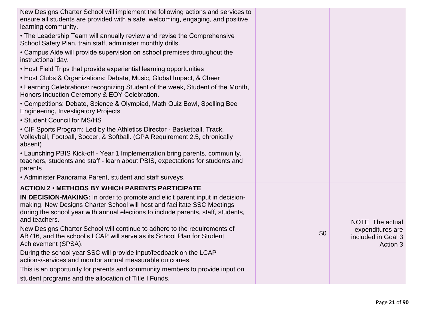| New Designs Charter School will implement the following actions and services to<br>ensure all students are provided with a safe, welcoming, engaging, and positive<br>learning community.                                                                      |     |                                                    |
|----------------------------------------------------------------------------------------------------------------------------------------------------------------------------------------------------------------------------------------------------------------|-----|----------------------------------------------------|
| • The Leadership Team will annually review and revise the Comprehensive<br>School Safety Plan, train staff, administer monthly drills.                                                                                                                         |     |                                                    |
| • Campus Aide will provide supervision on school premises throughout the<br>instructional day.                                                                                                                                                                 |     |                                                    |
| • Host Field Trips that provide experiential learning opportunities                                                                                                                                                                                            |     |                                                    |
| • Host Clubs & Organizations: Debate, Music, Global Impact, & Cheer                                                                                                                                                                                            |     |                                                    |
| • Learning Celebrations: recognizing Student of the week, Student of the Month,<br>Honors Induction Ceremony & EOY Celebration.                                                                                                                                |     |                                                    |
| • Competitions: Debate, Science & Olympiad, Math Quiz Bowl, Spelling Bee<br><b>Engineering, Investigatory Projects</b>                                                                                                                                         |     |                                                    |
| • Student Council for MS/HS                                                                                                                                                                                                                                    |     |                                                    |
| • CIF Sports Program: Led by the Athletics Director - Basketball, Track,<br>Volleyball, Football, Soccer, & Softball. (GPA Requirement 2.5, chronically<br>absent)                                                                                             |     |                                                    |
| • Launching PBIS Kick-off - Year 1 Implementation bring parents, community,<br>teachers, students and staff - learn about PBIS, expectations for students and<br>parents                                                                                       |     |                                                    |
| • Administer Panorama Parent, student and staff surveys.                                                                                                                                                                                                       |     |                                                    |
| <b>ACTION 2 • METHODS BY WHICH PARENTS PARTICIPATE</b>                                                                                                                                                                                                         |     |                                                    |
| IN DECISION-MAKING: In order to promote and elicit parent input in decision-<br>making, New Designs Charter School will host and facilitate SSC Meetings<br>during the school year with annual elections to include parents, staff, students,<br>and teachers. |     | <b>NOTE: The actual</b>                            |
| New Designs Charter School will continue to adhere to the requirements of<br>AB716, and the school's LCAP will serve as its School Plan for Student<br>Achievement (SPSA).                                                                                     | \$0 | expenditures are<br>included in Goal 3<br>Action 3 |
| During the school year SSC will provide input/feedback on the LCAP<br>actions/services and monitor annual measurable outcomes.                                                                                                                                 |     |                                                    |
| This is an opportunity for parents and community members to provide input on                                                                                                                                                                                   |     |                                                    |
| student programs and the allocation of Title I Funds.                                                                                                                                                                                                          |     |                                                    |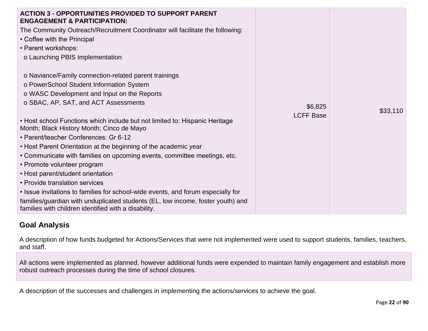| <b>ACTION 3 - OPPORTUNITIES PROVIDED TO SUPPORT PARENT</b><br><b>ENGAGEMENT &amp; PARTICIPATION:</b><br>The Community Outreach/Recruitment Coordinator will facilitate the following:<br>• Coffee with the Principal<br>• Parent workshops:<br>o Launching PBIS Implementation |                  |          |
|--------------------------------------------------------------------------------------------------------------------------------------------------------------------------------------------------------------------------------------------------------------------------------|------------------|----------|
| o Naviance/Family connection-related parent trainings                                                                                                                                                                                                                          |                  |          |
| o PowerSchool Student Information System                                                                                                                                                                                                                                       |                  |          |
| o WASC Development and Input on the Reports                                                                                                                                                                                                                                    |                  |          |
| o SBAC, AP, SAT, and ACT Assessments                                                                                                                                                                                                                                           | \$6,825          | \$33,110 |
| • Host school Functions which include but not limited to: Hispanic Heritage<br>Month; Black History Month; Cinco de Mayo                                                                                                                                                       | <b>LCFF Base</b> |          |
| • Parent/teacher Conferences: Gr 6-12                                                                                                                                                                                                                                          |                  |          |
| • Host Parent Orientation at the beginning of the academic year                                                                                                                                                                                                                |                  |          |
| • Communicate with families on upcoming events, committee meetings, etc.                                                                                                                                                                                                       |                  |          |
| • Promote volunteer program                                                                                                                                                                                                                                                    |                  |          |
| • Host parent/student orientation                                                                                                                                                                                                                                              |                  |          |
| • Provide translation services                                                                                                                                                                                                                                                 |                  |          |
| • Issue invitations to families for school-wide events, and forum especially for                                                                                                                                                                                               |                  |          |
| families/guardian with unduplicated students (EL, low income, foster youth) and<br>families with children identified with a disability.                                                                                                                                        |                  |          |

#### **Goal Analysis**

A description of how funds budgeted for Actions/Services that were not implemented were used to support students, families, teachers, and staff.

All actions were implemented as planned, however additional funds were expended to maintain family engagement and establish more robust outreach processes during the time of school closures.

A description of the successes and challenges in implementing the actions/services to achieve the goal.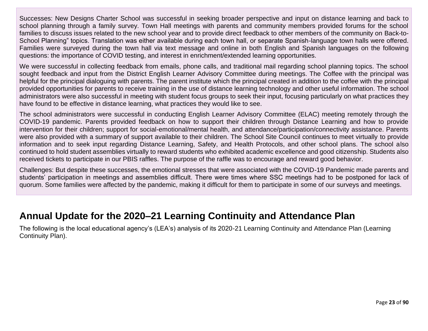Successes: New Designs Charter School was successful in seeking broader perspective and input on distance learning and back to school planning through a family survey. Town Hall meetings with parents and community members provided forums for the school families to discuss issues related to the new school year and to provide direct feedback to other members of the community on Back-to-School Planning" topics. Translation was either available during each town hall, or separate Spanish-language town halls were offered. Families were surveyed during the town hall via text message and online in both English and Spanish languages on the following questions: the importance of COVID testing, and interest in enrichment/extended learning opportunities.

We were successful in collecting feedback from emails, phone calls, and traditional mail regarding school planning topics. The school sought feedback and input from the District English Learner Advisory Committee during meetings. The Coffee with the principal was helpful for the principal dialoguing with parents. The parent institute which the principal created in addition to the coffee with the principal provided opportunities for parents to receive training in the use of distance learning technology and other useful information. The school administrators were also successful in meeting with student focus groups to seek their input, focusing particularly on what practices they have found to be effective in distance learning, what practices they would like to see.

The school administrators were successful in conducting English Learner Advisory Committee (ELAC) meeting remotely through the COVID-19 pandemic. Parents provided feedback on how to support their children through Distance Learning and how to provide intervention for their children; support for social-emotional/mental health, and attendance/participation/connectivity assistance. Parents were also provided with a summary of support available to their children. The School Site Council continues to meet virtually to provide information and to seek input regarding Distance Learning, Safety, and Health Protocols, and other school plans. The school also continued to hold student assemblies virtually to reward students who exhibited academic excellence and good citizenship. Students also received tickets to participate in our PBIS raffles. The purpose of the raffle was to encourage and reward good behavior.

Challenges: But despite these successes, the emotional stresses that were associated with the COVID-19 Pandemic made parents and students' participation in meetings and assemblies difficult. There were times where SSC meetings had to be postponed for lack of quorum. Some families were affected by the pandemic, making it difficult for them to participate in some of our surveys and meetings.

# **Annual Update for the 2020–21 Learning Continuity and Attendance Plan**

The following is the local educational agency's (LEA's) analysis of its 2020-21 Learning Continuity and Attendance Plan (Learning Continuity Plan).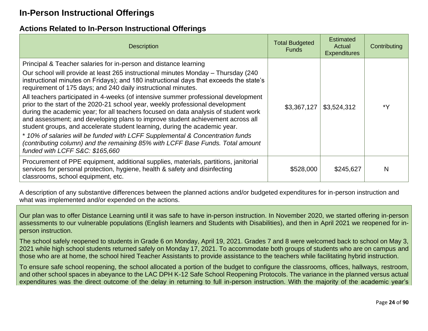# **In-Person Instructional Offerings**

#### **Actions Related to In-Person Instructional Offerings**

| <b>Description</b>                                                                                                                                                                                                                                                                                                                                                                                                                                                                                                                                                                                                                                                                                                                                                                                                                                                                                                                                    | <b>Total Budgeted</b><br><b>Funds</b> | <b>Estimated</b><br>Actual<br><b>Expenditures</b> | Contributing |
|-------------------------------------------------------------------------------------------------------------------------------------------------------------------------------------------------------------------------------------------------------------------------------------------------------------------------------------------------------------------------------------------------------------------------------------------------------------------------------------------------------------------------------------------------------------------------------------------------------------------------------------------------------------------------------------------------------------------------------------------------------------------------------------------------------------------------------------------------------------------------------------------------------------------------------------------------------|---------------------------------------|---------------------------------------------------|--------------|
| Principal & Teacher salaries for in-person and distance learning<br>Our school will provide at least 265 instructional minutes Monday - Thursday (240<br>instructional minutes on Fridays); and 180 instructional days that exceeds the state's<br>requirement of 175 days; and 240 daily instructional minutes.<br>All teachers participated in 4-weeks (of intensive summer professional development<br>prior to the start of the 2020-21 school year, weekly professional development<br>during the academic year; for all teachers focused on data analysis of student work<br>and assessment; and developing plans to improve student achievement across all<br>student groups, and accelerate student learning, during the academic year.<br>* 10% of salaries will be funded with LCFF Supplemental & Concentration funds<br>(contributing column) and the remaining 85% with LCFF Base Funds. Total amount<br>funded with LCFF S&C: \$165,660 | \$3,367,127                           | \$3,524,312                                       | *Y           |
| Procurement of PPE equipment, additional supplies, materials, partitions, janitorial<br>services for personal protection, hygiene, health & safety and disinfecting<br>classrooms, school equipment, etc.                                                                                                                                                                                                                                                                                                                                                                                                                                                                                                                                                                                                                                                                                                                                             | \$528,000                             | \$245,627                                         | N            |

A description of any substantive differences between the planned actions and/or budgeted expenditures for in-person instruction and what was implemented and/or expended on the actions.

Our plan was to offer Distance Learning until it was safe to have in-person instruction. In November 2020, we started offering in-person assessments to our vulnerable populations (English learners and Students with Disabilities), and then in April 2021 we reopened for inperson instruction.

The school safely reopened to students in Grade 6 on Monday, April 19, 2021. Grades 7 and 8 were welcomed back to school on May 3, 2021 while high school students returned safely on Monday 17, 2021. To accommodate both groups of students who are on campus and those who are at home, the school hired Teacher Assistants to provide assistance to the teachers while facilitating hybrid instruction.

To ensure safe school reopening, the school allocated a portion of the budget to configure the classrooms, offices, hallways, restroom, and other school spaces in abeyance to the LAC DPH K-12 Safe School Reopening Protocols. The variance in the planned versus actual expenditures was the direct outcome of the delay in returning to full in-person instruction. With the majority of the academic year's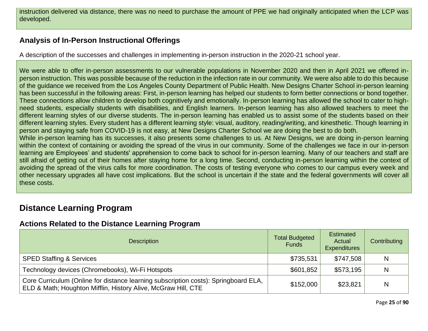instruction delivered via distance, there was no need to purchase the amount of PPE we had originally anticipated when the LCP was developed.

#### **Analysis of In-Person Instructional Offerings**

A description of the successes and challenges in implementing in-person instruction in the 2020-21 school year.

We were able to offer in-person assessments to our vulnerable populations in November 2020 and then in April 2021 we offered inperson instruction. This was possible because of the reduction in the infection rate in our community. We were also able to do this because of the guidance we received from the Los Angeles County Department of Public Health. New Designs Charter School in-person learning has been successful in the following areas: First, in-person learning has helped our students to form better connections or bond together. These connections allow children to develop both cognitively and emotionally. In-person learning has allowed the school to cater to highneed students, especially students with disabilities, and English learners. In-person learning has also allowed teachers to meet the different learning styles of our diverse students. The in-person learning has enabled us to assist some of the students based on their different learning styles. Every student has a different learning style: visual, auditory, reading/writing, and kinesthetic. Though learning in person and staying safe from COVID-19 is not easy, at New Designs Charter School we are doing the best to do both. While in-person learning has its successes, it also presents some challenges to us. At New Designs, we are doing in-person learning within the context of containing or avoiding the spread of the virus in our community. Some of the challenges we face in our in-person learning are Employees' and students' apprehension to come back to school for in-person learning. Many of our teachers and staff are still afraid of getting out of their homes after staying home for a long time. Second, conducting in-person learning within the context of avoiding the spread of the virus calls for more coordination. The costs of testing everyone who comes to our campus every week and other necessary upgrades all have cost implications. But the school is uncertain if the state and the federal governments will cover all

# **Distance Learning Program**

these costs.

### **Actions Related to the Distance Learning Program**

| <b>Description</b>                                                                                                                                   | <b>Total Budgeted</b><br><b>Funds</b> | Estimated<br>Actual<br><b>Expenditures</b> | Contributing |
|------------------------------------------------------------------------------------------------------------------------------------------------------|---------------------------------------|--------------------------------------------|--------------|
| <b>SPED Staffing &amp; Services</b>                                                                                                                  | \$735,531                             | \$747,508                                  | N            |
| Technology devices (Chromebooks), Wi-Fi Hotspots                                                                                                     | \$601,852                             | \$573,195                                  | N            |
| Core Curriculum (Online for distance learning subscription costs): Springboard ELA,<br>ELD & Math; Houghton Mifflin, History Alive, McGraw Hill, CTE | \$152,000                             | \$23,821                                   | N            |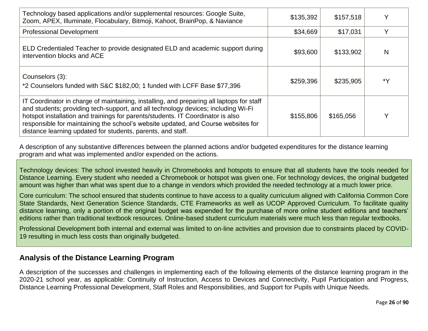| Technology based applications and/or supplemental resources: Google Suite,<br>Zoom, APEX, Illuminate, Flocabulary, Bitmoji, Kahoot, BrainPop, & Naviance                                                                                                                                                                                                                                                             | \$135,392 | \$157,518 | Υ  |
|----------------------------------------------------------------------------------------------------------------------------------------------------------------------------------------------------------------------------------------------------------------------------------------------------------------------------------------------------------------------------------------------------------------------|-----------|-----------|----|
| <b>Professional Development</b>                                                                                                                                                                                                                                                                                                                                                                                      | \$34,669  | \$17,031  | Y  |
| ELD Credentialed Teacher to provide designated ELD and academic support during<br>intervention blocks and ACE                                                                                                                                                                                                                                                                                                        | \$93,600  | \$133,902 | N  |
| Counselors (3):<br>*2 Counselors funded with S&C \$182,00; 1 funded with LCFF Base \$77,396                                                                                                                                                                                                                                                                                                                          | \$259,396 | \$235,905 | *Y |
| IT Coordinator in charge of maintaining, installing, and preparing all laptops for staff<br>and students; providing tech-support, and all technology devices; including Wi-Fi<br>hotspot installation and trainings for parents/students. IT Coordinator is also<br>responsible for maintaining the school's website updated, and Course websites for<br>distance learning updated for students, parents, and staff. | \$155,806 | \$165,056 | Υ  |

A description of any substantive differences between the planned actions and/or budgeted expenditures for the distance learning program and what was implemented and/or expended on the actions.

Technology devices: The school invested heavily in Chromebooks and hotspots to ensure that all students have the tools needed for Distance Learning. Every student who needed a Chromebook or hotspot was given one. For technology devices, the original budgeted amount was higher than what was spent due to a change in vendors which provided the needed technology at a much lower price.

Core curriculum: The school ensured that students continue to have access to a quality curriculum aligned with California Common Core State Standards, Next Generation Science Standards, CTE Frameworks as well as UCOP Approved Curriculum. To facilitate quality distance learning, only a portion of the original budget was expended for the purchase of more online student editions and teachers' editions rather than traditional textbook resources. Online-based student curriculum materials were much less than regular textbooks.

Professional Development both internal and external was limited to on-line activities and provision due to constraints placed by COVID-19 resulting in much less costs than originally budgeted.

#### **Analysis of the Distance Learning Program**

A description of the successes and challenges in implementing each of the following elements of the distance learning program in the 2020-21 school year, as applicable: Continuity of Instruction, Access to Devices and Connectivity, Pupil Participation and Progress, Distance Learning Professional Development, Staff Roles and Responsibilities, and Support for Pupils with Unique Needs.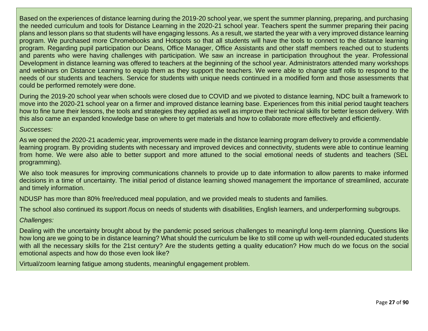Based on the experiences of distance learning during the 2019-20 school year, we spent the summer planning, preparing, and purchasing the needed curriculum and tools for Distance Learning in the 2020-21 school year. Teachers spent the summer preparing their pacing plans and lesson plans so that students will have engaging lessons. As a result, we started the year with a very improved distance learning program. We purchased more Chromebooks and Hotspots so that all students will have the tools to connect to the distance learning program. Regarding pupil participation our Deans, Office Manager, Office Assistants and other staff members reached out to students and parents who were having challenges with participation. We saw an increase in participation throughout the year. Professional Development in distance learning was offered to teachers at the beginning of the school year. Administrators attended many workshops and webinars on Distance Learning to equip them as they support the teachers. We were able to change staff rolls to respond to the needs of our students and teachers. Service for students with unique needs continued in a modified form and those assessments that could be performed remotely were done.

During the 2019-20 school year when schools were closed due to COVID and we pivoted to distance learning, NDC built a framework to move into the 2020-21 school year on a firmer and improved distance learning base. Experiences from this initial period taught teachers how to fine tune their lessons, the tools and strategies they applied as well as improve their technical skills for better lesson delivery. With this also came an expanded knowledge base on where to get materials and how to collaborate more effectively and efficiently.

#### *Successes:*

As we opened the 2020-21 academic year, improvements were made in the distance learning program delivery to provide a commendable learning program. By providing students with necessary and improved devices and connectivity, students were able to continue learning from home. We were also able to better support and more attuned to the social emotional needs of students and teachers (SEL programming).

We also took measures for improving communications channels to provide up to date information to allow parents to make informed decisions in a time of uncertainty. The initial period of distance learning showed management the importance of streamlined, accurate and timely information.

NDUSP has more than 80% free/reduced meal population, and we provided meals to students and families.

The school also continued its support /focus on needs of students with disabilities, English learners, and underperforming subgroups.

#### *Challenges:*

Dealing with the uncertainty brought about by the pandemic posed serious challenges to meaningful long-term planning. Questions like how long are we going to be in distance learning? What should the curriculum be like to still come up with well-rounded educated students with all the necessary skills for the 21st century? Are the students getting a quality education? How much do we focus on the social emotional aspects and how do those even look like?

Virtual/zoom learning fatigue among students, meaningful engagement problem.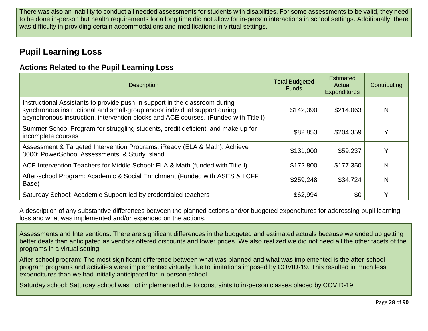There was also an inability to conduct all needed assessments for students with disabilities. For some assessments to be valid, they need to be done in-person but health requirements for a long time did not allow for in-person interactions in school settings. Additionally, there was difficulty in providing certain accommodations and modifications in virtual settings.

# **Pupil Learning Loss**

#### **Actions Related to the Pupil Learning Loss**

| <b>Description</b>                                                                                                                                                                                                                                | <b>Total Budgeted</b><br><b>Funds</b> | <b>Estimated</b><br>Actual<br><b>Expenditures</b> | Contributing |
|---------------------------------------------------------------------------------------------------------------------------------------------------------------------------------------------------------------------------------------------------|---------------------------------------|---------------------------------------------------|--------------|
| Instructional Assistants to provide push-in support in the classroom during<br>synchronous instructional and small-group and/or individual support during<br>asynchronous instruction, intervention blocks and ACE courses. (Funded with Title I) | \$142,390                             | \$214,063                                         | N            |
| Summer School Program for struggling students, credit deficient, and make up for<br>incomplete courses                                                                                                                                            | \$82,853                              | \$204,359                                         |              |
| Assessment & Targeted Intervention Programs: iReady (ELA & Math); Achieve<br>3000; PowerSchool Assessments, & Study Island                                                                                                                        | \$131,000                             | \$59,237                                          | v            |
| ACE Intervention Teachers for Middle School: ELA & Math (funded with Title I)                                                                                                                                                                     | \$172,800                             | \$177,350                                         | N            |
| After-school Program: Academic & Social Enrichment (Funded with ASES & LCFF<br>Base)                                                                                                                                                              | \$259,248                             | \$34,724                                          | N            |
| Saturday School: Academic Support led by credentialed teachers                                                                                                                                                                                    | \$62,994                              | \$0                                               |              |

A description of any substantive differences between the planned actions and/or budgeted expenditures for addressing pupil learning loss and what was implemented and/or expended on the actions.

Assessments and Interventions: There are significant differences in the budgeted and estimated actuals because we ended up getting better deals than anticipated as vendors offered discounts and lower prices. We also realized we did not need all the other facets of the programs in a virtual setting.

After-school program: The most significant difference between what was planned and what was implemented is the after-school program programs and activities were implemented virtually due to limitations imposed by COVID-19. This resulted in much less expenditures than we had initially anticipated for in-person school.

Saturday school: Saturday school was not implemented due to constraints to in-person classes placed by COVID-19.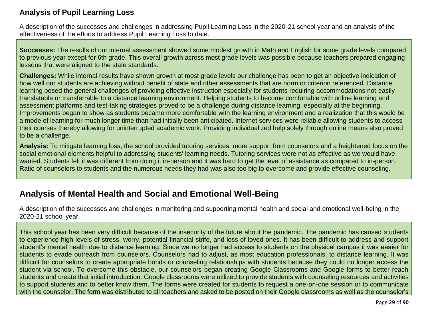#### **Analysis of Pupil Learning Loss**

A description of the successes and challenges in addressing Pupil Learning Loss in the 2020-21 school year and an analysis of the effectiveness of the efforts to address Pupil Learning Loss to date.

**Successes:** The results of our internal assessment showed some modest growth in Math and English for some grade levels compared to previous year except for 6th grade. This overall growth across most grade levels was possible because teachers prepared engaging lessons that were aligned to the state standards.

**Challenges:** While internal results have shown growth at most grade levels our challenge has been to get an objective indication of how well our students are achieving without benefit of state and other assessments that are norm or criterion referenced. Distance learning posed the general challenges of providing effective instruction especially for students requiring accommodations not easily translatable or transferrable to a distance learning environment. Helping students to become comfortable with online learning and assessment platforms and test-taking strategies proved to be a challenge during distance learning, especially at the beginning. Improvements began to show as students became more comfortable with the learning environment and a realization that this would be a mode of learning for much longer time than had initially been anticipated. Internet services were reliable allowing students to access their courses thereby allowing for uninterrupted academic work. Providing individualized help solely through online means also proved to be a challenge.

**Analysis:** To mitigate learning loss, the school provided tutoring services, more support from counselors and a heightened focus on the social emotional elements helpful to addressing students' learning needs. Tutoring services were not as effective as we would have wanted. Students felt it was different from doing it in-person and it was hard to get the level of assistance as compared to in-person. Ratio of counselors to students and the numerous needs they had was also too big to overcome and provide effective counseling.

# **Analysis of Mental Health and Social and Emotional Well-Being**

A description of the successes and challenges in monitoring and supporting mental health and social and emotional well-being in the 2020-21 school year.

This school year has been very difficult because of the insecurity of the future about the pandemic. The pandemic has caused students to experience high levels of stress, worry, potential financial strife, and loss of loved ones. It has been difficult to address and support student's mental health due to distance learning. Since we no longer had access to students on the physical campus it was easier for students to evade outreach from counselors. Counselors had to adjust, as most education professionals, to distance learning. It was difficult for counselors to create appropriate bonds or counseling relationships with students because they could no longer access the student via school. To overcome this obstacle, our counselors began creating Google Classrooms and Google forms to better reach students and create that initial introduction. Google classrooms were utilized to provide students with counseling resources and activities to support students and to better know them. The forms were created for students to request a one-on-one session or to communicate with the counselor. The form was distributed to all teachers and asked to be posted on their Google classrooms as well as the counselor's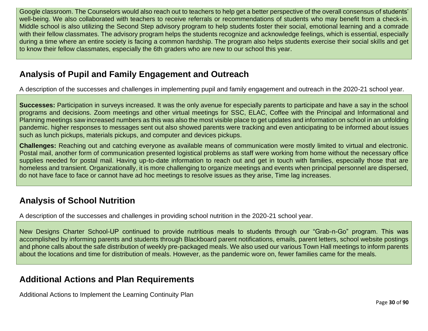Google classroom. The Counselors would also reach out to teachers to help get a better perspective of the overall consensus of students' well-being. We also collaborated with teachers to receive referrals or recommendations of students who may benefit from a check-in. Middle school is also utilizing the Second Step advisory program to help students foster their social, emotional learning and a comrade with their fellow classmates. The advisory program helps the students recognize and acknowledge feelings, which is essential, especially during a time where an entire society is facing a common hardship. The program also helps students exercise their social skills and get to know their fellow classmates, especially the 6th graders who are new to our school this year.

# **Analysis of Pupil and Family Engagement and Outreach**

A description of the successes and challenges in implementing pupil and family engagement and outreach in the 2020-21 school year.

**Successes:** Participation in surveys increased. It was the only avenue for especially parents to participate and have a say in the school programs and decisions. Zoom meetings and other virtual meetings for SSC, ELAC, Coffee with the Principal and Informational and Planning meetings saw increased numbers as this was also the most visible place to get updates and information on school in an unfolding pandemic. higher responses to messages sent out also showed parents were tracking and even anticipating to be informed about issues such as lunch pickups, materials pickups, and computer and devices pickups.

**Challenges:** Reaching out and catching everyone as available means of communication were mostly limited to virtual and electronic. Postal mail, another form of communication presented logistical problems as staff were working from home without the necessary office supplies needed for postal mail. Having up-to-date information to reach out and get in touch with families, especially those that are homeless and transient. Organizationally, it is more challenging to organize meetings and events when principal personnel are dispersed, do not have face to face or cannot have ad hoc meetings to resolve issues as they arise, Time lag increases.

## **Analysis of School Nutrition**

A description of the successes and challenges in providing school nutrition in the 2020-21 school year.

New Designs Charter School-UP continued to provide nutritious meals to students through our "Grab-n-Go" program. This was accomplished by informing parents and students through Blackboard parent notifications, emails, parent letters, school website postings and phone calls about the safe distribution of weekly pre-packaged meals. We also used our various Town Hall meetings to inform parents about the locations and time for distribution of meals. However, as the pandemic wore on, fewer families came for the meals.

# **Additional Actions and Plan Requirements**

Additional Actions to Implement the Learning Continuity Plan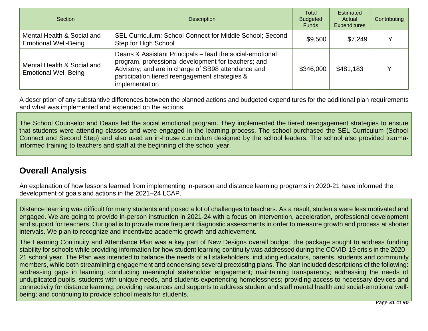| <b>Section</b>                                            | <b>Description</b>                                                                                                                                                                                                                        | Total<br><b>Budgeted</b><br><b>Funds</b> | Estimated<br>Actual<br><b>Expenditures</b> | Contributing |
|-----------------------------------------------------------|-------------------------------------------------------------------------------------------------------------------------------------------------------------------------------------------------------------------------------------------|------------------------------------------|--------------------------------------------|--------------|
| Mental Health & Social and<br><b>Emotional Well-Being</b> | <b>SEL Curriculum: School Connect for Middle School; Second</b><br>Step for High School                                                                                                                                                   | \$9,500                                  | \$7,249                                    |              |
| Mental Health & Social and<br><b>Emotional Well-Being</b> | Deans & Assistant Principals – lead the social-emotional<br>program, professional development for teachers; and<br>Advisory; and are in charge of SB98 attendance and<br>participation tiered reengagement strategies &<br>implementation | \$346,000                                | \$481,183                                  |              |

A description of any substantive differences between the planned actions and budgeted expenditures for the additional plan requirements and what was implemented and expended on the actions.

The School Counselor and Deans led the social emotional program. They implemented the tiered reengagement strategies to ensure that students were attending classes and were engaged in the learning process. The school purchased the SEL Curriculum (School Connect and Second Step) and also used an in-house curriculum designed by the school leaders. The school also provided traumainformed training to teachers and staff at the beginning of the school year.

# **Overall Analysis**

An explanation of how lessons learned from implementing in-person and distance learning programs in 2020-21 have informed the development of goals and actions in the 2021–24 LCAP.

Distance learning was difficult for many students and posed a lot of challenges to teachers. As a result, students were less motivated and engaged. We are going to provide in-person instruction in 2021-24 with a focus on intervention, acceleration, professional development and support for teachers. Our goal is to provide more frequent diagnostic assessments in order to measure growth and process at shorter intervals. We plan to recognize and incentivize academic growth and achievement.

The Learning Continuity and Attendance Plan was a key part of New Designs overall budget, the package sought to address funding stability for schools while providing information for how student learning continuity was addressed during the COVID-19 crisis in the 2020– 21 school year. The Plan was intended to balance the needs of all stakeholders, including educators, parents, students and community members, while both streamlining engagement and condensing several preexisting plans. The plan included descriptions of the following: addressing gaps in learning; conducting meaningful stakeholder engagement; maintaining transparency; addressing the needs of unduplicated pupils, students with unique needs, and students experiencing homelessness; providing access to necessary devices and connectivity for distance learning; providing resources and supports to address student and staff mental health and social-emotional wellbeing; and continuing to provide school meals for students.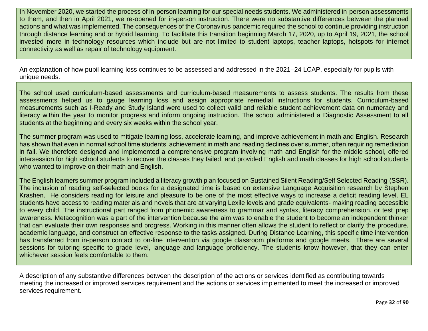In November 2020, we started the process of in-person learning for our special needs students. We administered in-person assessments to them, and then in April 2021, we re-opened for in-person instruction. There were no substantive differences between the planned actions and what was implemented. The consequences of the Coronavirus pandemic required the school to continue providing instruction through distance learning and or hybrid learning. To facilitate this transition beginning March 17, 2020, up to April 19, 2021, the school invested more in technology resources which include but are not limited to student laptops, teacher laptops, hotspots for internet connectivity as well as repair of technology equipment.

An explanation of how pupil learning loss continues to be assessed and addressed in the 2021–24 LCAP, especially for pupils with unique needs.

The school used curriculum-based assessments and curriculum-based measurements to assess students. The results from these assessments helped us to gauge learning loss and assign appropriate remedial instructions for students. Curriculum-based measurements such as I-Ready and Study Island were used to collect valid and reliable student achievement data on numeracy and literacy within the year to monitor progress and inform ongoing instruction. The school administered a Diagnostic Assessment to all students at the beginning and every six weeks within the school year.

The summer program was used to mitigate learning loss, accelerate learning, and improve achievement in math and English. Research has shown that even in normal school time students' achievement in math and reading declines over summer, often requiring remediation in fall. We therefore designed and implemented a comprehensive program involving math and English for the middle school, offered intersession for high school students to recover the classes they failed, and provided English and math classes for high school students who wanted to improve on their math and English.

The English learners summer program included a literacy growth plan focused on Sustained Silent Reading/Self Selected Reading (SSR). The inclusion of reading self-selected books for a designated time is based on extensive Language Acquisition research by Stephen Krashen. He considers reading for leisure and pleasure to be one of the most effective ways to increase a deficit reading level. EL students have access to reading materials and novels that are at varying Lexile levels and grade equivalents- making reading accessible to every child. The instructional part ranged from phonemic awareness to grammar and syntax, literacy comprehension, or test prep awareness. Metacognition was a part of the intervention because the aim was to enable the student to become an independent thinker that can evaluate their own responses and progress. Working in this manner often allows the student to reflect or clarify the procedure, academic language, and construct an effective response to the tasks assigned. During Distance Learning, this specific time intervention has transferred from in-person contact to on-line intervention via google classroom platforms and google meets. There are several sessions for tutoring specific to grade level, language and language proficiency. The students know however, that they can enter whichever session feels comfortable to them.

A description of any substantive differences between the description of the actions or services identified as contributing towards meeting the increased or improved services requirement and the actions or services implemented to meet the increased or improved services requirement.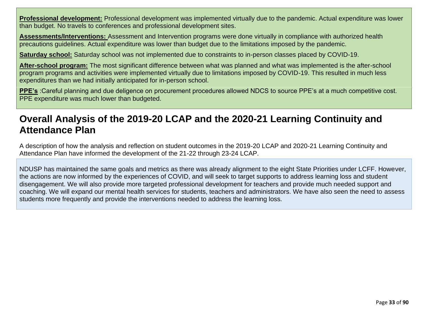**Professional development:** Professional development was implemented virtually due to the pandemic. Actual expenditure was lower than budget. No travels to conferences and professional development sites.

**Assessments/Interventions:** Assessment and Intervention programs were done virtually in compliance with authorized health precautions guidelines. Actual expenditure was lower than budget due to the limitations imposed by the pandemic.

**Saturday school:** Saturday school was not implemented due to constraints to in-person classes placed by COVID-19.

**After-school program:** The most significant difference between what was planned and what was implemented is the after-school program programs and activities were implemented virtually due to limitations imposed by COVID-19. This resulted in much less expenditures than we had initially anticipated for in-person school.

**PPE's** :Careful planning and due deligence on procurement procedures allowed NDCS to source PPE's at a much competitive cost. PPE expenditure was much lower than budgeted.

# **Overall Analysis of the 2019-20 LCAP and the 2020-21 Learning Continuity and Attendance Plan**

A description of how the analysis and reflection on student outcomes in the 2019-20 LCAP and 2020-21 Learning Continuity and Attendance Plan have informed the development of the 21-22 through 23-24 LCAP.

NDUSP has maintained the same goals and metrics as there was already alignment to the eight State Priorities under LCFF. However, the actions are now informed by the experiences of COVID, and will seek to target supports to address learning loss and student disengagement. We will also provide more targeted professional development for teachers and provide much needed support and coaching. We will expand our mental health services for students, teachers and administrators. We have also seen the need to assess students more frequently and provide the interventions needed to address the learning loss.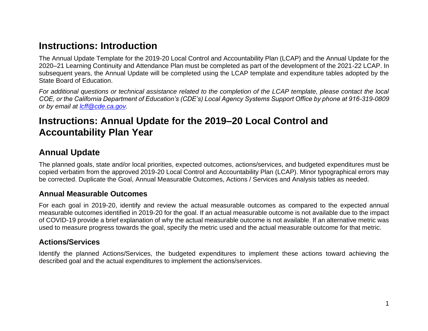# **Instructions: Introduction**

The Annual Update Template for the 2019-20 Local Control and Accountability Plan (LCAP) and the Annual Update for the 2020–21 Learning Continuity and Attendance Plan must be completed as part of the development of the 2021-22 LCAP. In subsequent years, the Annual Update will be completed using the LCAP template and expenditure tables adopted by the State Board of Education.

*For additional questions or technical assistance related to the completion of the LCAP template, please contact the local COE, or the California Department of Education's (CDE's) Local Agency Systems Support Office by phone at 916-319-0809 or by email at [lcff@cde.ca.gov.](mailto:lcff@cde.ca.gov)*

# **Instructions: Annual Update for the 2019–20 Local Control and Accountability Plan Year**

## **Annual Update**

The planned goals, state and/or local priorities, expected outcomes, actions/services, and budgeted expenditures must be copied verbatim from the approved 2019-20 Local Control and Accountability Plan (LCAP). Minor typographical errors may be corrected. Duplicate the Goal, Annual Measurable Outcomes, Actions / Services and Analysis tables as needed.

#### <span id="page-33-0"></span>**Annual Measurable Outcomes**

For each goal in 2019-20, identify and review the actual measurable outcomes as compared to the expected annual measurable outcomes identified in 2019-20 for the goal. If an actual measurable outcome is not available due to the impact of COVID-19 provide a brief explanation of why the actual measurable outcome is not available. If an alternative metric was used to measure progress towards the goal, specify the metric used and the actual measurable outcome for that metric.

#### **Actions/Services**

Identify the planned Actions/Services, the budgeted expenditures to implement these actions toward achieving the described goal and the actual expenditures to implement the actions/services.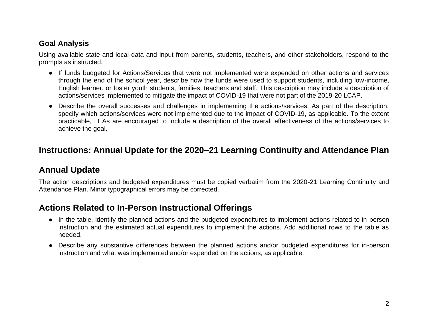#### **Goal Analysis**

Using available state and local data and input from parents, students, teachers, and other stakeholders, respond to the prompts as instructed.

- If funds budgeted for Actions/Services that were not implemented were expended on other actions and services through the end of the school year, describe how the funds were used to support students, including low-income, English learner, or foster youth students, families, teachers and staff. This description may include a description of actions/services implemented to mitigate the impact of COVID-19 that were not part of the 2019-20 LCAP.
- Describe the overall successes and challenges in implementing the actions/services. As part of the description, specify which actions/services were not implemented due to the impact of COVID-19, as applicable. To the extent practicable, LEAs are encouraged to include a description of the overall effectiveness of the actions/services to achieve the goal.

# **Instructions: Annual Update for the 2020–21 Learning Continuity and Attendance Plan**

## **Annual Update**

The action descriptions and budgeted expenditures must be copied verbatim from the 2020-21 Learning Continuity and Attendance Plan. Minor typographical errors may be corrected.

# **Actions Related to In-Person Instructional Offerings**

- In the table, identify the planned actions and the budgeted expenditures to implement actions related to in-person instruction and the estimated actual expenditures to implement the actions. Add additional rows to the table as needed.
- Describe any substantive differences between the planned actions and/or budgeted expenditures for in-person instruction and what was implemented and/or expended on the actions, as applicable.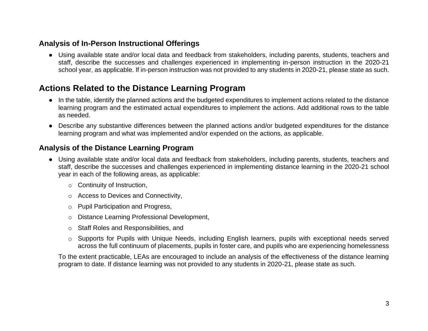#### **Analysis of In-Person Instructional Offerings**

● Using available state and/or local data and feedback from stakeholders, including parents, students, teachers and staff, describe the successes and challenges experienced in implementing in-person instruction in the 2020-21 school year, as applicable. If in-person instruction was not provided to any students in 2020-21, please state as such.

## **Actions Related to the Distance Learning Program**

- In the table, identify the planned actions and the budgeted expenditures to implement actions related to the distance learning program and the estimated actual expenditures to implement the actions. Add additional rows to the table as needed.
- Describe any substantive differences between the planned actions and/or budgeted expenditures for the distance learning program and what was implemented and/or expended on the actions, as applicable.

#### **Analysis of the Distance Learning Program**

- Using available state and/or local data and feedback from stakeholders, including parents, students, teachers and staff, describe the successes and challenges experienced in implementing distance learning in the 2020-21 school year in each of the following areas, as applicable:
	- o Continuity of Instruction,
	- o Access to Devices and Connectivity,
	- o Pupil Participation and Progress,
	- o Distance Learning Professional Development,
	- o Staff Roles and Responsibilities, and
	- $\circ$  Supports for Pupils with Unique Needs, including English learners, pupils with exceptional needs served across the full continuum of placements, pupils in foster care, and pupils who are experiencing homelessness

To the extent practicable, LEAs are encouraged to include an analysis of the effectiveness of the distance learning program to date. If distance learning was not provided to any students in 2020-21, please state as such.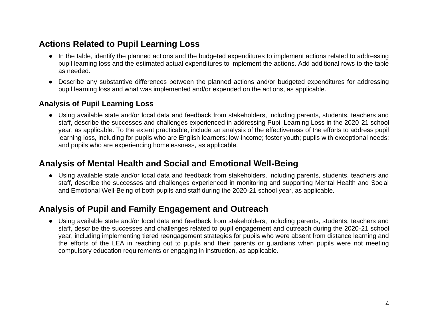### **Actions Related to Pupil Learning Loss**

- In the table, identify the planned actions and the budgeted expenditures to implement actions related to addressing pupil learning loss and the estimated actual expenditures to implement the actions. Add additional rows to the table as needed.
- Describe any substantive differences between the planned actions and/or budgeted expenditures for addressing pupil learning loss and what was implemented and/or expended on the actions, as applicable.

#### **Analysis of Pupil Learning Loss**

● Using available state and/or local data and feedback from stakeholders, including parents, students, teachers and staff, describe the successes and challenges experienced in addressing Pupil Learning Loss in the 2020-21 school year, as applicable. To the extent practicable, include an analysis of the effectiveness of the efforts to address pupil learning loss, including for pupils who are English learners; low-income; foster youth; pupils with exceptional needs; and pupils who are experiencing homelessness, as applicable.

#### **Analysis of Mental Health and Social and Emotional Well-Being**

● Using available state and/or local data and feedback from stakeholders, including parents, students, teachers and staff, describe the successes and challenges experienced in monitoring and supporting Mental Health and Social and Emotional Well-Being of both pupils and staff during the 2020-21 school year, as applicable.

### **Analysis of Pupil and Family Engagement and Outreach**

● Using available state and/or local data and feedback from stakeholders, including parents, students, teachers and staff, describe the successes and challenges related to pupil engagement and outreach during the 2020-21 school year, including implementing tiered reengagement strategies for pupils who were absent from distance learning and the efforts of the LEA in reaching out to pupils and their parents or guardians when pupils were not meeting compulsory education requirements or engaging in instruction, as applicable.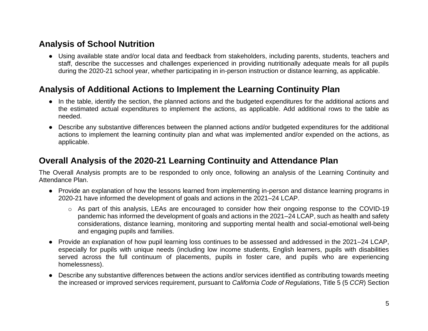### **Analysis of School Nutrition**

● Using available state and/or local data and feedback from stakeholders, including parents, students, teachers and staff, describe the successes and challenges experienced in providing nutritionally adequate meals for all pupils during the 2020-21 school year, whether participating in in-person instruction or distance learning, as applicable.

### **Analysis of Additional Actions to Implement the Learning Continuity Plan**

- In the table, identify the section, the planned actions and the budgeted expenditures for the additional actions and the estimated actual expenditures to implement the actions, as applicable. Add additional rows to the table as needed.
- Describe any substantive differences between the planned actions and/or budgeted expenditures for the additional actions to implement the learning continuity plan and what was implemented and/or expended on the actions, as applicable.

### **Overall Analysis of the 2020-21 Learning Continuity and Attendance Plan**

The Overall Analysis prompts are to be responded to only once, following an analysis of the Learning Continuity and Attendance Plan.

- Provide an explanation of how the lessons learned from implementing in-person and distance learning programs in 2020-21 have informed the development of goals and actions in the 2021–24 LCAP.
	- o As part of this analysis, LEAs are encouraged to consider how their ongoing response to the COVID-19 pandemic has informed the development of goals and actions in the 2021–24 LCAP, such as health and safety considerations, distance learning, monitoring and supporting mental health and social-emotional well-being and engaging pupils and families.
- Provide an explanation of how pupil learning loss continues to be assessed and addressed in the 2021–24 LCAP, especially for pupils with unique needs (including low income students, English learners, pupils with disabilities served across the full continuum of placements, pupils in foster care, and pupils who are experiencing homelessness).
- Describe any substantive differences between the actions and/or services identified as contributing towards meeting the increased or improved services requirement, pursuant to *California Code of Regulations*, Title 5 (5 *CCR*) Section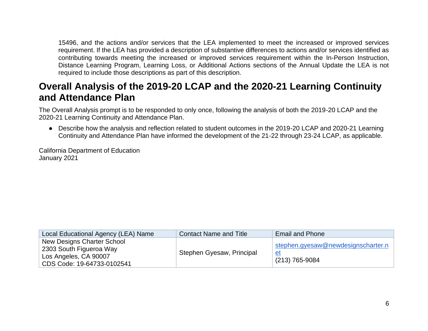15496, and the actions and/or services that the LEA implemented to meet the increased or improved services requirement. If the LEA has provided a description of substantive differences to actions and/or services identified as contributing towards meeting the increased or improved services requirement within the In-Person Instruction, Distance Learning Program, Learning Loss, or Additional Actions sections of the Annual Update the LEA is not required to include those descriptions as part of this description.

## **Overall Analysis of the 2019-20 LCAP and the 2020-21 Learning Continuity and Attendance Plan**

The Overall Analysis prompt is to be responded to only once, following the analysis of both the 2019-20 LCAP and the 2020-21 Learning Continuity and Attendance Plan.

● Describe how the analysis and reflection related to student outcomes in the 2019-20 LCAP and 2020-21 Learning Continuity and Attendance Plan have informed the development of the 21-22 through 23-24 LCAP, as applicable.

California Department of Education January 2021

| Local Educational Agency (LEA) Name                                                                          | <b>Contact Name and Title</b> | <b>Email and Phone</b>                                            |
|--------------------------------------------------------------------------------------------------------------|-------------------------------|-------------------------------------------------------------------|
| New Designs Charter School<br>2303 South Figueroa Way<br>Los Angeles, CA 90007<br>CDS Code: 19-64733-0102541 | Stephen Gyesaw, Principal     | stephen.gyesaw@newdesignscharter.n<br><u>et</u><br>(213) 765-9084 |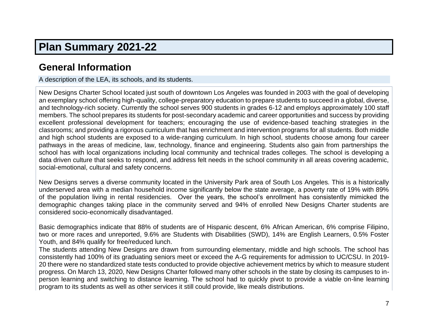## **Plan Summary 2021-22**

## **General Information**

A description of the LEA, its schools, and its students.

New Designs Charter School located just south of downtown Los Angeles was founded in 2003 with the goal of developing an exemplary school offering high-quality, college-preparatory education to prepare students to succeed in a global, diverse, and technology-rich society. Currently the school serves 900 students in grades 6-12 and employs approximately 100 staff members. The school prepares its students for post-secondary academic and career opportunities and success by providing excellent professional development for teachers; encouraging the use of evidence-based teaching strategies in the classrooms; and providing a rigorous curriculum that has enrichment and intervention programs for all students. Both middle and high school students are exposed to a wide-ranging curriculum. In high school, students choose among four career pathways in the areas of medicine, law, technology, finance and engineering. Students also gain from partnerships the school has with local organizations including local community and technical trades colleges. The school is developing a data driven culture that seeks to respond, and address felt needs in the school community in all areas covering academic, social-emotional, cultural and safety concerns.

New Designs serves a diverse community located in the University Park area of South Los Angeles. This is a historically underserved area with a median household income significantly below the state average, a poverty rate of 19% with 89% of the population living in rental residencies. Over the years, the school's enrollment has consistently mimicked the demographic changes taking place in the community served and 94% of enrolled New Designs Charter students are considered socio-economically disadvantaged.

Basic demographics indicate that 88% of students are of Hispanic descent, 6% African American, 6% comprise Filipino, two or more races and unreported, 9.6% are Students with Disabilities (SWD), 14% are English Learners, 0.5% Foster Youth, and 84% qualify for free/reduced lunch.

The students attending New Designs are drawn from surrounding elementary, middle and high schools. The school has consistently had 100% of its graduating seniors meet or exceed the A-G requirements for admission to UC/CSU. In 2019- 20 there were no standardized state tests conducted to provide objective achievement metrics by which to measure student progress. On March 13, 2020, New Designs Charter followed many other schools in the state by closing its campuses to inperson learning and switching to distance learning. The school had to quickly pivot to provide a viable on-line learning program to its students as well as other services it still could provide, like meals distributions.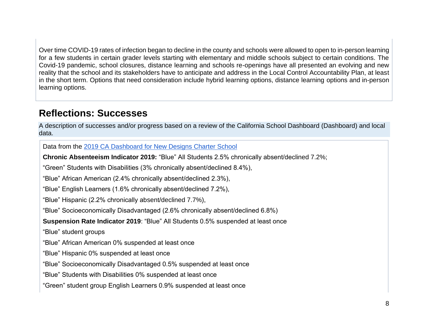Over time COVID-19 rates of infection began to decline in the county and schools were allowed to open to in-person learning for a few students in certain grader levels starting with elementary and middle schools subject to certain conditions. The Covid-19 pandemic, school closures, distance learning and schools re-openings have all presented an evolving and new reality that the school and its stakeholders have to anticipate and address in the Local Control Accountability Plan, at least in the short term. Options that need consideration include hybrid learning options, distance learning options and in-person learning options.

### **Reflections: Successes**

A description of successes and/or progress based on a review of the California School Dashboard (Dashboard) and local data.

Data from the [2019 CA Dashboard for New Designs Charter School](https://www.caschooldashboard.org/reports/19647330102541/2019/academic-engagement#chronic-absenteeism)

**Chronic Absenteeism Indicator 2019:** "Blue" All Students 2.5% chronically absent/declined 7.2%;

"Green" Students with Disabilities (3% chronically absent/declined 8.4%),

"Blue" African American (2.4% chronically absent/declined 2.3%),

"Blue" English Learners (1.6% chronically absent/declined 7.2%),

"Blue" Hispanic (2.2% chronically absent/declined 7.7%),

"Blue" Socioeconomically Disadvantaged (2.6% chronically absent/declined 6.8%)

**Suspension Rate Indicator 2019**: "Blue" All Students 0.5% suspended at least once

"Blue" student groups

"Blue" African American 0% suspended at least once

"Blue" Hispanic 0% suspended at least once

"Blue" Socioeconomically Disadvantaged 0.5% suspended at least once

"Blue" Students with Disabilities 0% suspended at least once

"Green" student group English Learners 0.9% suspended at least once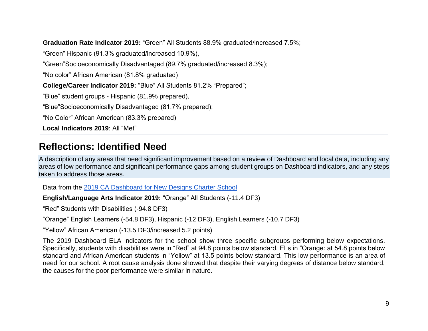**Graduation Rate Indicator 2019:** "Green" All Students 88.9% graduated/increased 7.5%; "Green" Hispanic (91.3% graduated/increased 10.9%), "Green"Socioeconomically Disadvantaged (89.7% graduated/increased 8.3%); "No color" African American (81.8% graduated) **College/Career Indicator 2019:** "Blue" All Students 81.2% "Prepared"; "Blue" student groups - Hispanic (81.9% prepared), "Blue"Socioeconomically Disadvantaged (81.7% prepared); "No Color" African American (83.3% prepared) **Local Indicators 2019**: All "Met"

## **Reflections: Identified Need**

A description of any areas that need significant improvement based on a review of Dashboard and local data, including any areas of low performance and significant performance gaps among student groups on Dashboard indicators, and any steps taken to address those areas.

Data from the [2019 CA Dashboard for New Designs Charter School](https://www.caschooldashboard.org/reports/19647330102541/2019/academic-engagement#chronic-absenteeism)

**English/Language Arts Indicator 2019:** "Orange" All Students (-11.4 DF3)

"Red" Students with Disabilities (-94.8 DF3)

"Orange" English Learners (-54.8 DF3), Hispanic (-12 DF3), English Learners (-10.7 DF3)

"Yellow" African American (-13.5 DF3/increased 5.2 points)

The 2019 Dashboard ELA indicators for the school show three specific subgroups performing below expectations. Specifically, students with disabilities were in "Red" at 94.8 points below standard, ELs in "Orange: at 54.8 points below standard and African American students in "Yellow" at 13.5 points below standard. This low performance is an area of need for our school. A root cause analysis done showed that despite their varying degrees of distance below standard, the causes for the poor performance were similar in nature.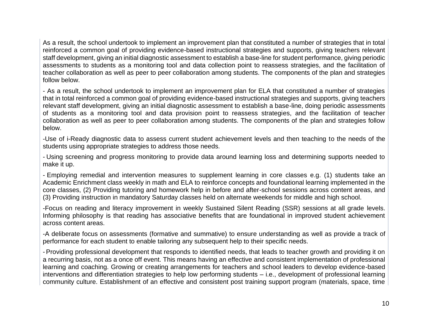As a result, the school undertook to implement an improvement plan that constituted a number of strategies that in total reinforced a common goal of providing evidence-based instructional strategies and supports, giving teachers relevant staff development, giving an initial diagnostic assessment to establish a base-line for student performance, giving periodic assessments to students as a monitoring tool and data collection point to reassess strategies, and the facilitation of teacher collaboration as well as peer to peer collaboration among students. The components of the plan and strategies follow below.

- As a result, the school undertook to implement an improvement plan for ELA that constituted a number of strategies that in total reinforced a common goal of providing evidence-based instructional strategies and supports, giving teachers relevant staff development, giving an initial diagnostic assessment to establish a base-line, doing periodic assessments of students as a monitoring tool and data provision point to reassess strategies, and the facilitation of teacher collaboration as well as peer to peer collaboration among students. The components of the plan and strategies follow below.

-Use of i-Ready diagnostic data to assess current student achievement levels and then teaching to the needs of the students using appropriate strategies to address those needs.

- Using screening and progress monitoring to provide data around learning loss and determining supports needed to make it up.

- Employing remedial and intervention measures to supplement learning in core classes e.g. (1) students take an Academic Enrichment class weekly in math and ELA to reinforce concepts and foundational learning implemented in the core classes, (2) Providing tutoring and homework help in before and after-school sessions across content areas, and (3) Providing instruction in mandatory Saturday classes held on alternate weekends for middle and high school.

-Focus on reading and literacy improvement in weekly Sustained Silent Reading (SSR) sessions at all grade levels. Informing philosophy is that reading has associative benefits that are foundational in improved student achievement across content areas.

-A deliberate focus on assessments (formative and summative) to ensure understanding as well as provide a track of performance for each student to enable tailoring any subsequent help to their specific needs.

- Providing professional development that responds to identified needs, that leads to teacher growth and providing it on a recurring basis, not as a once off event. This means having an effective and consistent implementation of professional learning and coaching. Growing or creating arrangements for teachers and school leaders to develop evidence-based interventions and differentiation strategies to help low performing students – i.e., development of professional learning community culture. Establishment of an effective and consistent post training support program (materials, space, time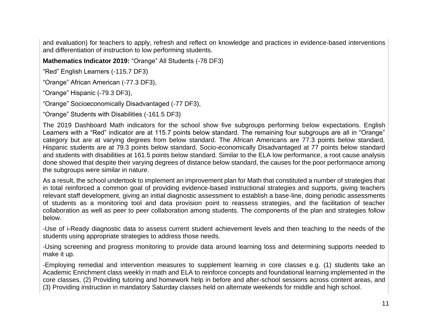and evaluation) for teachers to apply, refresh and reflect on knowledge and practices in evidence-based interventions and differentiation of instruction to low performing students.

**Mathematics Indicator 2019:** "Orange" All Students (-78 DF3)

"Red" English Learners (-115.7 DF3)

"Orange" African American (-77.3 DF3),

"Orange" Hispanic (-79.3 DF3),

"Orange" Socioeconomically Disadvantaged (-77 DF3),

"Orange" Students with Disabilities (-161.5 DF3)

The 2019 Dashboard Math indicators for the school show five subgroups performing below expectations. English Learners with a "Red" indicator are at 115.7 points below standard. The remaining four subgroups are all in "Orange" category but are at varying degrees from below standard. The African Americans are 77.3 points below standard, Hispanic students are at 79.3 points below standard, Socio-economically Disadvantaged at 77 points below standard and students with disabilities at 161.5 points below standard. Similar to the ELA low performance, a root cause analysis done showed that despite their varying degrees of distance below standard, the causes for the poor performance among the subgroups were similar in nature.

As a result, the school undertook to implement an improvement plan for Math that constituted a number of strategies that in total reinforced a common goal of providing evidence-based instructional strategies and supports, giving teachers relevant staff development, giving an initial diagnostic assessment to establish a base-line, doing periodic assessments of students as a monitoring tool and data provision point to reassess strategies, and the facilitation of teacher collaboration as well as peer to peer collaboration among students. The components of the plan and strategies follow below.

-Use of i-Ready diagnostic data to assess current student achievement levels and then teaching to the needs of the students using appropriate strategies to address those needs.

-Using screening and progress monitoring to provide data around learning loss and determining supports needed to make it up.

-Employing remedial and intervention measures to supplement learning in core classes e.g. (1) students take an Academic Enrichment class weekly in math and ELA to reinforce concepts and foundational learning implemented in the core classes, (2) Providing tutoring and homework help in before and after-school sessions across content areas, and (3) Providing instruction in mandatory Saturday classes held on alternate weekends for middle and high school.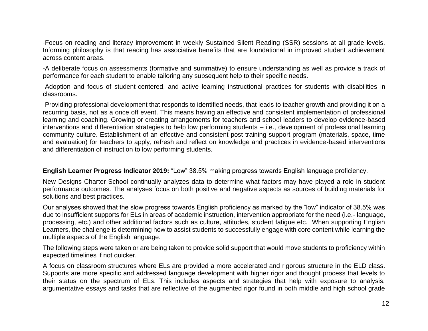-Focus on reading and literacy improvement in weekly Sustained Silent Reading (SSR) sessions at all grade levels. Informing philosophy is that reading has associative benefits that are foundational in improved student achievement across content areas.

-A deliberate focus on assessments (formative and summative) to ensure understanding as well as provide a track of performance for each student to enable tailoring any subsequent help to their specific needs.

-Adoption and focus of student-centered, and active learning instructional practices for students with disabilities in classrooms.

-Providing professional development that responds to identified needs, that leads to teacher growth and providing it on a recurring basis, not as a once off event. This means having an effective and consistent implementation of professional learning and coaching. Growing or creating arrangements for teachers and school leaders to develop evidence-based interventions and differentiation strategies to help low performing students – i.e., development of professional learning community culture. Establishment of an effective and consistent post training support program (materials, space, time and evaluation) for teachers to apply, refresh and reflect on knowledge and practices in evidence-based interventions and differentiation of instruction to low performing students.

**English Learner Progress Indicator 2019:** "Low" 38.5% making progress towards English language proficiency.

New Designs Charter School continually analyzes data to determine what factors may have played a role in student performance outcomes. The analyses focus on both positive and negative aspects as sources of building materials for solutions and best practices.

Our analyses showed that the slow progress towards English proficiency as marked by the "low" indicator of 38.5% was due to insufficient supports for ELs in areas of academic instruction, intervention appropriate for the need (i.e.- language, processing, etc.) and other additional factors such as culture, attitudes, student fatigue etc. When supporting English Learners, the challenge is determining how to assist students to successfully engage with core content while learning the multiple aspects of the English language.

The following steps were taken or are being taken to provide solid support that would move students to proficiency within expected timelines if not quicker.

A focus on classroom structures where ELs are provided a more accelerated and rigorous structure in the ELD class. Supports are more specific and addressed language development with higher rigor and thought process that levels to their status on the spectrum of ELs. This includes aspects and strategies that help with exposure to analysis, argumentative essays and tasks that are reflective of the augmented rigor found in both middle and high school grade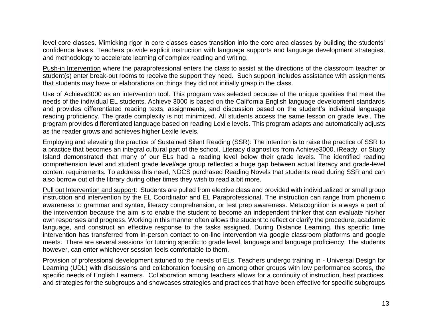level core classes. Mimicking rigor in core classes eases transition into the core area classes by building the students' confidence levels. Teachers provide explicit instruction with language supports and language development strategies, and methodology to accelerate learning of complex reading and writing.

Push-in Intervention where the paraprofessional enters the class to assist at the directions of the classroom teacher or student(s) enter break-out rooms to receive the support they need. Such support includes assistance with assignments that students may have or elaborations on things they did not initially grasp in the class.

Use of Achieve3000 as an intervention tool. This program was selected because of the unique qualities that meet the needs of the individual EL students. Achieve 3000 is based on the California English language development standards and provides differentiated reading texts, assignments, and discussion based on the student's individual language reading proficiency. The grade complexity is not minimized. All students access the same lesson on grade level. The program provides differentiated language based on reading Lexile levels. This program adapts and automatically adjusts as the reader grows and achieves higher Lexile levels.

Employing and elevating the practice of Sustained Silent Reading (SSR): The intention is to raise the practice of SSR to a practice that becomes an integral cultural part of the school. Literacy diagnostics from Achieve3000, iReady, or Study Island demonstrated that many of our ELs had a reading level below their grade levels. The identified reading comprehension level and student grade level/age group reflected a huge gap between actual literacy and grade-level content requirements. To address this need, NDCS purchased Reading Novels that students read during SSR and can also borrow out of the library during other times they wish to read a bit more.

Pull out Intervention and support: Students are pulled from elective class and provided with individualized or small group instruction and intervention by the EL Coordinator and EL Paraprofessional. The instruction can range from phonemic awareness to grammar and syntax, literacy comprehension, or test prep awareness. Metacognition is always a part of the intervention because the aim is to enable the student to become an independent thinker that can evaluate his/her own responses and progress. Working in this manner often allows the student to reflect or clarify the procedure, academic language, and construct an effective response to the tasks assigned. During Distance Learning, this specific time intervention has transferred from in-person contact to on-line intervention via google classroom platforms and google meets. There are several sessions for tutoring specific to grade level, language and language proficiency. The students however, can enter whichever session feels comfortable to them.

Provision of professional development attuned to the needs of ELs. Teachers undergo training in - Universal Design for Learning (UDL) with discussions and collaboration focusing on among other groups with low performance scores, the specific needs of English Learners. Collaboration among teachers allows for a continuity of instruction, best practices, and strategies for the subgroups and showcases strategies and practices that have been effective for specific subgroups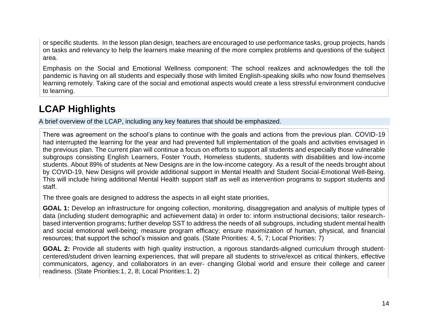or specific students. In the lesson plan design, teachers are encouraged to use performance tasks, group projects, hands on tasks and relevancy to help the learners make meaning of the more complex problems and questions of the subject area.

Emphasis on the Social and Emotional Wellness component: The school realizes and acknowledges the toll the pandemic is having on all students and especially those with limited English-speaking skills who now found themselves learning remotely. Taking care of the social and emotional aspects would create a less stressful environment conducive to learning.

## **LCAP Highlights**

A brief overview of the LCAP, including any key features that should be emphasized.

There was agreement on the school's plans to continue with the goals and actions from the previous plan. COVID-19 had interrupted the learning for the year and had prevented full implementation of the goals and activities envisaged in the previous plan. The current plan will continue a focus on efforts to support all students and especially those vulnerable subgroups consisting English Learners, Foster Youth, Homeless students, students with disabilities and low-income students. About 89% of students at New Designs are in the low-income category. As a result of the needs brought about by COVID-19, New Designs will provide additional support in Mental Health and Student Social-Emotional Well-Being. This will include hiring additional Mental Health support staff as well as intervention programs to support students and staff.

The three goals are designed to address the aspects in all eight state priorities,

**GOAL 1:** Develop an infrastructure for ongoing collection, monitoring, disaggregation and analysis of multiple types of data (including student demographic and achievement data) in order to: inform instructional decisions; tailor researchbased intervention programs; further develop SST to address the needs of all subgroups, including student mental health and social emotional well-being; measure program efficacy; ensure maximization of human, physical, and financial resources; that support the school's mission and goals. (State Priorities: 4, 5, 7; Local Priorities: 7)

**GOAL 2:** Provide all students with high quality instruction, a rigorous standards-aligned curriculum through studentcentered/student driven learning experiences, that will prepare all students to strive/excel as critical thinkers, effective communicators, agency, and collaborators in an ever- changing Global world and ensure their college and career readiness. (State Priorities:1, 2, 8; Local Priorities:1, 2)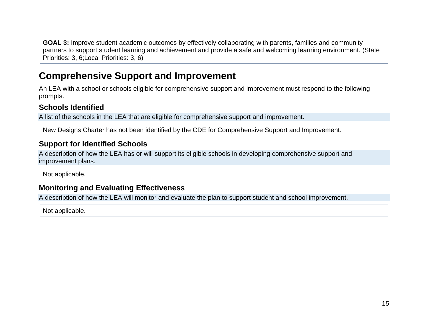**GOAL 3:** Improve student academic outcomes by effectively collaborating with parents, families and community partners to support student learning and achievement and provide a safe and welcoming learning environment. (State Priorities: 3, 6;Local Priorities: 3, 6)

## **Comprehensive Support and Improvement**

An LEA with a school or schools eligible for comprehensive support and improvement must respond to the following prompts.

#### **Schools Identified**

A list of the schools in the LEA that are eligible for comprehensive support and improvement.

New Designs Charter has not been identified by the CDE for Comprehensive Support and Improvement.

#### **Support for Identified Schools**

A description of how the LEA has or will support its eligible schools in developing comprehensive support and improvement plans.

Not applicable.

### **Monitoring and Evaluating Effectiveness**

A description of how the LEA will monitor and evaluate the plan to support student and school improvement.

Not applicable.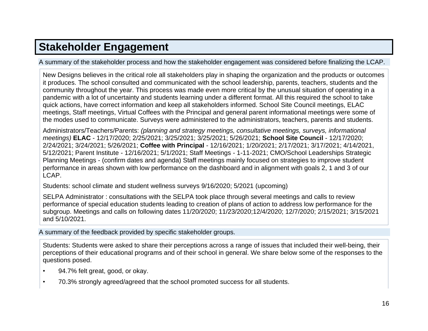# **[Stakeholder Engagement](#page-33-0)**

A summary of the stakeholder process and how the stakeholder engagement was considered before finalizing the LCAP.

New Designs believes in the critical role all stakeholders play in shaping the organization and the products or outcomes it produces. The school consulted and communicated with the school leadership, parents, teachers, students and the community throughout the year. This process was made even more critical by the unusual situation of operating in a pandemic with a lot of uncertainty and students learning under a different format. All this required the school to take quick actions, have correct information and keep all stakeholders informed. School Site Council meetings, ELAC meetings, Staff meetings, Virtual Coffees with the Principal and general parent informational meetings were some of the modes used to communicate. Surveys were administered to the administrators, teachers, parents and students.

Administrators/Teachers/Parents: *(planning and strategy meetings, consultative meetings, surveys, informational meetings)* **ELAC** - 12/17/2020; 2/25/2021; 3/25/2021; 3/25/2021; 5/26/2021; **School Site Council** - 12/17/2020; 2/24/2021; 3/24/2021; 5/26/2021; **Coffee with Principal** - 12/16/2021; 1/20/2021; 2/17/2021; 3/17/2021; 4/14/2021, 5/12/2021; Parent Institute - 12/16/2021; 5/1/2021; Staff Meetings - 1-11-2021; CMO/School Leaderships Strategic Planning Meetings - (confirm dates and agenda) Staff meetings mainly focused on strategies to improve student performance in areas shown with low performance on the dashboard and in alignment with goals 2, 1 and 3 of our LCAP.

Students: school climate and student wellness surveys 9/16/2020; 5/2021 (upcoming)

SELPA Administrator : consultations with the SELPA took place through several meetings and calls to review performance of special education students leading to creation of plans of action to address low performance for the subgroup. Meetings and calls on following dates 11/20/2020; 11/23/2020;12/4/2020; 12/7/2020; 2/15/2021; 3/15/2021 and 5/10/2021.

A summary of the feedback provided by specific stakeholder groups.

Students: Students were asked to share their perceptions across a range of issues that included their well-being, their perceptions of their educational programs and of their school in general. We share below some of the responses to the questions posed.

- 94.7% felt great, good, or okay.
- 70.3% strongly agreed/agreed that the school promoted success for all students.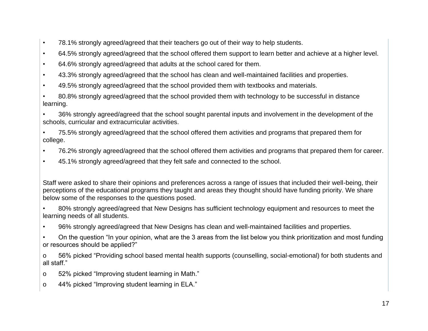- 78.1% strongly agreed/agreed that their teachers go out of their way to help students.
- 64.5% strongly agreed/agreed that the school offered them support to learn better and achieve at a higher level.
- 64.6% strongly agreed/agreed that adults at the school cared for them.
- 43.3% strongly agreed/agreed that the school has clean and well-maintained facilities and properties.
- 49.5% strongly agreed/agreed that the school provided them with textbooks and materials.
- 80.8% strongly agreed/agreed that the school provided them with technology to be successful in distance learning.

• 36% strongly agreed/agreed that the school sought parental inputs and involvement in the development of the schools, curricular and extracurricular activities.

• 75.5% strongly agreed/agreed that the school offered them activities and programs that prepared them for college.

- 76.2% strongly agreed/agreed that the school offered them activities and programs that prepared them for career.
- 45.1% strongly agreed/agreed that they felt safe and connected to the school.

Staff were asked to share their opinions and preferences across a range of issues that included their well-being, their perceptions of the educational programs they taught and areas they thought should have funding priority. We share below some of the responses to the questions posed.

- 80% strongly agreed/agreed that New Designs has sufficient technology equipment and resources to meet the learning needs of all students.
- 96% strongly agreed/agreed that New Designs has clean and well-maintained facilities and properties.
- On the question "In your opinion, what are the 3 areas from the list below you think prioritization and most funding or resources should be applied?"
- o 56% picked "Providing school based mental health supports (counselling, social-emotional) for both students and all staff."
- o 52% picked "Improving student learning in Math."
- o 44% picked "Improving student learning in ELA."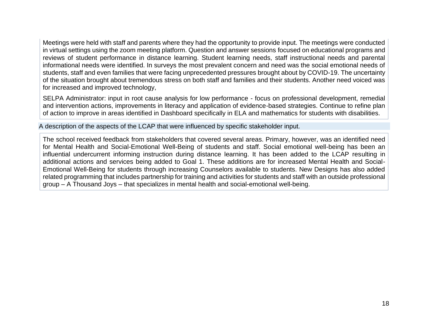Meetings were held with staff and parents where they had the opportunity to provide input. The meetings were conducted in virtual settings using the zoom meeting platform. Question and answer sessions focused on educational programs and reviews of student performance in distance learning. Student learning needs, staff instructional needs and parental informational needs were identified. In surveys the most prevalent concern and need was the social emotional needs of students, staff and even families that were facing unprecedented pressures brought about by COVID-19. The uncertainty of the situation brought about tremendous stress on both staff and families and their students. Another need voiced was for increased and improved technology,

SELPA Administrator: input in root cause analysis for low performance - focus on professional development, remedial and intervention actions, improvements in literacy and application of evidence-based strategies. Continue to refine plan of action to improve in areas identified in Dashboard specifically in ELA and mathematics for students with disabilities.

A description of the aspects of the LCAP that were influenced by specific stakeholder input.

The school received feedback from stakeholders that covered several areas. Primary, however, was an identified need for Mental Health and Social-Emotional Well-Being of students and staff. Social emotional well-being has been an influential undercurrent informing instruction during distance learning. It has been added to the LCAP resulting in additional actions and services being added to Goal 1. These additions are for increased Mental Health and Social-Emotional Well-Being for students through increasing Counselors available to students. New Designs has also added related programming that includes partnership for training and activities for students and staff with an outside professional group – A Thousand Joys – that specializes in mental health and social-emotional well-being.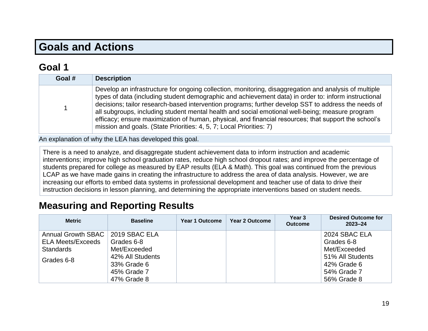# **Goals and Actions**

## **[Goal](#page-33-1) 1**

| Goal # | <b>Description</b>                                                                                                                                                                                                                                                                                                                                                                                                                                                                                                                                                                                     |
|--------|--------------------------------------------------------------------------------------------------------------------------------------------------------------------------------------------------------------------------------------------------------------------------------------------------------------------------------------------------------------------------------------------------------------------------------------------------------------------------------------------------------------------------------------------------------------------------------------------------------|
|        | Develop an infrastructure for ongoing collection, monitoring, disaggregation and analysis of multiple<br>types of data (including student demographic and achievement data) in order to: inform instructional<br>decisions; tailor research-based intervention programs; further develop SST to address the needs of<br>all subgroups, including student mental health and social emotional well-being; measure program<br>efficacy; ensure maximization of human, physical, and financial resources; that support the school's<br>mission and goals. (State Priorities: 4, 5, 7; Local Priorities: 7) |

An explanation of why the LEA has developed this goal.

There is a need to analyze, and disaggregate student achievement data to inform instruction and academic interventions; improve high school graduation rates, reduce high school dropout rates; and improve the percentage of students prepared for college as measured by EAP results (ELA & Math). This goal was continued from the previous LCAP as we have made gains in creating the infrastructure to address the area of data analysis. However, we are increasing our efforts to embed data systems in professional development and teacher use of data to drive their instruction decisions in lesson planning, and determining the appropriate interventions based on student needs.

### **Measuring and Reporting Results**

| <b>Metric</b>             | <b>Baseline</b>  | <b>Year 1 Outcome</b> | Year 2 Outcome | Year 3<br><b>Outcome</b> | <b>Desired Outcome for</b><br>$2023 - 24$ |
|---------------------------|------------------|-----------------------|----------------|--------------------------|-------------------------------------------|
| <b>Annual Growth SBAC</b> | 2019 SBAC ELA    |                       |                |                          | 2024 SBAC ELA                             |
| <b>ELA Meets/Exceeds</b>  | Grades 6-8       |                       |                |                          | Grades 6-8                                |
| Standards                 | Met/Exceeded     |                       |                |                          | Met/Exceeded                              |
| Grades 6-8                | 42% All Students |                       |                |                          | 51% All Students                          |
|                           | 33% Grade 6      |                       |                |                          | 42% Grade 6                               |
|                           | 45% Grade 7      |                       |                |                          | 54% Grade 7                               |
|                           | 47% Grade 8      |                       |                |                          | 56% Grade 8                               |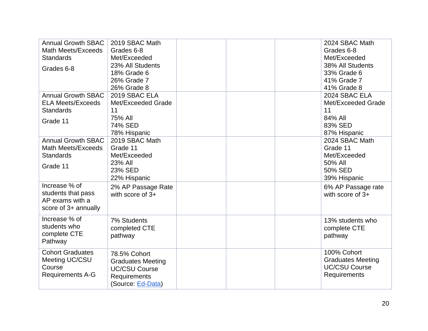| <b>Annual Growth SBAC</b> | 2019 SBAC Math           |  | 2024 SBAC Math           |
|---------------------------|--------------------------|--|--------------------------|
| <b>Math Meets/Exceeds</b> | Grades 6-8               |  | Grades 6-8               |
| <b>Standards</b>          | Met/Exceeded             |  | Met/Exceeded             |
| Grades 6-8                | 23% All Students         |  | 38% All Students         |
|                           | 18% Grade 6              |  | 33% Grade 6              |
|                           | 26% Grade 7              |  | 41% Grade 7              |
|                           | 26% Grade 8              |  | 41% Grade 8              |
| <b>Annual Growth SBAC</b> | 2019 SBAC ELA            |  | 2024 SBAC ELA            |
| <b>ELA Meets/Exceeds</b>  | Met/Exceeded Grade       |  | Met/Exceeded Grade       |
| <b>Standards</b>          | 11                       |  | 11                       |
| Grade 11                  | 75% All                  |  | 84% All                  |
|                           | 74% SED                  |  | 83% SED                  |
|                           | 78% Hispanic             |  | 87% Hispanic             |
| <b>Annual Growth SBAC</b> | 2019 SBAC Math           |  | 2024 SBAC Math           |
| Math Meets/Exceeds        | Grade 11                 |  | Grade 11                 |
| <b>Standards</b>          | Met/Exceeded             |  | Met/Exceeded             |
| Grade 11                  | 23% All                  |  | 50% All                  |
|                           | 23% SED                  |  | 50% SED                  |
|                           | 22% Hispanic             |  | 39% Hispanic             |
| Increase % of             | 2% AP Passage Rate       |  | 6% AP Passage rate       |
| students that pass        | with score of $3+$       |  | with score of $3+$       |
| AP exams with a           |                          |  |                          |
| score of 3+ annually      |                          |  |                          |
| Increase % of             | 7% Students              |  | 13% students who         |
| students who              | completed CTE            |  | complete CTE             |
| complete CTE              | pathway                  |  | pathway                  |
| Pathway                   |                          |  |                          |
| <b>Cohort Graduates</b>   |                          |  | 100% Cohort              |
| Meeting UC/CSU            | 78.5% Cohort             |  | <b>Graduates Meeting</b> |
| Course                    | <b>Graduates Meeting</b> |  | <b>UC/CSU Course</b>     |
| <b>Requirements A-G</b>   | <b>UC/CSU Course</b>     |  | Requirements             |
|                           | Requirements             |  |                          |
|                           | (Source: Ed-Data)        |  |                          |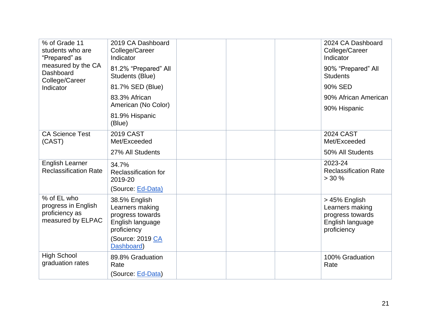| % of Grade 11<br>students who are<br>"Prepared" as                        | 2019 CA Dashboard<br>College/Career<br>Indicator                                                                          | 2024 CA Dashboard<br>College/Career<br>Indicator                                        |
|---------------------------------------------------------------------------|---------------------------------------------------------------------------------------------------------------------------|-----------------------------------------------------------------------------------------|
| measured by the CA<br>Dashboard<br>College/Career                         | 81.2% "Prepared" All<br>Students (Blue)                                                                                   | 90% "Prepared" All<br><b>Students</b>                                                   |
| Indicator                                                                 | 81.7% SED (Blue)                                                                                                          | 90% SED                                                                                 |
|                                                                           | 83.3% African<br>American (No Color)                                                                                      | 90% African American<br>90% Hispanic                                                    |
|                                                                           | 81.9% Hispanic<br>(Blue)                                                                                                  |                                                                                         |
| <b>CA Science Test</b><br>(CAST)                                          | <b>2019 CAST</b><br>Met/Exceeded                                                                                          | <b>2024 CAST</b><br>Met/Exceeded                                                        |
|                                                                           | 27% All Students                                                                                                          | 50% All Students                                                                        |
| <b>English Learner</b><br><b>Reclassification Rate</b>                    | 34.7%<br>Reclassification for<br>2019-20<br>(Source: Ed-Data)                                                             | 2023-24<br><b>Reclassification Rate</b><br>$> 30 \%$                                    |
| % of EL who<br>progress in English<br>proficiency as<br>measured by ELPAC | 38.5% English<br>Learners making<br>progress towards<br>English language<br>proficiency<br>(Source: 2019 CA<br>Dashboard) | > 45% English<br>Learners making<br>progress towards<br>English language<br>proficiency |
| <b>High School</b><br>graduation rates                                    | 89.8% Graduation<br>Rate<br>(Source: Ed-Data)                                                                             | 100% Graduation<br>Rate                                                                 |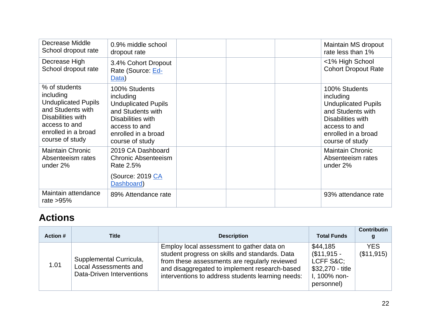| Decrease Middle<br>School dropout rate                                                                                                                        | 0.9% middle school<br>dropout rate                                                                                                                            |  | Maintain MS dropout<br>rate less than 1%                                                                                                                      |
|---------------------------------------------------------------------------------------------------------------------------------------------------------------|---------------------------------------------------------------------------------------------------------------------------------------------------------------|--|---------------------------------------------------------------------------------------------------------------------------------------------------------------|
| Decrease High<br>School dropout rate                                                                                                                          | 3.4% Cohort Dropout<br>Rate (Source: Ed-<br>Data)                                                                                                             |  | <1% High School<br><b>Cohort Dropout Rate</b>                                                                                                                 |
| % of students<br>including<br><b>Unduplicated Pupils</b><br>and Students with<br>Disabilities with<br>access to and<br>enrolled in a broad<br>course of study | 100% Students<br>including<br><b>Unduplicated Pupils</b><br>and Students with<br>Disabilities with<br>access to and<br>enrolled in a broad<br>course of study |  | 100% Students<br>including<br><b>Unduplicated Pupils</b><br>and Students with<br>Disabilities with<br>access to and<br>enrolled in a broad<br>course of study |
| <b>Maintain Chronic</b><br>Absenteeism rates<br>under 2%                                                                                                      | 2019 CA Dashboard<br><b>Chronic Absenteeism</b><br>Rate 2.5%<br>(Source: 2019 CA<br>Dashboard)                                                                |  | <b>Maintain Chronic</b><br>Absenteeism rates<br>under 2%                                                                                                      |
| Maintain attendance<br>rate $>95\%$                                                                                                                           | 89% Attendance rate                                                                                                                                           |  | 93% attendance rate                                                                                                                                           |

## **Actions**

| Action # | Title                                                                                | <b>Description</b>                                                                                                                                                                                                                                 | <b>Total Funds</b>                                                                       | <b>Contributin</b>       |
|----------|--------------------------------------------------------------------------------------|----------------------------------------------------------------------------------------------------------------------------------------------------------------------------------------------------------------------------------------------------|------------------------------------------------------------------------------------------|--------------------------|
| 1.01     | Supplemental Curricula,<br><b>Local Assessments and</b><br>Data-Driven Interventions | Employ local assessment to gather data on<br>student progress on skills and standards. Data<br>from these assessments are regularly reviewed<br>and disaggregated to implement research-based<br>interventions to address students learning needs: | \$44,185<br>$($11,915 -$<br>LCFF S&C:<br>$$32,270 - title$<br>I, 100% non-<br>personnel) | <b>YES</b><br>(\$11,915) |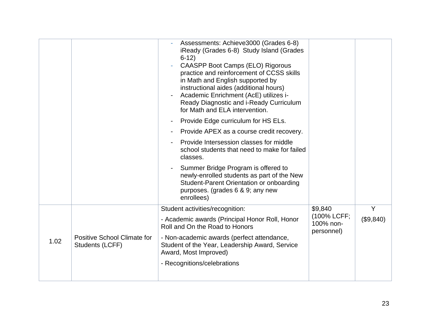|      |                                                       | Assessments: Achieve3000 (Grades 6-8)<br>iReady (Grades 6-8) Study Island (Grades<br>$6-12$<br><b>CAASPP Boot Camps (ELO) Rigorous</b><br>practice and reinforcement of CCSS skills<br>in Math and English supported by<br>instructional aides (additional hours)<br>Academic Enrichment (AcE) utilizes i-<br>Ready Diagnostic and i-Ready Curriculum<br>for Math and ELA intervention. |                                        |           |
|------|-------------------------------------------------------|-----------------------------------------------------------------------------------------------------------------------------------------------------------------------------------------------------------------------------------------------------------------------------------------------------------------------------------------------------------------------------------------|----------------------------------------|-----------|
|      |                                                       | Provide Edge curriculum for HS ELs.<br>Provide APEX as a course credit recovery.                                                                                                                                                                                                                                                                                                        |                                        |           |
|      |                                                       | Provide Intersession classes for middle<br>school students that need to make for failed<br>classes.                                                                                                                                                                                                                                                                                     |                                        |           |
|      |                                                       | Summer Bridge Program is offered to<br>newly-enrolled students as part of the New<br>Student-Parent Orientation or onboarding<br>purposes. (grades 6 & 9; any new<br>enrollees)                                                                                                                                                                                                         |                                        |           |
|      |                                                       | Student activities/recognition:                                                                                                                                                                                                                                                                                                                                                         | \$9,840                                | Y         |
|      |                                                       | - Academic awards (Principal Honor Roll, Honor<br>Roll and On the Road to Honors                                                                                                                                                                                                                                                                                                        | (100% LCFF;<br>100% non-<br>personnel) | (\$9,840) |
| 1.02 | <b>Positive School Climate for</b><br>Students (LCFF) | - Non-academic awards (perfect attendance,<br>Student of the Year, Leadership Award, Service<br>Award, Most Improved)                                                                                                                                                                                                                                                                   |                                        |           |
|      |                                                       | - Recognitions/celebrations                                                                                                                                                                                                                                                                                                                                                             |                                        |           |
|      |                                                       |                                                                                                                                                                                                                                                                                                                                                                                         |                                        |           |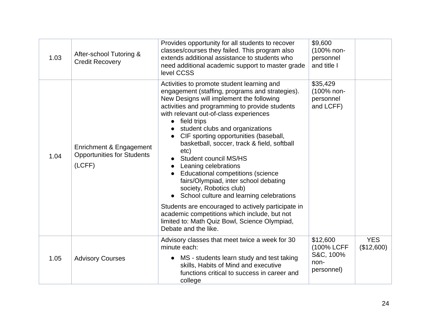| 1.03 | After-school Tutoring &<br><b>Credit Recovery</b>                      | Provides opportunity for all students to recover<br>classes/courses they failed. This program also<br>extends additional assistance to students who<br>need additional academic support to master grade<br>level CCSS                                                                                                                                                                                                                                                                                                                                                                                                                                                                | \$9,600<br>(100% non-<br>personnel<br>and title I         |                          |
|------|------------------------------------------------------------------------|--------------------------------------------------------------------------------------------------------------------------------------------------------------------------------------------------------------------------------------------------------------------------------------------------------------------------------------------------------------------------------------------------------------------------------------------------------------------------------------------------------------------------------------------------------------------------------------------------------------------------------------------------------------------------------------|-----------------------------------------------------------|--------------------------|
| 1.04 | Enrichment & Engagement<br><b>Opportunities for Students</b><br>(LCFF) | Activities to promote student learning and<br>engagement (staffing, programs and strategies).<br>New Designs will implement the following<br>activities and programming to provide students<br>with relevant out-of-class experiences<br>field trips<br>$\bullet$<br>student clubs and organizations<br>CIF sporting opportunities (baseball,<br>basketball, soccer, track & field, softball<br>etc)<br><b>Student council MS/HS</b><br>Leaning celebrations<br>$\bullet$<br>Educational competitions (science<br>fairs/Olympiad, inter school debating<br>society, Robotics club)<br>School culture and learning celebrations<br>Students are encouraged to actively participate in | \$35,429<br>(100% non-<br>personnel<br>and LCFF)          |                          |
|      |                                                                        | academic competitions which include, but not<br>limited to: Math Quiz Bowl, Science Olympiad,<br>Debate and the like.                                                                                                                                                                                                                                                                                                                                                                                                                                                                                                                                                                |                                                           |                          |
| 1.05 | <b>Advisory Courses</b>                                                | Advisory classes that meet twice a week for 30<br>minute each:<br>MS - students learn study and test taking<br>$\bullet$<br>skills, Habits of Mind and executive<br>functions critical to success in career and<br>college                                                                                                                                                                                                                                                                                                                                                                                                                                                           | \$12,600<br>(100% LCFF<br>S&C, 100%<br>non-<br>personnel) | <b>YES</b><br>(\$12,600) |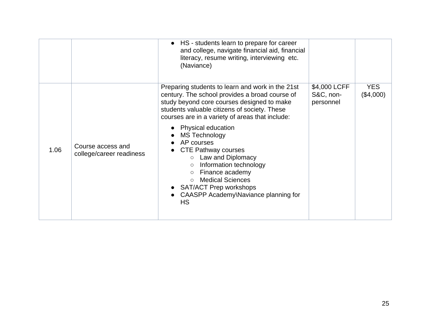|      |                                               | • HS - students learn to prepare for career<br>and college, navigate financial aid, financial<br>literacy, resume writing, interviewing etc.<br>(Naviance)                                                                                                                                                     |                                        |                         |
|------|-----------------------------------------------|----------------------------------------------------------------------------------------------------------------------------------------------------------------------------------------------------------------------------------------------------------------------------------------------------------------|----------------------------------------|-------------------------|
|      |                                               | Preparing students to learn and work in the 21st<br>century. The school provides a broad course of<br>study beyond core courses designed to make<br>students valuable citizens of society. These<br>courses are in a variety of areas that include:                                                            | \$4,000 LCFF<br>S&C, non-<br>personnel | <b>YES</b><br>(\$4,000) |
| 1.06 | Course access and<br>college/career readiness | Physical education<br><b>MS Technology</b><br>AP courses<br><b>CTE Pathway courses</b><br>Law and Diplomacy<br>$\circ$<br>Information technology<br>$\circ$<br>Finance academy<br>$\circ$<br><b>Medical Sciences</b><br>$\circ$<br>SAT/ACT Prep workshops<br>CAASPP Academy\Naviance planning for<br><b>HS</b> |                                        |                         |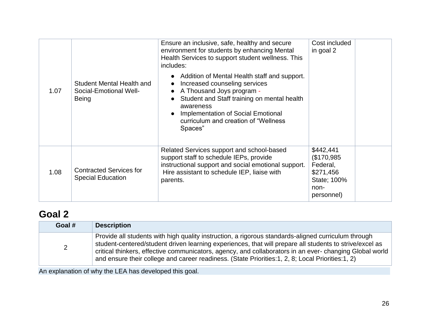| 1.07 | Student Mental Health and<br>Social-Emotional Well-<br><b>Being</b> | Ensure an inclusive, safe, healthy and secure<br>environment for students by enhancing Mental<br>Health Services to support student wellness. This<br>includes:<br>• Addition of Mental Health staff and support.<br>Increased counseling services<br>A Thousand Joys program -<br>Student and Staff training on mental health<br>awareness<br>Implementation of Social Emotional<br>curriculum and creation of "Wellness"<br>Spaces" | Cost included<br>in goal 2                                                           |  |
|------|---------------------------------------------------------------------|---------------------------------------------------------------------------------------------------------------------------------------------------------------------------------------------------------------------------------------------------------------------------------------------------------------------------------------------------------------------------------------------------------------------------------------|--------------------------------------------------------------------------------------|--|
| 1.08 | <b>Contracted Services for</b><br><b>Special Education</b>          | Related Services support and school-based<br>support staff to schedule IEPs, provide<br>instructional support and social emotional support.<br>Hire assistant to schedule IEP, liaise with<br>parents.                                                                                                                                                                                                                                | \$442,441<br>\$170,985<br>Federal,<br>\$271,456<br>State; 100%<br>non-<br>personnel) |  |

## **[Goal](#page-33-1) 2**

| Goal # | <b>Description</b>                                                                                                                                                                                                                                                                                                                                                                                                             |
|--------|--------------------------------------------------------------------------------------------------------------------------------------------------------------------------------------------------------------------------------------------------------------------------------------------------------------------------------------------------------------------------------------------------------------------------------|
|        | Provide all students with high quality instruction, a rigorous standards-aligned curriculum through<br>student-centered/student driven learning experiences, that will prepare all students to strive/excel as<br>critical thinkers, effective communicators, agency, and collaborators in an ever-changing Global world<br>and ensure their college and career readiness. (State Priorities: 1, 2, 8; Local Priorities: 1, 2) |

An explanation of why the LEA has developed this goal.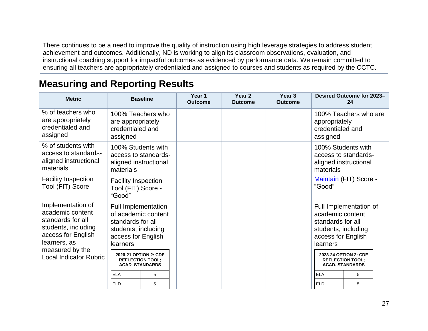There continues to be a need to improve the quality of instruction using high leverage strategies to address student achievement and outcomes. Additionally, ND is working to align its classroom observations, evaluation, and instructional coaching support for impactful outcomes as evidenced by performance data. We remain committed to ensuring all teachers are appropriately credentialed and assigned to courses and students as required by the CCTC.

### **Measuring and Reporting Results**

| <b>Metric</b>                                                                                                           |                                                                                                                                 | <b>Baseline</b> |  | Year <sub>2</sub><br><b>Outcome</b> | Year <sub>3</sub><br><b>Outcome</b> |                                                                                                | Desired Outcome for 2023-<br>24                                            |
|-------------------------------------------------------------------------------------------------------------------------|---------------------------------------------------------------------------------------------------------------------------------|-----------------|--|-------------------------------------|-------------------------------------|------------------------------------------------------------------------------------------------|----------------------------------------------------------------------------|
| % of teachers who<br>are appropriately<br>credentialed and<br>assigned                                                  | 100% Teachers who<br>are appropriately<br>credentialed and<br>assigned                                                          |                 |  |                                     |                                     | appropriately<br>credentialed and<br>assigned                                                  | 100% Teachers who are                                                      |
| % of students with<br>access to standards-<br>aligned instructional<br>materials                                        | 100% Students with<br>access to standards-<br>aligned instructional<br>materials                                                |                 |  |                                     |                                     | materials                                                                                      | 100% Students with<br>access to standards-<br>aligned instructional        |
| <b>Facility Inspection</b><br>Tool (FIT) Score                                                                          | <b>Facility Inspection</b><br>Tool (FIT) Score -<br>"Good"                                                                      |                 |  |                                     |                                     | "Good"                                                                                         | Maintain (FIT) Score -                                                     |
| Implementation of<br>academic content<br>standards for all<br>students, including<br>access for English<br>learners, as | <b>Full Implementation</b><br>of academic content<br>standards for all<br>students, including<br>access for English<br>learners |                 |  |                                     |                                     | academic content<br>standards for all<br>students, including<br>access for English<br>learners | Full Implementation of                                                     |
| measured by the<br><b>Local Indicator Rubric</b>                                                                        | 2020-21 OPTION 2: CDE<br><b>REFLECTION TOOL;</b><br><b>ACAD. STANDARDS</b>                                                      |                 |  |                                     |                                     |                                                                                                | 2023-24 OPTION 2: CDE<br><b>REFLECTION TOOL;</b><br><b>ACAD. STANDARDS</b> |
|                                                                                                                         | <b>ELA</b>                                                                                                                      | 5               |  |                                     |                                     | <b>ELA</b>                                                                                     | 5                                                                          |
|                                                                                                                         | <b>ELD</b>                                                                                                                      | 5               |  |                                     |                                     | <b>ELD</b>                                                                                     | 5                                                                          |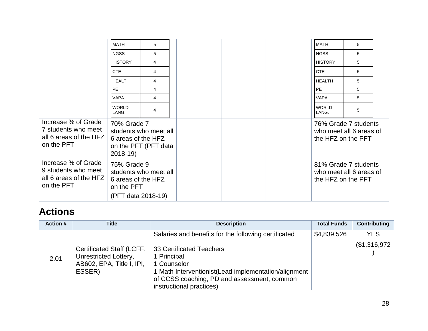|                                                                                    | <b>MATH</b>                                                           | 5                                             |  | <b>MATH</b>                                   | 5                       |  |
|------------------------------------------------------------------------------------|-----------------------------------------------------------------------|-----------------------------------------------|--|-----------------------------------------------|-------------------------|--|
|                                                                                    | <b>NGSS</b>                                                           | 5                                             |  | <b>NGSS</b>                                   | 5                       |  |
|                                                                                    | <b>HISTORY</b>                                                        | 4                                             |  | <b>HISTORY</b>                                | 5                       |  |
|                                                                                    | <b>CTE</b>                                                            | 4                                             |  | <b>CTE</b>                                    | 5                       |  |
|                                                                                    | <b>HEALTH</b>                                                         | 4                                             |  | <b>HEALTH</b>                                 | 5                       |  |
|                                                                                    | <b>PE</b>                                                             | 4                                             |  | PE                                            | 5                       |  |
|                                                                                    | <b>VAPA</b>                                                           | 4                                             |  | <b>VAPA</b>                                   | 5                       |  |
|                                                                                    | <b>WORLD</b><br>LANG.                                                 | 4                                             |  | <b>WORLD</b><br>LANG.                         | 5                       |  |
| Increase % of Grade<br>7 students who meet<br>all 6 areas of the HFZ<br>on the PFT | 70% Grade 7<br>6 areas of the HFZ<br>$2018-19$                        | students who meet all<br>on the PFT (PFT data |  | who meet all 6 areas of<br>the HFZ on the PFT | 76% Grade 7 students    |  |
| Increase % of Grade<br>9 students who meet<br>all 6 areas of the HFZ<br>on the PFT | 75% Grade 9<br>6 areas of the HFZ<br>on the PFT<br>(PFT data 2018-19) | students who meet all                         |  | 81% Grade 7 students<br>the HFZ on the PFT    | who meet all 6 areas of |  |

## **Actions**

| <b>Action #</b> | <b>Title</b>                                                                              | <b>Description</b>                                                                                                                                                                        | <b>Total Funds</b> | <b>Contributing</b> |
|-----------------|-------------------------------------------------------------------------------------------|-------------------------------------------------------------------------------------------------------------------------------------------------------------------------------------------|--------------------|---------------------|
|                 |                                                                                           | Salaries and benefits for the following certificated                                                                                                                                      | \$4,839,526        | <b>YES</b>          |
| 2.01            | Certificated Staff (LCFF,<br>Unrestricted Lottery,<br>AB602, EPA, Title I, IPI,<br>ESSER) | 33 Certificated Teachers<br>1 Principal<br>1 Counselor<br>1 Math Interventionist(Lead implementation/alignment<br>of CCSS coaching, PD and assessment, common<br>instructional practices) |                    | \$1,316,972         |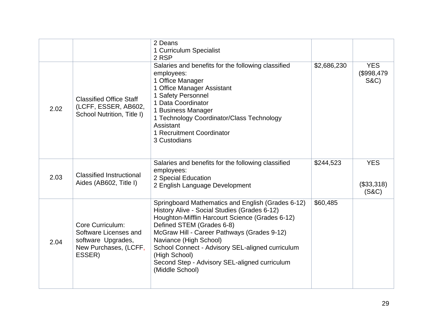|      |                                                                                                    | 2 Deans<br>1 Curriculum Specialist<br>2 RSP                                                                                                                                                                                                                                                                                                                                                         |             |                                            |
|------|----------------------------------------------------------------------------------------------------|-----------------------------------------------------------------------------------------------------------------------------------------------------------------------------------------------------------------------------------------------------------------------------------------------------------------------------------------------------------------------------------------------------|-------------|--------------------------------------------|
| 2.02 | <b>Classified Office Staff</b><br>(LCFF, ESSER, AB602,<br>School Nutrition, Title I)               | Salaries and benefits for the following classified<br>employees:<br>1 Office Manager<br>1 Office Manager Assistant<br>1 Safety Personnel<br>1 Data Coordinator<br>1 Business Manager<br>1 Technology Coordinator/Class Technology<br>Assistant<br>1 Recruitment Coordinator<br>3 Custodians                                                                                                         | \$2,686,230 | <b>YES</b><br>\$998,479<br><b>S&amp;C)</b> |
| 2.03 | <b>Classified Instructional</b><br>Aides (AB602, Title I)                                          | Salaries and benefits for the following classified<br>employees:<br>2 Special Education<br>2 English Language Development                                                                                                                                                                                                                                                                           | \$244,523   | <b>YES</b><br>(\$33,318)<br>(S&C)          |
| 2.04 | Core Curriculum:<br>Software Licenses and<br>software Upgrades,<br>New Purchases, (LCFF,<br>ESSER) | Springboard Mathematics and English (Grades 6-12)<br>History Alive - Social Studies (Grades 6-12)<br>Houghton-Mifflin Harcourt Science (Grades 6-12)<br>Defined STEM (Grades 6-8)<br>McGraw Hill - Career Pathways (Grades 9-12)<br>Naviance (High School)<br>School Connect - Advisory SEL-aligned curriculum<br>(High School)<br>Second Step - Advisory SEL-aligned curriculum<br>(Middle School) | \$60,485    |                                            |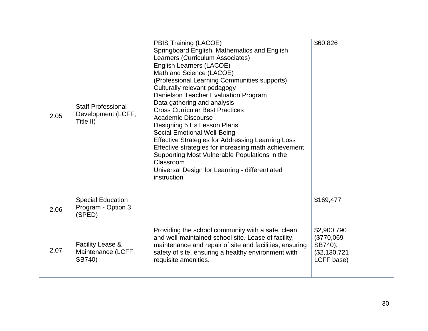| 2.05 | <b>Staff Professional</b><br>Development (LCFF,<br>Title II) | PBIS Training (LACOE)<br>Springboard English, Mathematics and English<br>Learners (Curriculum Associates)<br>English Learners (LACOE)<br>Math and Science (LACOE)<br>(Professional Learning Communities supports)<br>Culturally relevant pedagogy<br>Danielson Teacher Evaluation Program<br>Data gathering and analysis<br><b>Cross Curricular Best Practices</b><br><b>Academic Discourse</b><br>Designing 5 Es Lesson Plans<br>Social Emotional Well-Being<br><b>Effective Strategies for Addressing Learning Loss</b><br>Effective strategies for increasing math achievement<br>Supporting Most Vulnerable Populations in the<br>Classroom<br>Universal Design for Learning - differentiated<br>instruction | \$60,826                                                             |
|------|--------------------------------------------------------------|------------------------------------------------------------------------------------------------------------------------------------------------------------------------------------------------------------------------------------------------------------------------------------------------------------------------------------------------------------------------------------------------------------------------------------------------------------------------------------------------------------------------------------------------------------------------------------------------------------------------------------------------------------------------------------------------------------------|----------------------------------------------------------------------|
| 2.06 | <b>Special Education</b><br>Program - Option 3<br>(SPED)     |                                                                                                                                                                                                                                                                                                                                                                                                                                                                                                                                                                                                                                                                                                                  | \$169,477                                                            |
| 2.07 | <b>Facility Lease &amp;</b><br>Maintenance (LCFF,<br>SB740)  | Providing the school community with a safe, clean<br>and well-maintained school site. Lease of facility,<br>maintenance and repair of site and facilities, ensuring<br>safety of site, ensuring a healthy environment with<br>requisite amenities.                                                                                                                                                                                                                                                                                                                                                                                                                                                               | \$2,900,790<br>(\$770,069 -<br>SB740),<br>(\$2,130,721<br>LCFF base) |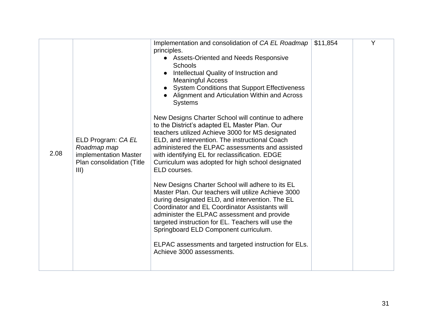| 2.08 | ELD Program: CA EL<br>Roadmap map<br>implementation Master | Implementation and consolidation of CA EL Roadmap<br>principles.<br><b>Assets-Oriented and Needs Responsive</b><br>$\bullet$<br><b>Schools</b><br>Intellectual Quality of Instruction and<br><b>Meaningful Access</b><br><b>System Conditions that Support Effectiveness</b><br>Alignment and Articulation Within and Across<br><b>Systems</b><br>New Designs Charter School will continue to adhere<br>to the District's adapted EL Master Plan. Our<br>teachers utilized Achieve 3000 for MS designated<br>ELD, and intervention. The instructional Coach<br>administered the ELPAC assessments and assisted<br>with identifying EL for reclassification. EDGE | \$11,854 | Y |
|------|------------------------------------------------------------|------------------------------------------------------------------------------------------------------------------------------------------------------------------------------------------------------------------------------------------------------------------------------------------------------------------------------------------------------------------------------------------------------------------------------------------------------------------------------------------------------------------------------------------------------------------------------------------------------------------------------------------------------------------|----------|---|
|      | Plan consolidation (Title<br>III)                          | Curriculum was adopted for high school designated<br>ELD courses.<br>New Designs Charter School will adhere to its EL<br>Master Plan. Our teachers will utilize Achieve 3000<br>during designated ELD, and intervention. The EL<br>Coordinator and EL Coordinator Assistants will<br>administer the ELPAC assessment and provide<br>targeted instruction for EL. Teachers will use the<br>Springboard ELD Component curriculum.<br>ELPAC assessments and targeted instruction for ELs.<br>Achieve 3000 assessments.                                                                                                                                              |          |   |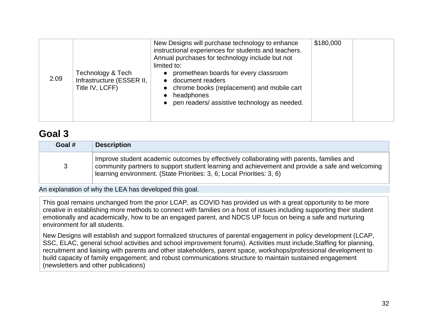| 2.09 | Technology & Tech<br>Infrastructure (ESSER II,<br>Title IV, LCFF) | New Designs will purchase technology to enhance<br>instructional experiences for students and teachers.<br>Annual purchases for technology include but not<br>limited to:<br>promethean boards for every classroom<br>$\bullet$<br>document readers<br>• chrome books (replacement) and mobile cart<br>headphones<br>pen readers/assistive technology as needed.<br>$\bullet$ | \$180,000 |  |
|------|-------------------------------------------------------------------|-------------------------------------------------------------------------------------------------------------------------------------------------------------------------------------------------------------------------------------------------------------------------------------------------------------------------------------------------------------------------------|-----------|--|
|------|-------------------------------------------------------------------|-------------------------------------------------------------------------------------------------------------------------------------------------------------------------------------------------------------------------------------------------------------------------------------------------------------------------------------------------------------------------------|-----------|--|

### **[Goal](#page-33-1) 3**

| Goal # | <b>Description</b>                                                                                                                                                                                                                                                     |
|--------|------------------------------------------------------------------------------------------------------------------------------------------------------------------------------------------------------------------------------------------------------------------------|
| 3      | Improve student academic outcomes by effectively collaborating with parents, families and<br>community partners to support student learning and achievement and provide a safe and welcoming<br>learning environment. (State Priorities: 3, 6; Local Priorities: 3, 6) |

An explanation of why the LEA has developed this goal.

This goal remains unchanged from the prior LCAP, as COVID has provided us with a great opportunity to be more creative in establishing more methods to connect with families on a host of issues including supporting their student emotionally and academically, how to be an engaged parent, and NDCS UP focus on being a safe and nurturing environment for all students.

New Designs will establish and support formalized structures of parental engagement in policy development (LCAP, SSC, ELAC, general school activities and school improvement forums). Activities must include,Staffing for planning, recruitment and liaising with parents and other stakeholders, parent space, workshops/professional development to build capacity of family engagement; and robust communications structure to maintain sustained engagement (newsletters and other publications)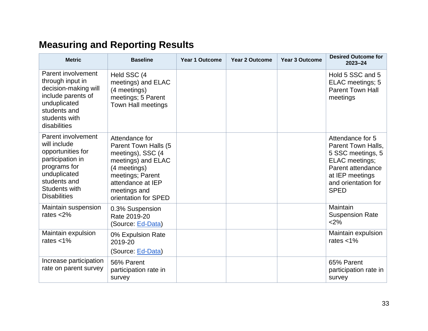# **Measuring and Reporting Results**

| <b>Metric</b>                                                                                                                                                              | <b>Baseline</b>                                                                                                                                                                    | <b>Year 1 Outcome</b> | <b>Year 2 Outcome</b> | <b>Year 3 Outcome</b> | <b>Desired Outcome for</b><br>$2023 - 24$                                                                                                                   |
|----------------------------------------------------------------------------------------------------------------------------------------------------------------------------|------------------------------------------------------------------------------------------------------------------------------------------------------------------------------------|-----------------------|-----------------------|-----------------------|-------------------------------------------------------------------------------------------------------------------------------------------------------------|
| Parent involvement<br>through input in<br>decision-making will<br>include parents of<br>unduplicated<br>students and<br>students with<br>disabilities                      | Held SSC (4<br>meetings) and ELAC<br>(4 meetings)<br>meetings; 5 Parent<br><b>Town Hall meetings</b>                                                                               |                       |                       |                       | Hold 5 SSC and 5<br>ELAC meetings; 5<br><b>Parent Town Hall</b><br>meetings                                                                                 |
| Parent involvement<br>will include<br>opportunities for<br>participation in<br>programs for<br>unduplicated<br>students and<br><b>Students with</b><br><b>Disabilities</b> | Attendance for<br>Parent Town Halls (5<br>meetings), SSC (4<br>meetings) and ELAC<br>(4 meetings)<br>meetings; Parent<br>attendance at IEP<br>meetings and<br>orientation for SPED |                       |                       |                       | Attendance for 5<br>Parent Town Halls,<br>5 SSC meetings, 5<br>ELAC meetings;<br>Parent attendance<br>at IEP meetings<br>and orientation for<br><b>SPED</b> |
| Maintain suspension<br>rates $<$ 2%                                                                                                                                        | 0.3% Suspension<br>Rate 2019-20<br>(Source: Ed-Data)                                                                                                                               |                       |                       |                       | Maintain<br><b>Suspension Rate</b><br><2%                                                                                                                   |
| Maintain expulsion<br>rates $<$ 1%                                                                                                                                         | 0% Expulsion Rate<br>2019-20<br>(Source: Ed-Data)                                                                                                                                  |                       |                       |                       | Maintain expulsion<br>rates $<$ 1%                                                                                                                          |
| Increase participation<br>rate on parent survey                                                                                                                            | 56% Parent<br>participation rate in<br>survey                                                                                                                                      |                       |                       |                       | 65% Parent<br>participation rate in<br>survey                                                                                                               |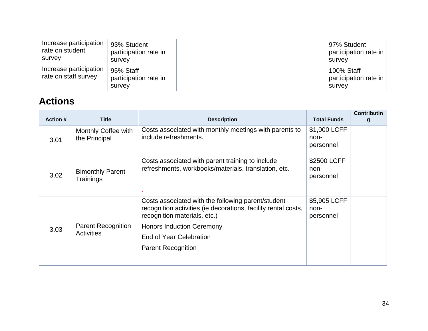| Increase participation<br>rate on student<br>survey | 93% Student<br>participation rate in<br>survey |  | 97% Student<br>participation rate in<br>survev |
|-----------------------------------------------------|------------------------------------------------|--|------------------------------------------------|
| Increase participation<br>rate on staff survey      | 95% Staff<br>participation rate in<br>survey   |  | 100% Staff<br>participation rate in<br>survey  |

## **Actions**

| <b>Action #</b>                                        | <b>Title</b>                         | <b>Description</b>                                                                                                                                   | <b>Total Funds</b>                | <b>Contributin</b><br>g |
|--------------------------------------------------------|--------------------------------------|------------------------------------------------------------------------------------------------------------------------------------------------------|-----------------------------------|-------------------------|
| 3.01                                                   | Monthly Coffee with<br>the Principal | Costs associated with monthly meetings with parents to<br>include refreshments.                                                                      | \$1,000 LCFF<br>non-<br>personnel |                         |
| 3.02                                                   | <b>Bimonthly Parent</b><br>Trainings | Costs associated with parent training to include<br>refreshments, workbooks/materials, translation, etc.                                             | \$2500 LCFF<br>non-<br>personnel  |                         |
|                                                        |                                      | Costs associated with the following parent/student<br>recognition activities (ie decorations, facility rental costs,<br>recognition materials, etc.) | \$5,905 LCFF<br>non-<br>personnel |                         |
| <b>Parent Recognition</b><br>3.03<br><b>Activities</b> | <b>Honors Induction Ceremony</b>     |                                                                                                                                                      |                                   |                         |
|                                                        |                                      | End of Year Celebration                                                                                                                              |                                   |                         |
|                                                        |                                      | <b>Parent Recognition</b>                                                                                                                            |                                   |                         |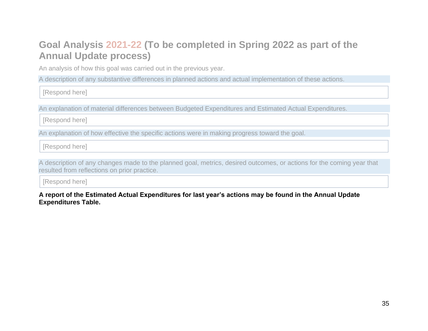## **Goal Analysis 2021-22 (To be completed in Spring 2022 as part of the Annual Update process)**

An analysis of how this goal was carried out in the previous year.

A description of any substantive differences in planned actions and actual implementation of these actions.

[Respond here]

An explanation of material differences between Budgeted Expenditures and Estimated Actual Expenditures.

[Respond here]

An explanation of how effective the specific actions were in making progress toward the goal.

[Respond here]

A description of any changes made to the planned goal, metrics, desired outcomes, or actions for the coming year that resulted from reflections on prior practice.

[Respond here]

**A report of the Estimated Actual Expenditures for last year's actions may be found in the Annual Update Expenditures Table.**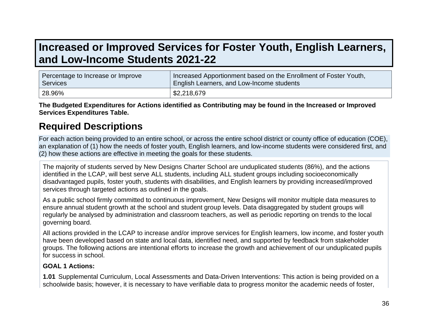## **Increased or Improved Services for Foster Youth, English Learners, and Low-Income Students 2021-22**

| Percentage to Increase or Improve | Increased Apportionment based on the Enrollment of Foster Youth, |
|-----------------------------------|------------------------------------------------------------------|
| Services                          | English Learners, and Low-Income students                        |
| 28.96%                            | \$2,218,679                                                      |

**The Budgeted Expenditures for Actions identified as Contributing may be found in the Increased or Improved Services Expenditures Table.**

### **Required Descriptions**

For each action being provided to an entire school, or across the entire school district or county office of education (COE), an explanation of (1) how the needs of foster youth, English learners, and low-income students were considered first, and (2) how these actions are effective in meeting the goals for these students.

The majority of students served by New Designs Charter School are unduplicated students (86%), and the actions identified in the LCAP, will best serve ALL students, including ALL student groups including socioeconomically disadvantaged pupils, foster youth, students with disabilities, and English learners by providing increased/improved services through targeted actions as outlined in the goals.

As a public school firmly committed to continuous improvement, New Designs will monitor multiple data measures to ensure annual student growth at the school and student group levels. Data disaggregated by student groups will regularly be analysed by administration and classroom teachers, as well as periodic reporting on trends to the local governing board.

All actions provided in the LCAP to increase and/or improve services for English learners, low income, and foster youth have been developed based on state and local data, identified need, and supported by feedback from stakeholder groups. The following actions are intentional efforts to increase the growth and achievement of our unduplicated pupils for success in school.

#### **GOAL 1 Actions:**

**1.01** Supplemental Curriculum, Local Assessments and Data-Driven Interventions: This action is being provided on a schoolwide basis; however, it is necessary to have verifiable data to progress monitor the academic needs of foster,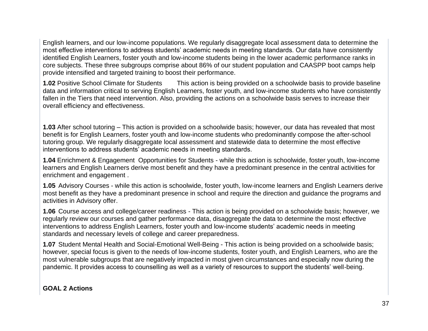English learners, and our low-income populations. We regularly disaggregate local assessment data to determine the most effective interventions to address students' academic needs in meeting standards. Our data have consistently identified English Learners, foster youth and low-income students being in the lower academic performance ranks in core subjects. These three subgroups comprise about 86% of our student population and CAASPP boot camps help provide intensified and targeted training to boost their performance.

**1.02** Positive School Climate for Students This action is being provided on a schoolwide basis to provide baseline data and information critical to serving English Learners, foster youth, and low-income students who have consistently fallen in the Tiers that need intervention. Also, providing the actions on a schoolwide basis serves to increase their overall efficiency and effectiveness.

**1.03** After school tutoring – This action is provided on a schoolwide basis; however, our data has revealed that most benefit is for English Learners, foster youth and low-income students who predominantly compose the after-school tutoring group. We regularly disaggregate local assessment and statewide data to determine the most effective interventions to address students' academic needs in meeting standards.

**1.04** Enrichment & Engagement Opportunities for Students - while this action is schoolwide, foster youth, low-income learners and English Learners derive most benefit and they have a predominant presence in the central activities for enrichment and engagement .

**1.05** Advisory Courses - while this action is schoolwide, foster youth, low-income learners and English Learners derive most benefit as they have a predominant presence in school and require the direction and guidance the programs and activities in Advisory offer.

**1.06** Course access and college/career readiness - This action is being provided on a schoolwide basis; however, we regularly review our courses and gather performance data, disaggregate the data to determine the most effective interventions to address English Learners, foster youth and low-income students' academic needs in meeting standards and necessary levels of college and career preparedness.

**1.07** Student Mental Health and Social-Emotional Well-Being - This action is being provided on a schoolwide basis; however, special focus is given to the needs of low-income students, foster youth, and English Learners, who are the most vulnerable subgroups that are negatively impacted in most given circumstances and especially now during the pandemic. It provides access to counselling as well as a variety of resources to support the students' well-being.

**GOAL 2 Actions**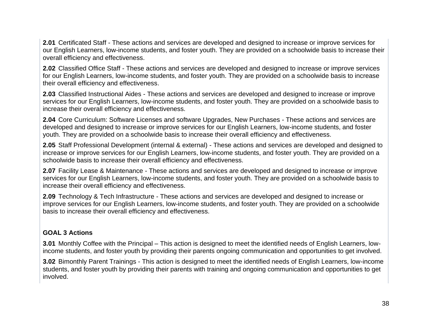**2.01** Certificated Staff - These actions and services are developed and designed to increase or improve services for our English Learners, low-income students, and foster youth. They are provided on a schoolwide basis to increase their overall efficiency and effectiveness.

**2.02** Classified Office Staff - These actions and services are developed and designed to increase or improve services for our English Learners, low-income students, and foster youth. They are provided on a schoolwide basis to increase their overall efficiency and effectiveness.

**2.03** Classified Instructional Aides - These actions and services are developed and designed to increase or improve services for our English Learners, low-income students, and foster youth. They are provided on a schoolwide basis to increase their overall efficiency and effectiveness.

**2.04** Core Curriculum: Software Licenses and software Upgrades, New Purchases - These actions and services are developed and designed to increase or improve services for our English Learners, low-income students, and foster youth. They are provided on a schoolwide basis to increase their overall efficiency and effectiveness.

**2.05** Staff Professional Development (internal & external) - These actions and services are developed and designed to increase or improve services for our English Learners, low-income students, and foster youth. They are provided on a schoolwide basis to increase their overall efficiency and effectiveness.

**2.07** Facility Lease & Maintenance - These actions and services are developed and designed to increase or improve services for our English Learners, low-income students, and foster youth. They are provided on a schoolwide basis to increase their overall efficiency and effectiveness.

**2.09** Technology & Tech Infrastructure - These actions and services are developed and designed to increase or improve services for our English Learners, low-income students, and foster youth. They are provided on a schoolwide basis to increase their overall efficiency and effectiveness.

#### **GOAL 3 Actions**

**3.01** Monthly Coffee with the Principal – This action is designed to meet the identified needs of English Learners, lowincome students, and foster youth by providing their parents ongoing communication and opportunities to get involved.

**3.02** Bimonthly Parent Trainings - This action is designed to meet the identified needs of English Learners, low-income students, and foster youth by providing their parents with training and ongoing communication and opportunities to get involved.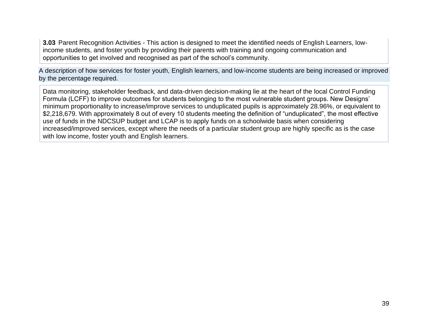**3.03** Parent Recognition Activities - This action is designed to meet the identified needs of English Learners, lowincome students, and foster youth by providing their parents with training and ongoing communication and opportunities to get involved and recognised as part of the school's community.

A description of how services for foster youth, English learners, and low-income students are being increased or improved by the percentage required.

Data monitoring, stakeholder feedback, and data-driven decision-making lie at the heart of the local Control Funding Formula (LCFF) to improve outcomes for students belonging to the most vulnerable student groups. New Designs' minimum proportionality to increase/improve services to unduplicated pupils is approximately 28.96%, or equivalent to \$2,218,679. With approximately 8 out of every 10 students meeting the definition of "unduplicated", the most effective use of funds in the NDCSUP budget and LCAP is to apply funds on a schoolwide basis when considering increased/improved services, except where the needs of a particular student group are highly specific as is the case with low income, foster youth and English learners.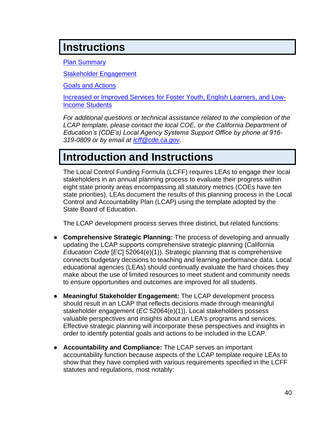## **Instructions**

[Plan Summary](#page-25-0)

[Stakeholder Engagement](#page-28-0)

[Goals and Actions](#page-29-0)

[Increased or Improved Services for Foster Youth, English Learners, and Low-](#page-33-0)[Income Students](#page-33-0)

*For additional questions or technical assistance related to the completion of the LCAP template, please contact the local COE, or the California Department of Education's (CDE's) Local Agency Systems Support Office by phone at 916- 319-0809 or by email at [lcff@cde.ca.gov.](mailto:lcff@cde.ca.gov)*

## **Introduction and Instructions**

The Local Control Funding Formula (LCFF) requires LEAs to engage their local stakeholders in an annual planning process to evaluate their progress within eight state priority areas encompassing all statutory metrics (COEs have ten state priorities). LEAs document the results of this planning process in the Local Control and Accountability Plan (LCAP) using the template adopted by the State Board of Education.

The LCAP development process serves three distinct, but related functions:

- **Comprehensive Strategic Planning:** The process of developing and annually updating the LCAP supports comprehensive strategic planning (California *Education Code* [*EC*] 52064(e)(1)). Strategic planning that is comprehensive connects budgetary decisions to teaching and learning performance data. Local educational agencies (LEAs) should continually evaluate the hard choices they make about the use of limited resources to meet student and community needs to ensure opportunities and outcomes are improved for all students.
- **Meaningful Stakeholder Engagement:** The LCAP development process should result in an LCAP that reflects decisions made through meaningful stakeholder engagement (*EC* 52064(e)(1)). Local stakeholders possess valuable perspectives and insights about an LEA's programs and services. Effective strategic planning will incorporate these perspectives and insights in order to identify potential goals and actions to be included in the LCAP.
- **Accountability and Compliance:** The LCAP serves an important accountability function because aspects of the LCAP template require LEAs to show that they have complied with various requirements specified in the LCFF statutes and regulations, most notably: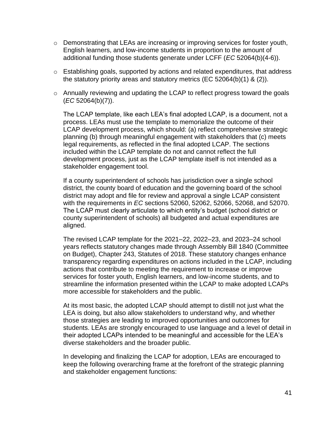- $\circ$  Demonstrating that LEAs are increasing or improving services for foster youth, English learners, and low-income students in proportion to the amount of additional funding those students generate under LCFF (*EC* 52064(b)(4-6)).
- o Establishing goals, supported by actions and related expenditures, that address the statutory priority areas and statutory metrics (EC 52064(b)(1) & (2)).
- o Annually reviewing and updating the LCAP to reflect progress toward the goals (*EC* 52064(b)(7)).

The LCAP template, like each LEA's final adopted LCAP, is a document, not a process. LEAs must use the template to memorialize the outcome of their LCAP development process, which should: (a) reflect comprehensive strategic planning (b) through meaningful engagement with stakeholders that (c) meets legal requirements, as reflected in the final adopted LCAP. The sections included within the LCAP template do not and cannot reflect the full development process, just as the LCAP template itself is not intended as a stakeholder engagement tool.

If a county superintendent of schools has jurisdiction over a single school district, the county board of education and the governing board of the school district may adopt and file for review and approval a single LCAP consistent with the requirements in *EC* sections 52060, 52062, 52066, 52068, and 52070. The LCAP must clearly articulate to which entity's budget (school district or county superintendent of schools) all budgeted and actual expenditures are aligned.

The revised LCAP template for the 2021–22, 2022–23, and 2023–24 school years reflects statutory changes made through Assembly Bill 1840 (Committee on Budget), Chapter 243, Statutes of 2018. These statutory changes enhance transparency regarding expenditures on actions included in the LCAP, including actions that contribute to meeting the requirement to increase or improve services for foster youth, English learners, and low-income students, and to streamline the information presented within the LCAP to make adopted LCAPs more accessible for stakeholders and the public.

At its most basic, the adopted LCAP should attempt to distill not just what the LEA is doing, but also allow stakeholders to understand why, and whether those strategies are leading to improved opportunities and outcomes for students. LEAs are strongly encouraged to use language and a level of detail in their adopted LCAPs intended to be meaningful and accessible for the LEA's diverse stakeholders and the broader public.

In developing and finalizing the LCAP for adoption, LEAs are encouraged to keep the following overarching frame at the forefront of the strategic planning and stakeholder engagement functions: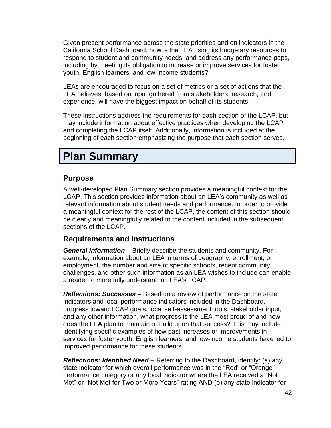Given present performance across the state priorities and on indicators in the California School Dashboard, how is the LEA using its budgetary resources to respond to student and community needs, and address any performance gaps, including by meeting its obligation to increase or improve services for foster youth, English learners, and low-income students?

LEAs are encouraged to focus on a set of metrics or a set of actions that the LEA believes, based on input gathered from stakeholders, research, and experience, will have the biggest impact on behalf of its students.

These instructions address the requirements for each section of the LCAP, but may include information about effective practices when developing the LCAP and completing the LCAP itself. Additionally, information is included at the beginning of each section emphasizing the purpose that each section serves.

## **Plan Summary**

### **Purpose**

A well-developed Plan Summary section provides a meaningful context for the LCAP. This section provides information about an LEA's community as well as relevant information about student needs and performance. In order to provide a meaningful context for the rest of the LCAP, the content of this section should be clearly and meaningfully related to the content included in the subsequent sections of the LCAP.

## **Requirements and Instructions**

*General Information* – Briefly describe the students and community. For example, information about an LEA in terms of geography, enrollment, or employment, the number and size of specific schools, recent community challenges, and other such information as an LEA wishes to include can enable a reader to more fully understand an LEA's LCAP.

*Reflections: Successes* – Based on a review of performance on the state indicators and local performance indicators included in the Dashboard, progress toward LCAP goals, local self-assessment tools, stakeholder input, and any other information, what progress is the LEA most proud of and how does the LEA plan to maintain or build upon that success? This may include identifying specific examples of how past increases or improvements in services for foster youth, English learners, and low-income students have led to improved performance for these students.

*Reflections: Identified Need* – Referring to the Dashboard, identify: (a) any state indicator for which overall performance was in the "Red" or "Orange" performance category or any local indicator where the LEA received a "Not Met" or "Not Met for Two or More Years" rating AND (b) any state indicator for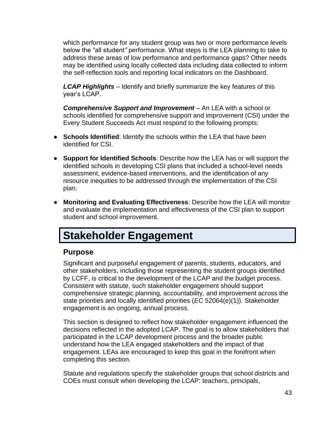which performance for any student group was two or more performance levels below the "all student*"* performance. What steps is the LEA planning to take to address these areas of low performance and performance gaps? Other needs may be identified using locally collected data including data collected to inform the self-reflection tools and reporting local indicators on the Dashboard.

*LCAP Highlights* – Identify and briefly summarize the key features of this year's LCAP.

**Comprehensive Support and Improvement** – An LEA with a school or schools identified for comprehensive support and improvement (CSI) under the Every Student Succeeds Act must respond to the following prompts:

- **Schools Identified**: Identify the schools within the LEA that have been identified for CSI.
- **Support for Identified Schools**: Describe how the LEA has or will support the identified schools in developing CSI plans that included a school-level needs assessment, evidence-based interventions, and the identification of any resource inequities to be addressed through the implementation of the CSI plan.
- **Monitoring and Evaluating Effectiveness**: Describe how the LEA will monitor and evaluate the implementation and effectiveness of the CSI plan to support student and school improvement.

## **Stakeholder Engagement**

## **Purpose**

Significant and purposeful engagement of parents, students, educators, and other stakeholders, including those representing the student groups identified by LCFF, is critical to the development of the LCAP and the budget process. Consistent with statute, such stakeholder engagement should support comprehensive strategic planning, accountability, and improvement across the state priorities and locally identified priorities (*EC* 52064(e)(1)). Stakeholder engagement is an ongoing, annual process.

This section is designed to reflect how stakeholder engagement influenced the decisions reflected in the adopted LCAP. The goal is to allow stakeholders that participated in the LCAP development process and the broader public understand how the LEA engaged stakeholders and the impact of that engagement. LEAs are encouraged to keep this goal in the forefront when completing this section.

Statute and regulations specify the stakeholder groups that school districts and COEs must consult when developing the LCAP: teachers, principals,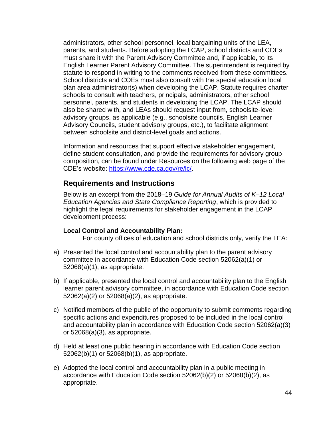administrators, other school personnel, local bargaining units of the LEA, parents, and students. Before adopting the LCAP, school districts and COEs must share it with the Parent Advisory Committee and, if applicable, to its English Learner Parent Advisory Committee. The superintendent is required by statute to respond in writing to the comments received from these committees. School districts and COEs must also consult with the special education local plan area administrator(s) when developing the LCAP. Statute requires charter schools to consult with teachers, principals, administrators, other school personnel, parents, and students in developing the LCAP. The LCAP should also be shared with, and LEAs should request input from, schoolsite-level advisory groups, as applicable (e.g., schoolsite councils, English Learner Advisory Councils, student advisory groups, etc.), to facilitate alignment between schoolsite and district-level goals and actions.

Information and resources that support effective stakeholder engagement, define student consultation, and provide the requirements for advisory group composition, can be found under Resources on the following web page of the CDE's website: [https://www.cde.ca.gov/re/lc/.](https://www.cde.ca.gov/re/lc/)

### **Requirements and Instructions**

Below is an excerpt from the 2018–19 *Guide for Annual Audits of K–12 Local Education Agencies and State Compliance Reporting*, which is provided to highlight the legal requirements for stakeholder engagement in the LCAP development process:

#### **Local Control and Accountability Plan:**

For county offices of education and school districts only, verify the LEA:

- a) Presented the local control and accountability plan to the parent advisory committee in accordance with Education Code section 52062(a)(1) or 52068(a)(1), as appropriate.
- b) If applicable, presented the local control and accountability plan to the English learner parent advisory committee, in accordance with Education Code section 52062(a)(2) or 52068(a)(2), as appropriate.
- c) Notified members of the public of the opportunity to submit comments regarding specific actions and expenditures proposed to be included in the local control and accountability plan in accordance with Education Code section 52062(a)(3) or 52068(a)(3), as appropriate.
- d) Held at least one public hearing in accordance with Education Code section 52062(b)(1) or 52068(b)(1), as appropriate.
- e) Adopted the local control and accountability plan in a public meeting in accordance with Education Code section 52062(b)(2) or 52068(b)(2), as appropriate.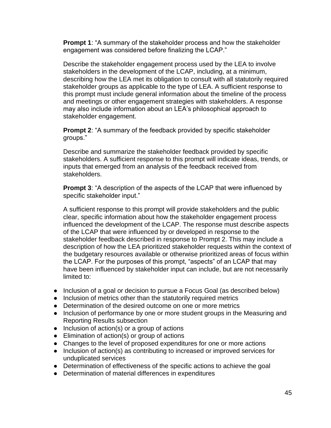**Prompt 1**: "A summary of the stakeholder process and how the stakeholder engagement was considered before finalizing the LCAP."

Describe the stakeholder engagement process used by the LEA to involve stakeholders in the development of the LCAP, including, at a minimum, describing how the LEA met its obligation to consult with all statutorily required stakeholder groups as applicable to the type of LEA. A sufficient response to this prompt must include general information about the timeline of the process and meetings or other engagement strategies with stakeholders. A response may also include information about an LEA's philosophical approach to stakeholder engagement.

**Prompt 2**: "A summary of the feedback provided by specific stakeholder groups."

Describe and summarize the stakeholder feedback provided by specific stakeholders. A sufficient response to this prompt will indicate ideas, trends, or inputs that emerged from an analysis of the feedback received from stakeholders.

**Prompt 3**: "A description of the aspects of the LCAP that were influenced by specific stakeholder input."

A sufficient response to this prompt will provide stakeholders and the public clear, specific information about how the stakeholder engagement process influenced the development of the LCAP. The response must describe aspects of the LCAP that were influenced by or developed in response to the stakeholder feedback described in response to Prompt 2. This may include a description of how the LEA prioritized stakeholder requests within the context of the budgetary resources available or otherwise prioritized areas of focus within the LCAP. For the purposes of this prompt, "aspects" of an LCAP that may have been influenced by stakeholder input can include, but are not necessarily limited to:

- Inclusion of a goal or decision to pursue a Focus Goal (as described below)
- Inclusion of metrics other than the statutorily required metrics
- Determination of the desired outcome on one or more metrics
- Inclusion of performance by one or more student groups in the Measuring and Reporting Results subsection
- Inclusion of action(s) or a group of actions
- Elimination of action(s) or group of actions
- Changes to the level of proposed expenditures for one or more actions
- Inclusion of action(s) as contributing to increased or improved services for unduplicated services
- Determination of effectiveness of the specific actions to achieve the goal
- Determination of material differences in expenditures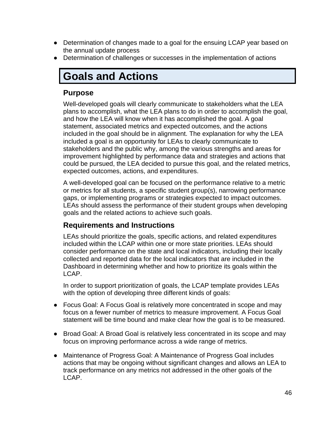- Determination of changes made to a goal for the ensuing LCAP year based on the annual update process
- Determination of challenges or successes in the implementation of actions

# **Goals and Actions**

## **Purpose**

Well-developed goals will clearly communicate to stakeholders what the LEA plans to accomplish, what the LEA plans to do in order to accomplish the goal, and how the LEA will know when it has accomplished the goal. A goal statement, associated metrics and expected outcomes, and the actions included in the goal should be in alignment. The explanation for why the LEA included a goal is an opportunity for LEAs to clearly communicate to stakeholders and the public why, among the various strengths and areas for improvement highlighted by performance data and strategies and actions that could be pursued, the LEA decided to pursue this goal, and the related metrics, expected outcomes, actions, and expenditures.

A well-developed goal can be focused on the performance relative to a metric or metrics for all students, a specific student group(s), narrowing performance gaps, or implementing programs or strategies expected to impact outcomes. LEAs should assess the performance of their student groups when developing goals and the related actions to achieve such goals.

## **Requirements and Instructions**

LEAs should prioritize the goals, specific actions, and related expenditures included within the LCAP within one or more state priorities. LEAs should consider performance on the state and local indicators, including their locally collected and reported data for the local indicators that are included in the Dashboard in determining whether and how to prioritize its goals within the LCAP.

In order to support prioritization of goals, the LCAP template provides LEAs with the option of developing three different kinds of goals:

- Focus Goal: A Focus Goal is relatively more concentrated in scope and may focus on a fewer number of metrics to measure improvement. A Focus Goal statement will be time bound and make clear how the goal is to be measured.
- Broad Goal: A Broad Goal is relatively less concentrated in its scope and may focus on improving performance across a wide range of metrics.
- Maintenance of Progress Goal: A Maintenance of Progress Goal includes actions that may be ongoing without significant changes and allows an LEA to track performance on any metrics not addressed in the other goals of the LCAP.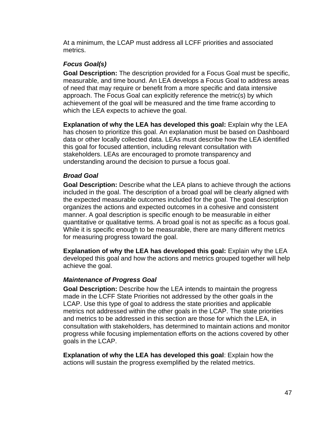At a minimum, the LCAP must address all LCFF priorities and associated metrics.

#### *Focus Goal(s)*

**Goal Description:** The description provided for a Focus Goal must be specific, measurable, and time bound. An LEA develops a Focus Goal to address areas of need that may require or benefit from a more specific and data intensive approach. The Focus Goal can explicitly reference the metric(s) by which achievement of the goal will be measured and the time frame according to which the LEA expects to achieve the goal.

**Explanation of why the LEA has developed this goal:** Explain why the LEA has chosen to prioritize this goal. An explanation must be based on Dashboard data or other locally collected data. LEAs must describe how the LEA identified this goal for focused attention, including relevant consultation with stakeholders. LEAs are encouraged to promote transparency and understanding around the decision to pursue a focus goal.

#### *Broad Goal*

**Goal Description:** Describe what the LEA plans to achieve through the actions included in the goal. The description of a broad goal will be clearly aligned with the expected measurable outcomes included for the goal. The goal description organizes the actions and expected outcomes in a cohesive and consistent manner. A goal description is specific enough to be measurable in either quantitative or qualitative terms. A broad goal is not as specific as a focus goal. While it is specific enough to be measurable, there are many different metrics for measuring progress toward the goal.

**Explanation of why the LEA has developed this goal:** Explain why the LEA developed this goal and how the actions and metrics grouped together will help achieve the goal.

#### *Maintenance of Progress Goal*

**Goal Description:** Describe how the LEA intends to maintain the progress made in the LCFF State Priorities not addressed by the other goals in the LCAP. Use this type of goal to address the state priorities and applicable metrics not addressed within the other goals in the LCAP. The state priorities and metrics to be addressed in this section are those for which the LEA, in consultation with stakeholders, has determined to maintain actions and monitor progress while focusing implementation efforts on the actions covered by other goals in the LCAP.

**Explanation of why the LEA has developed this goal**: Explain how the actions will sustain the progress exemplified by the related metrics.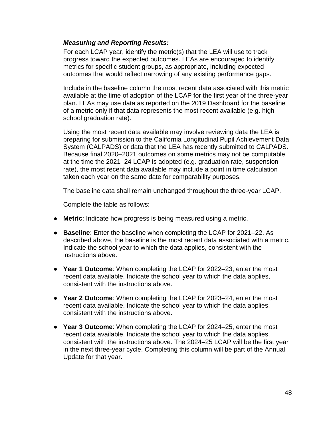#### *Measuring and Reporting Results:*

For each LCAP year, identify the metric(s) that the LEA will use to track progress toward the expected outcomes. LEAs are encouraged to identify metrics for specific student groups, as appropriate, including expected outcomes that would reflect narrowing of any existing performance gaps.

Include in the baseline column the most recent data associated with this metric available at the time of adoption of the LCAP for the first year of the three-year plan. LEAs may use data as reported on the 2019 Dashboard for the baseline of a metric only if that data represents the most recent available (e.g. high school graduation rate).

Using the most recent data available may involve reviewing data the LEA is preparing for submission to the California Longitudinal Pupil Achievement Data System (CALPADS) or data that the LEA has recently submitted to CALPADS. Because final 2020–2021 outcomes on some metrics may not be computable at the time the 2021–24 LCAP is adopted (e.g. graduation rate, suspension rate), the most recent data available may include a point in time calculation taken each year on the same date for comparability purposes.

The baseline data shall remain unchanged throughout the three-year LCAP.

Complete the table as follows:

- **Metric**: Indicate how progress is being measured using a metric.
- **Baseline**: Enter the baseline when completing the LCAP for 2021–22. As described above, the baseline is the most recent data associated with a metric. Indicate the school year to which the data applies, consistent with the instructions above.
- **Year 1 Outcome**: When completing the LCAP for 2022–23, enter the most recent data available. Indicate the school year to which the data applies, consistent with the instructions above.
- **Year 2 Outcome**: When completing the LCAP for 2023–24, enter the most recent data available. Indicate the school year to which the data applies, consistent with the instructions above.
- **Year 3 Outcome**: When completing the LCAP for 2024–25, enter the most recent data available. Indicate the school year to which the data applies, consistent with the instructions above. The 2024–25 LCAP will be the first year in the next three-year cycle. Completing this column will be part of the Annual Update for that year.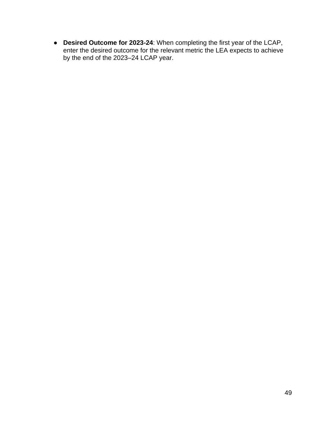● **Desired Outcome for 2023-24**: When completing the first year of the LCAP, enter the desired outcome for the relevant metric the LEA expects to achieve by the end of the 2023–24 LCAP year.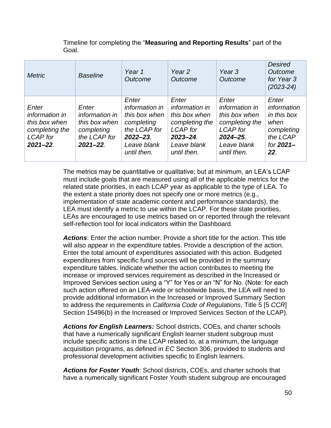Timeline for completing the "**Measuring and Reporting Results**" part of the Goal.

| <b>Metric</b>                                                                                  | <b>Baseline</b>                                                                         | Year 1<br>Outcome                                                                                                     | Year <sub>2</sub><br>Outcome                                                                                                 | Year <sub>3</sub><br>Outcome                                                                                            | <b>Desired</b><br>Outcome<br>for Year 3<br>$(2023 - 24)$                                  |
|------------------------------------------------------------------------------------------------|-----------------------------------------------------------------------------------------|-----------------------------------------------------------------------------------------------------------------------|------------------------------------------------------------------------------------------------------------------------------|-------------------------------------------------------------------------------------------------------------------------|-------------------------------------------------------------------------------------------|
| Enter<br>information in<br>this box when<br>completing the<br><b>LCAP</b> for<br>$2021 - 22$ . | Enter<br>information in<br>this box when<br>completing<br>the LCAP for<br>$2021 - 22$ . | Enter<br>information in<br>this box when<br>completing<br>the LCAP for<br>$2022 - 23$ .<br>Leave blank<br>until then. | Enter<br>information in<br>this box when<br>completing the<br><b>LCAP</b> for<br>$2023 - 24$ .<br>Leave blank<br>until then. | Enter<br>information in<br>this box when<br>completing the<br><b>LCAP</b> for<br>2024-25.<br>Leave blank<br>until then. | Enter<br>information<br>in this box<br>when<br>completing<br>the LCAP<br>for 2021-<br>22. |

The metrics may be quantitative or qualitative; but at minimum, an LEA's LCAP must include goals that are measured using all of the applicable metrics for the related state priorities, in each LCAP year as applicable to the type of LEA. To the extent a state priority does not specify one or more metrics (e.g., implementation of state academic content and performance standards), the LEA must identify a metric to use within the LCAP. For these state priorities, LEAs are encouraged to use metrics based on or reported through the relevant self-reflection tool for local indicators within the Dashboard.

*Actions*: Enter the action number. Provide a short title for the action. This title will also appear in the expenditure tables. Provide a description of the action. Enter the total amount of expenditures associated with this action. Budgeted expenditures from specific fund sources will be provided in the summary expenditure tables. Indicate whether the action contributes to meeting the increase or improved services requirement as described in the Increased or Improved Services section using a "Y" for Yes or an "N" for No. (Note: for each such action offered on an LEA-wide or schoolwide basis, the LEA will need to provide additional information in the Increased or Improved Summary Section to address the requirements in *California Code of Regulations*, Title 5 [5 *CCR*] Section 15496(b) in the Increased or Improved Services Section of the LCAP).

*Actions for English Learners:* School districts, COEs, and charter schools that have a numerically significant English learner student subgroup must include specific actions in the LCAP related to, at a minimum, the language acquisition programs, as defined in *EC* Section 306, provided to students and professional development activities specific to English learners.

*Actions for Foster Youth*: School districts, COEs, and charter schools that have a numerically significant Foster Youth student subgroup are encouraged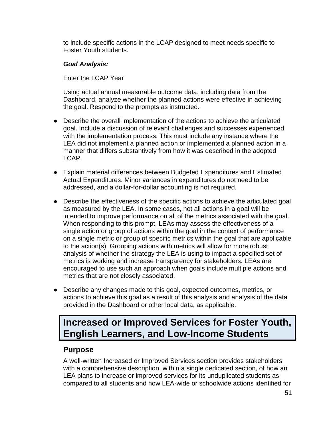to include specific actions in the LCAP designed to meet needs specific to Foster Youth students.

#### *Goal Analysis:*

Enter the LCAP Year

Using actual annual measurable outcome data, including data from the Dashboard, analyze whether the planned actions were effective in achieving the goal. Respond to the prompts as instructed.

- Describe the overall implementation of the actions to achieve the articulated goal. Include a discussion of relevant challenges and successes experienced with the implementation process. This must include any instance where the LEA did not implement a planned action or implemented a planned action in a manner that differs substantively from how it was described in the adopted LCAP.
- Explain material differences between Budgeted Expenditures and Estimated Actual Expenditures. Minor variances in expenditures do not need to be addressed, and a dollar-for-dollar accounting is not required.
- Describe the effectiveness of the specific actions to achieve the articulated goal as measured by the LEA. In some cases, not all actions in a goal will be intended to improve performance on all of the metrics associated with the goal. When responding to this prompt, LEAs may assess the effectiveness of a single action or group of actions within the goal in the context of performance on a single metric or group of specific metrics within the goal that are applicable to the action(s). Grouping actions with metrics will allow for more robust analysis of whether the strategy the LEA is using to impact a specified set of metrics is working and increase transparency for stakeholders. LEAs are encouraged to use such an approach when goals include multiple actions and metrics that are not closely associated.
- Describe any changes made to this goal, expected outcomes, metrics, or actions to achieve this goal as a result of this analysis and analysis of the data provided in the Dashboard or other local data, as applicable.

## **Increased or Improved Services for Foster Youth, English Learners, and Low-Income Students**

## **Purpose**

A well-written Increased or Improved Services section provides stakeholders with a comprehensive description, within a single dedicated section, of how an LEA plans to increase or improved services for its unduplicated students as compared to all students and how LEA-wide or schoolwide actions identified for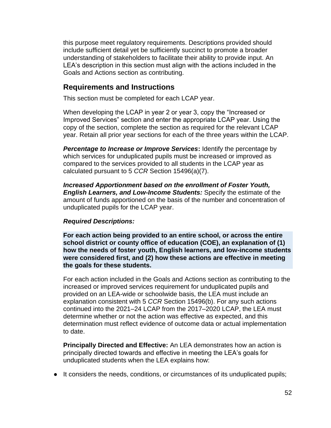this purpose meet regulatory requirements. Descriptions provided should include sufficient detail yet be sufficiently succinct to promote a broader understanding of stakeholders to facilitate their ability to provide input. An LEA's description in this section must align with the actions included in the Goals and Actions section as contributing.

### **Requirements and Instructions**

This section must be completed for each LCAP year.

When developing the LCAP in year 2 or year 3, copy the "Increased or Improved Services" section and enter the appropriate LCAP year. Using the copy of the section, complete the section as required for the relevant LCAP year. Retain all prior year sections for each of the three years within the LCAP.

**Percentage to Increase or Improve Services:** Identify the percentage by which services for unduplicated pupils must be increased or improved as compared to the services provided to all students in the LCAP year as calculated pursuant to 5 *CCR* Section 15496(a)(7).

*Increased Apportionment based on the enrollment of Foster Youth, English Learners, and Low-Income Students:* Specify the estimate of the amount of funds apportioned on the basis of the number and concentration of unduplicated pupils for the LCAP year.

#### *Required Descriptions:*

**For each action being provided to an entire school, or across the entire school district or county office of education (COE), an explanation of (1) how the needs of foster youth, English learners, and low-income students were considered first, and (2) how these actions are effective in meeting the goals for these students.**

For each action included in the Goals and Actions section as contributing to the increased or improved services requirement for unduplicated pupils and provided on an LEA-wide or schoolwide basis, the LEA must include an explanation consistent with 5 *CCR* Section 15496(b). For any such actions continued into the 2021–24 LCAP from the 2017–2020 LCAP, the LEA must determine whether or not the action was effective as expected, and this determination must reflect evidence of outcome data or actual implementation to date.

**Principally Directed and Effective:** An LEA demonstrates how an action is principally directed towards and effective in meeting the LEA's goals for unduplicated students when the LEA explains how:

● It considers the needs, conditions, or circumstances of its unduplicated pupils;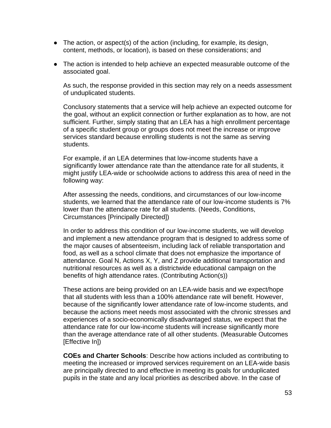- $\bullet$  The action, or aspect(s) of the action (including, for example, its design, content, methods, or location), is based on these considerations; and
- The action is intended to help achieve an expected measurable outcome of the associated goal.

As such, the response provided in this section may rely on a needs assessment of unduplicated students.

Conclusory statements that a service will help achieve an expected outcome for the goal, without an explicit connection or further explanation as to how, are not sufficient. Further, simply stating that an LEA has a high enrollment percentage of a specific student group or groups does not meet the increase or improve services standard because enrolling students is not the same as serving students.

For example, if an LEA determines that low-income students have a significantly lower attendance rate than the attendance rate for all students, it might justify LEA-wide or schoolwide actions to address this area of need in the following way:

After assessing the needs, conditions, and circumstances of our low-income students, we learned that the attendance rate of our low-income students is 7% lower than the attendance rate for all students. (Needs, Conditions, Circumstances [Principally Directed])

In order to address this condition of our low-income students, we will develop and implement a new attendance program that is designed to address some of the major causes of absenteeism, including lack of reliable transportation and food, as well as a school climate that does not emphasize the importance of attendance. Goal N, Actions X, Y, and Z provide additional transportation and nutritional resources as well as a districtwide educational campaign on the benefits of high attendance rates. (Contributing Action(s))

These actions are being provided on an LEA-wide basis and we expect/hope that all students with less than a 100% attendance rate will benefit. However, because of the significantly lower attendance rate of low-income students, and because the actions meet needs most associated with the chronic stresses and experiences of a socio-economically disadvantaged status, we expect that the attendance rate for our low-income students will increase significantly more than the average attendance rate of all other students. (Measurable Outcomes [Effective In])

**COEs and Charter Schools**: Describe how actions included as contributing to meeting the increased or improved services requirement on an LEA-wide basis are principally directed to and effective in meeting its goals for unduplicated pupils in the state and any local priorities as described above. In the case of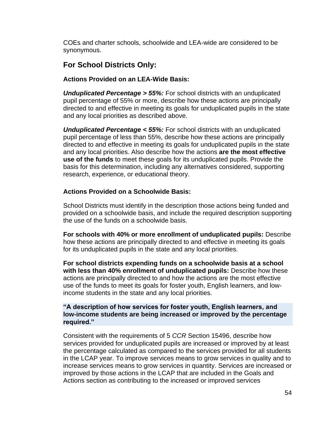COEs and charter schools, schoolwide and LEA-wide are considered to be synonymous.

## **For School Districts Only:**

#### **Actions Provided on an LEA-Wide Basis:**

*Unduplicated Percentage > 55%:* For school districts with an unduplicated pupil percentage of 55% or more, describe how these actions are principally directed to and effective in meeting its goals for unduplicated pupils in the state and any local priorities as described above.

*Unduplicated Percentage < 55%:* For school districts with an unduplicated pupil percentage of less than 55%, describe how these actions are principally directed to and effective in meeting its goals for unduplicated pupils in the state and any local priorities. Also describe how the actions **are the most effective use of the funds** to meet these goals for its unduplicated pupils. Provide the basis for this determination, including any alternatives considered, supporting research, experience, or educational theory.

#### **Actions Provided on a Schoolwide Basis:**

School Districts must identify in the description those actions being funded and provided on a schoolwide basis, and include the required description supporting the use of the funds on a schoolwide basis.

**For schools with 40% or more enrollment of unduplicated pupils:** Describe how these actions are principally directed to and effective in meeting its goals for its unduplicated pupils in the state and any local priorities.

**For school districts expending funds on a schoolwide basis at a school with less than 40% enrollment of unduplicated pupils:** Describe how these actions are principally directed to and how the actions are the most effective use of the funds to meet its goals for foster youth, English learners, and lowincome students in the state and any local priorities.

#### **"A description of how services for foster youth, English learners, and low-income students are being increased or improved by the percentage required."**

Consistent with the requirements of 5 *CCR* Section 15496, describe how services provided for unduplicated pupils are increased or improved by at least the percentage calculated as compared to the services provided for all students in the LCAP year. To improve services means to grow services in quality and to increase services means to grow services in quantity. Services are increased or improved by those actions in the LCAP that are included in the Goals and Actions section as contributing to the increased or improved services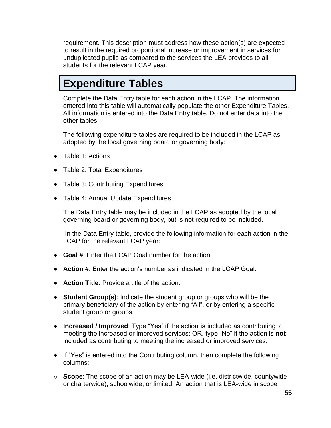requirement. This description must address how these action(s) are expected to result in the required proportional increase or improvement in services for unduplicated pupils as compared to the services the LEA provides to all students for the relevant LCAP year.

# **Expenditure Tables**

Complete the Data Entry table for each action in the LCAP. The information entered into this table will automatically populate the other Expenditure Tables. All information is entered into the Data Entry table. Do not enter data into the other tables.

The following expenditure tables are required to be included in the LCAP as adopted by the local governing board or governing body:

- Table 1: Actions
- Table 2: Total Expenditures
- Table 3: Contributing Expenditures
- Table 4: Annual Update Expenditures

The Data Entry table may be included in the LCAP as adopted by the local governing board or governing body, but is not required to be included.

In the Data Entry table, provide the following information for each action in the LCAP for the relevant LCAP year:

- **Goal #**: Enter the LCAP Goal number for the action.
- **Action #**: Enter the action's number as indicated in the LCAP Goal.
- **Action Title**: Provide a title of the action.
- **Student Group(s)**: Indicate the student group or groups who will be the primary beneficiary of the action by entering "All", or by entering a specific student group or groups.
- **Increased / Improved**: Type "Yes" if the action **is** included as contributing to meeting the increased or improved services; OR, type "No" if the action is **not** included as contributing to meeting the increased or improved services.
- If "Yes" is entered into the Contributing column, then complete the following columns:
- o **Scope**: The scope of an action may be LEA-wide (i.e. districtwide, countywide, or charterwide), schoolwide, or limited. An action that is LEA-wide in scope